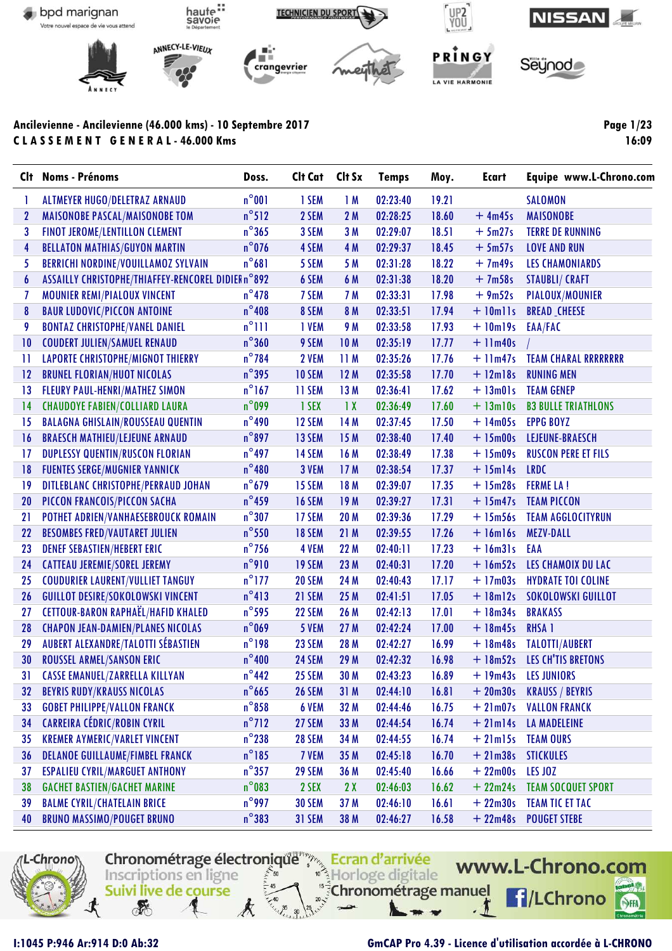

| Clt          | <b>Noms - Prénoms</b>                              | Doss.           | Cit Cat Cit Sx |                 | <b>Temps</b> | Moy.  | <b>Ecart</b>   | Equipe www.L-Chrono.com     |
|--------------|----------------------------------------------------|-----------------|----------------|-----------------|--------------|-------|----------------|-----------------------------|
| 1            | <b>ALTMEYER HUGO/DELETRAZ ARNAUD</b>               | $n^{\circ}001$  | 1 SEM          | 1M              | 02:23:40     | 19.21 |                | <b>SALOMON</b>              |
| $\mathbf{2}$ | <b>MAISONOBE PASCAL/MAISONOBE TOM</b>              | $n^{\circ}512$  | 2 SEM          | 2 M             | 02:28:25     | 18.60 | $+4m45s$       | <b>MAISONOBE</b>            |
| 3            | FINOT JEROME/LENTILLON CLEMENT                     | $n^{\circ}365$  | 3 SEM          | 3M              | 02:29:07     | 18.51 | $+5m27s$       | <b>TERRE DE RUNNING</b>     |
| 4            | <b>BELLATON MATHIAS/GUYON MARTIN</b>               | $n^{\circ}$ 076 | 4 SEM          | 4 M             | 02:29:37     | 18.45 | $+5m57s$       | <b>LOVE AND RUN</b>         |
| 5            | <b>BERRICHI NORDINE/VOUILLAMOZ SYLVAIN</b>         | $n^{\circ}681$  | 5 SEM          | 5 M             | 02:31:28     | 18.22 | $+7m49s$       | <b>LES CHAMONIARDS</b>      |
| 6            | ASSAILLY CHRISTOPHE/THIAFFEY-RENCOREL DIDIER n°892 |                 | 6 SEM          | 6 M             | 02:31:38     | 18.20 | $+7m58s$       | <b>STAUBLI/ CRAFT</b>       |
| 7            | <b>MOUNIER REMI/PIALOUX VINCENT</b>                | $n^{\circ}$ 478 | 7 SEM          | 7 M             | 02:33:31     | 17.98 | $+9m52s$       | PIALOUX/MOUNIER             |
| 8            | <b>BAUR LUDOVIC/PICCON ANTOINE</b>                 | $n^{\circ}$ 408 | 8 SEM          | 8 M             | 02:33:51     | 17.94 | $+$ 10mlls     | <b>BREAD CHEESE</b>         |
| 9            | <b>BONTAZ CHRISTOPHE/VANEL DANIEL</b>              | $n^{\circ}$ 111 | 1 VEM          | 9 M             | 02:33:58     | 17.93 | $+$ 10m19s     | EAA/FAC                     |
| 10           | <b>COUDERT JULIEN/SAMUEL RENAUD</b>                | $n^{\circ}360$  | 9 SEM          | 10 M            | 02:35:19     | 17.77 | $+$ 11 $m40s$  |                             |
| 11           | <b>LAPORTE CHRISTOPHE/MIGNOT THIERRY</b>           | $n^{\circ}$ 784 | 2 VEM          | 11M             | 02:35:26     | 17.76 | $+$ 11 $m47s$  | <b>TEAM CHARAL RRRRRRRR</b> |
| 12           | <b>BRUNEL FLORIAN/HUOT NICOLAS</b>                 | $n^{\circ}$ 395 | 10 SEM         | 12M             | 02:35:58     | 17.70 | $+ 12$ m $18s$ | <b>RUNING MEN</b>           |
| 13           | <b>FLEURY PAUL-HENRI/MATHEZ SIMON</b>              | $n^{\circ}$ 167 | 11 SEM         | 13M             | 02:36:41     | 17.62 | $+ 13m01s$     | <b>TEAM GENEP</b>           |
| 14           | <b>CHAUDOYE FABIEN/COLLIARD LAURA</b>              | $n^{\circ}$ 099 | 1 SEX          | $\overline{1}x$ | 02:36:49     | 17.60 | $+ 13$ m $10s$ | <b>B3 BULLE TRIATHLONS</b>  |
| 15           | <b>BALAGNA GHISLAIN/ROUSSEAU QUENTIN</b>           | $n^{\circ}$ 490 | 12 SEM         | 14 M            | 02:37:45     | 17.50 | $+14m05s$      | <b>EPPG BOYZ</b>            |
| 16           | <b>BRAESCH MATHIEU/LEJEUNE ARNAUD</b>              | $n^{\circ}$ 897 | 13 SEM         | 15M             | 02:38:40     | 17.40 | $+ 15m00s$     | LEJEUNE-BRAESCH             |
| 17           | <b>DUPLESSY QUENTIN/RUSCON FLORIAN</b>             | $n^{\circ}$ 497 | <b>14 SEM</b>  | 16 M            | 02:38:49     | 17.38 | $+15m09s$      | <b>RUSCON PERE ET FILS</b>  |
| 18           | <b>FUENTES SERGE/MUGNIER YANNICK</b>               | $n^{\circ}480$  | 3 VEM          | 17M             | 02:38:54     | 17.37 | $+$ 15m14s     | <b>LRDC</b>                 |
| 19           | <b>DITLEBLANC CHRISTOPHE/PERRAUD JOHAN</b>         | $n^{\circ}$ 679 | <b>15 SEM</b>  | 18 M            | 02:39:07     | 17.35 | $+15m28s$      | <b>FERME LA!</b>            |
| 20           | PICCON FRANCOIS/PICCON SACHA                       | $n^{\circ}$ 459 | <b>16 SEM</b>  | 19M             | 02:39:27     | 17.31 | $+ 15m47s$     | <b>TEAM PICCON</b>          |
| 21           | POTHET ADRIEN/VANHAESEBROUCK ROMAIN                | $n^{\circ}307$  | 17 SEM         | 20 M            | 02:39:36     | 17.29 | $+ 15m56s$     | <b>TEAM AGGLOCITYRUN</b>    |
| 22           | <b>BESOMBES FRED/VAUTARET JULIEN</b>               | $n^{\circ}$ 550 | <b>18 SEM</b>  | 21M             | 02:39:55     | 17.26 | $+$ 16 $m$ 16s | <b>MEZV-DALL</b>            |
| 23           | <b>DENEF SEBASTIEN/HEBERT ERIC</b>                 | $n^{\circ}$ 756 | 4 VEM          | 22 M            | 02:40:11     | 17.23 | $+$ 16m31s     | EAA                         |
| 24           | <b>CATTEAU JEREMIE/SOREL JEREMY</b>                | $n^{\circ}$ 910 | <b>19 SEM</b>  | 23 M            | 02:40:31     | 17.20 | $+16m52s$      | LES CHAMOIX DU LAC          |
| 25           | <b>COUDURIER LAURENT/VULLIET TANGUY</b>            | $n^{\circ}$ 177 | 20 SEM         | 24 M            | 02:40:43     | 17.17 | $+17m03s$      | <b>HYDRATE TOI COLINE</b>   |
| 26           | <b>GUILLOT DESIRE/SOKOLOWSKI VINCENT</b>           | $n^{\circ}413$  | 21 SEM         | 25M             | 02:41:51     | 17.05 | $+$ 18m12s     | SOKOLOWSKI GUILLOT          |
| 27           | <b>CETTOUR-BARON RAPHAËL/HAFID KHALED</b>          | $n^{\circ}$ 595 | 22 SEM         | 26 M            | 02:42:13     | 17.01 | $+ 18m34s$     | <b>BRAKASS</b>              |
| 28           | <b>CHAPON JEAN-DAMIEN/PLANES NICOLAS</b>           | $n^{\circ}$ 069 | 5 VEM          | 27M             | 02:42:24     | 17.00 | $+ 18m45s$     | <b>RHSA 1</b>               |
| 29           | AUBERT ALEXANDRE/TALOTTI SÉBASTIEN                 | $n^{\circ}$ 198 | 23 SEM         | 28 M            | 02:42:27     | 16.99 | $+ 18m48s$     | <b>TALOTTI/AUBERT</b>       |
| 30           | ROUSSEL ARMEL/SANSON ERIC                          | $n^{\circ}$ 400 | 24 SEM         | 29 M            | 02:42:32     | 16.98 |                | + 18m52s LES CH'TIS BRETONS |
| 31           | CASSE EMANUEL/ZARRELLA KILLYAN                     | $n^{\circ}442$  | 25 SEM         | 30 M            | 02:43:23     | 16.89 |                | +19m43s LES JUNIORS         |
| 32           | <b>BEYRIS RUDY/KRAUSS NICOLAS</b>                  | $n^{\circ}$ 665 | <b>26 SEM</b>  | 31 M            | 02:44:10     | 16.81 | $+20m30s$      | <b>KRAUSS / BEYRIS</b>      |
| 33           | <b>GOBET PHILIPPE/VALLON FRANCK</b>                | $n^{\circ}$ 858 | 6 VEM          | 32 M            | 02:44:46     | 16.75 | $+21m07s$      | <b>VALLON FRANCK</b>        |
| 34           | <b>CARREIRA CÉDRIC/ROBIN CYRIL</b>                 | $n^{\circ}$ 712 | 27 SEM         | 33 M            | 02:44:54     | 16.74 | $+21ml4s$      | <b>LA MADELEINE</b>         |
| 35           | <b>KREMER AYMERIC/VARLET VINCENT</b>               | $n^{\circ}$ 238 | <b>28 SEM</b>  | 34 M            | 02:44:55     | 16.74 | $+21ml5s$      | <b>TEAM OURS</b>            |
| 36           | <b>DELANOE GUILLAUME/FIMBEL FRANCK</b>             | $n^{\circ}$ 185 | 7 VEM          | 35 M            | 02:45:18     | 16.70 | $+21m38s$      | <b>STICKULES</b>            |
| 37           | <b>ESPALIEU CYRIL/MARGUET ANTHONY</b>              | $n^{\circ}$ 357 | 29 SEM         | 36 M            | 02:45:40     | 16.66 | $+22m00s$      | LES JOZ                     |
| 38           | <b>GACHET BASTIEN/GACHET MARINE</b>                | $n^{\circ}$ 083 | 2 SEX          | 2X              | 02:46:03     | 16.62 | $+22m24s$      | <b>TEAM SOCQUET SPORT</b>   |
| 39           | <b>BALME CYRIL/CHATELAIN BRICE</b>                 | $n^{\circ}$ 997 | <b>30 SEM</b>  | 37 M            | 02:46:10     | 16.61 | $+22m30s$      | TEAM TIC ET TAC             |
| 40           | <b>BRUNO MASSIMO/POUGET BRUNO</b>                  | $n^{\circ}$ 383 | 31 SEM         | 38 M            | 02:46:27     | 16.58 |                | + 22m48s POUGET STEBE       |



### **I:1045 P:946 Ar:914 D:0 Ab:32 GmCAP Pro 4.39 - Licence d'utilisation accordée à L-CHRONO**

**Page 1/23 16:09**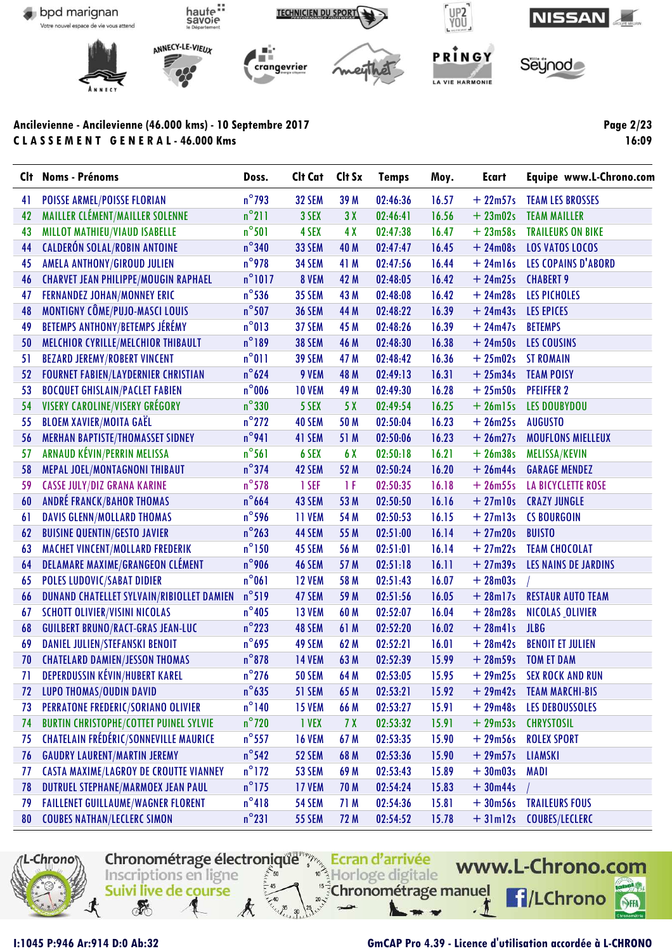

Clt Noms - Prénoms Doss. Clt Cat Clt Sx **Temps** Moy. **Ecart** Equipe www.L-Chrono.com  $n^{\circ}$ 793 41 **POISSE ARMEL/POISSE FLORIAN** 32 SEM 39 M 02:46:36  $16.57$  $+22m57s$ **TEAM LES BROSSES** 42 MAILLER CLÉMENT/MAILLER SOLENNE  $n^{\circ}$ 211 3 SEX  $3X$ 02:46:41 16.56  $+23m02s$ **TEAM MAILLER**  $n^{\circ}501$ 43 **MILLOT MATHIEU/VIAUD ISABELLE** 4 SEX 4 X 02:47:38 1647  $+23m58s$ **TRAILEURS ON BIKE** 44 **CALDERÓN SOLAL/ROBIN ANTOINE**  $n^{\circ}340$ **33 SEM** 40 M  $02:47:47$  $16.45$  $+24m08s$ **LOS VATOS LOCOS**  $n^{\circ}$ 978 45 AMELA ANTHONY/GIROUD JULIEN **34 SEM** 41 M 02:47:56 16.44  $+24ml6s$ **LES COPAINS D'ABORD** 46 **CHARVET JEAN PHILIPPE/MOUGIN RAPHAEL**  $n^{\circ}1017$ 8 VEM 42 M 02:48:05 16.42  $+24m25s$ **CHABERT 9** 47 **FERNANDEZ JOHAN/MONNEY ERIC**  $n^{\circ}$ 536 **35 SEM** 43 M 02:48:08 16.42  $+24m28s$ **LES PICHOLES** 48 **MONTIGNY CÔME/PUJO-MASCI LOUIS**  $n^{\circ}$ 507 **36 SEM** 44 M 02:48:22 16.39  $+24m43s$ **LES EPICES** 49 **BETEMPS ANTHONY/BETEMPS JÉRÉMY**  $n^{\circ}013$ 37 SEM 45 M 02:48:26 16.39  $+24m47s$ **BETEMPS** 50 MELCHIOR CYRILLE/MELCHIOR THIBAULT  $n^{\circ}189$ **38 SEM** 46 M 02:48:30 16.38  $+24m50s$ **LES COUSINS** 51 **BEZARD JEREMY/ROBERT VINCENT**  $n^{\circ}011$ **39 SEM** 47 M 02:48:42 16.36  $+25m02s$ **ST ROMAIN**  $n^{\circ}624$  $52$ **FOURNET FABIEN/LAYDERNIER CHRISTIAN** 9 VEM 48 M  $02:49:13$  $16.31$  $+25m34s$ **TEAM POISY** 53 **BOCQUET GHISLAIN/PACLET FABIEN**  $n^{\circ}$ 006 **10 VEM** 49 M 02:49:30 16.28  $+25m50s$ **PFEIFFER 2** 54 **VISERY CAROLINE/VISERY GRÉGORY**  $n^{\circ}330$ 5 SEX  $5X$ 02:49:54 16.25  $+26$ ml5s **LES DOUBYDOU** 55 **BLOEM XAVIER/MOITA GAEL**  $n^{\circ}$ 272 40 SEM 50 M 02:50:04 16.23  $+26m25s$ **AUGUSTO**  $n^{\circ}$ 941 56 **MERHAN BAPTISTE/THOMASSET SIDNEY** 41 SEM 51 M 02:50:06 16.23  $+26m27s$ **MOUFLONS MIELLEUX**  $n^{\circ}$ 561 57 ARNAUD KÉVIN/PERRIN MELISSA 6 SEX 6 X  $02:50:18$  $16.21$  $+26m38s$ **MELISSA/KEVIN** 58 MEPAL JOEL/MONTAGNONI THIBAUT  $n^{\circ}$ 374 42 SEM 52 M  $02:50:24$ 16.20  $+26m44s$ **GARAGE MENDEZ** 59 **CASSE JULY/DIZ GRANA KARINE**  $n^{\circ}$ 578 1 SEF  $1F$ 02:50:35  $16.18$  $+26m55s$ LA BICYCLETTE ROSE 60 **ANDRÉ FRANCK/BAHOR THOMAS**  $n^{\circ}$ 664 43 SEM 53 M  $02:50:50$  $16.16$  $+27$ ml0s **CRAZY JUNGLE DAVIS GLENN/MOLLARD THOMAS**  $n^{\circ}$ 596 11 VEM 54 M 02:50:53 16.15  $+27m13s$ **CS BOURGOIN** 61  $n^{\circ}$ 263 44 SEM 55 M  $02:51:00$  $16.14$  $+27m20s$ 62 **BUISINE QUENTIN/GESTO JAVIER BUISTO MACHET VINCENT/MOLLARD FREDERIK**  $n^{\circ}$ 150 45 SEM 56 M  $02:51:01$ 16.14  $+27m22s$ **TEAM CHOCOLAT**  $63$  $n^{\circ}$ 906 **DELAMARE MAXIME/GRANGEON CLÉMENT** 46 SEM 57 M  $02:51:18$  $16.11$  $+27m39s$ **LES NAINS DE JARDINS** 64 **POLES LUDOVIC/SABAT DIDIER**  $n^{\circ}061$ **12 VEM** 58 M  $02:51:43$ 16.07  $+28m03s$ 65  $n^{\circ}519$ 47 SEM 59 M  $02:51:56$ 16.05  $+28$ ml7s 66 **DUNAND CHATELLET SYLVAIN/RIBIOLLET DAMIEN RESTAUR AUTO TEAM**  $n^{\circ}$ 405 **SCHOTT OLIVIER/VISINI NICOLAS** 13 VEM 60 M 02:52:07 16.04  $+28m28s$ NICOLAS OLIVIER 67  $n^{\circ}$ 223 48 SEM 61 M  $02:52:20$ 16.02  $+28m41s$ 68 **GUILBERT BRUNO/RACT-GRAS JEAN-LUC JLBG**  $+28m42s$ **BENOIT ET JULIEN**  $n^{\circ}$ 695 49 SEM 62 M  $02:52:21$  $16.01$ 69 **DANIEL JULIEN/STEFANSKI BENOIT** 70 **CHATELARD DAMIEN/JESSON THOMAS**  $n^{\circ}$ 878 **14 VEM** 63 M 02:52:39 15.99  $+28m59s$ **TOM ET DAM** 71 **DEPERDUSSIN KÉVIN/HUBERT KAREL**  $n^{\circ}$ 276 **50 SEM** 64 M  $02:53:05$ 15.95  $+29m25s$ **SEX ROCK AND RUN LUPO THOMAS/OUDIN DAVID**  $n^{\circ}$ 635 51 SEM 65 M  $02:53:21$ 15.92  $+29m42s$ **TEAM MARCHI-BIS** 72  $+29m48s$  $n^{\circ}$ 140 02:53:27  $15.91$ 73 **PERRATONE FREDERIC/SORIANO OLIVIER 15 VEM** 66 M **LES DEBOUSSOLES**  $n^{\circ}$ 720 74 **BURTIN CHRISTOPHE/COTTET PUINEL SYLVIE I VEX**  $7X$ 02:53:32 15.91  $+29m53s$ **CHRYSTOSIL** 75 **CHATELAIN FRÉDÉRIC/SONNEVILLE MAURICE**  $n^{\circ}$ 557 **16 VEM** 67 M 02:53:35 15.90  $+29m56s$ **ROLEX SPORT**  $+29m57s$  $n^{\circ}$ 542 52 SEM 68 M 02:53:36 15.90 **LIAMSKI** 76 **GAUDRY LAURENT/MARTIN JEREMY**  $n^{\circ}$ 172 69 M 02:53:43 15.89  $77$ **CASTA MAXIME/LAGROY DE CROUTTE VIANNEY** 53 SEM  $+30m03s$ **MADI** 78 **DUTRUEL STEPHANE/MARMOEX JEAN PAUL**  $n^{\circ}$ 175 17 VEM 70 M  $02:54:24$ 15.83  $+30<sub>m</sub>44s$ 79  $n^{\circ}418$ **TRAILEURS FOUS FAILLENET GUILLAUME/WAGNER FLORENT 54 SEM** 71 M 02:54:36  $15.81$  $+30<sub>m56s</sub>$ 80  $n^{\circ}231$ **72 M** 02:54:52 15.78 **COUBES NATHAN/LECLERC SIMON 55 SEM**  $+31ml2s$ **COUBES/LECLERC** 



I:1045 P:946 Ar:914 D:0 Ab:32

#### **GmCAP Pro 4.39 - Licence d'utilisation accordée à L-CHRONO**

Page 2/23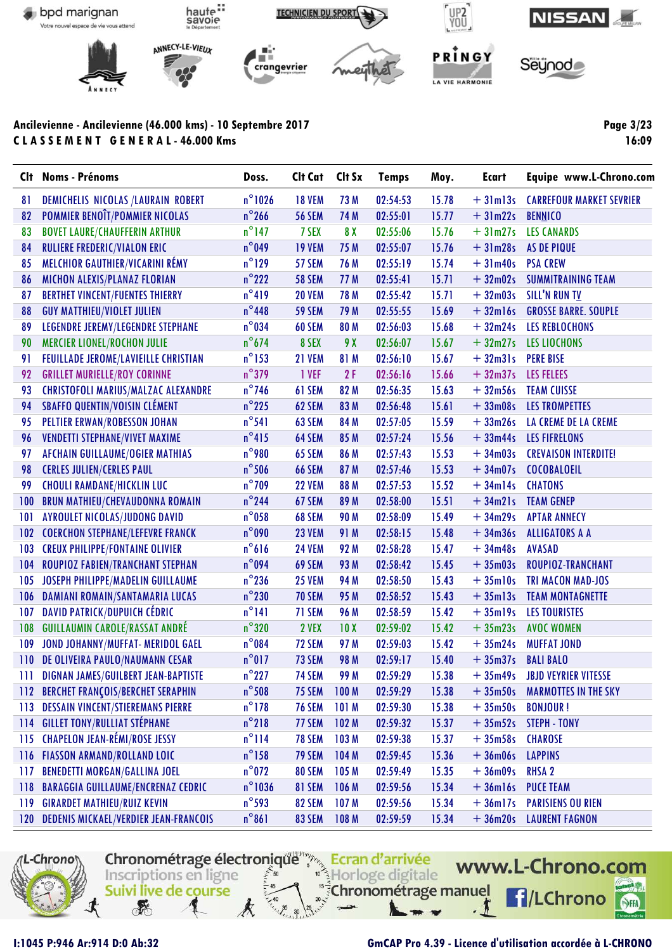

Clt Noms - Prénoms Doss. Clt Cat Clt Sx **Temps** Moy. **Ecart** Equipe www.L-Chrono.com  $n^{\circ}$ 1026 81 DEMICHELIS NICOLAS /LAURAIN ROBERT **18 VEM** 73 M 02:54:53 15.78  $+3$ lm $3s$ **CARREFOUR MARKET SEVRIER** 82 **POMMIER BENOIT/POMMIER NICOLAS**  $n^{\circ}$ 266 **56 SEM 74 M**  $02:55:01$  $15.77$  $+31m22s$ **BENNICO**  $n^{\circ}$ 147 83 **BOVET LAURE/CHAUFFERIN ARTHUR** 7 SEX  $8<sub>X</sub>$  $02:55:06$ 15.76  $+31m27s$ **LES CANARDS** 84 **RULIERE FREDERIC/VIALON ERIC**  $n^{\circ}$ 049 **19 VEM** 75 M  $02:55:07$  $15.76$  $+31m28s$ **AS DE PIQUE**  $n^{\circ}129$ 85 **MELCHIOR GAUTHIER/VICARINI RÉMY** 57 SEM 76 M  $02:55:19$ 15.74  $+31m40s$ **PSA CREW** 86 MICHON ALEXIS/PLANAZ FLORIAN  $n^{\circ}222$ **58 SEM** 77 M  $02:55:41$  $15.71$  $+32m02s$ **SUMMITRAINING TEAM**  $n^{\circ}419$ 87 **BERTHET VINCENT/FUENTES THIERRY 20 VEM 78 M**  $02:55:42$  $15.71$  $+32m03s$ SILL'N RUN TV 88 **GUY MATTHIEU/VIOLET JULIEN**  $n^{\circ}$ 448 **59 SEM** 79 M 02:55:55 15.69  $+32$ ml6s **GROSSE BARRE, SOUPLE** 89 **LEGENDRE JEREMY/LEGENDRE STEPHANE**  $n^{\circ}$ 034 60 SEM 80 M 02:56:03 15.68  $+32m24s$ **LES REBLOCHONS** 90 **MERCIER LIONEL/ROCHON JULIE**  $n^{\circ}674$ 8 SEX  $9X$  $02:56:07$ 15.67  $+32m27s$ **LES LIOCHONS** FEUILLADE JEROME/LAVIEILLE CHRISTIAN 91  $n^{\circ}$ 153 **21 VEM** 81 M  $02:56:10$ 15.67  $+32m31s$ **PERE BISE**  $n^{\circ}379$ 92 **GRILLET MURIELLE/ROY CORINNE** 1 VEF  $2F$  $02:56:16$ 15.66  $+32m37s$ **LES FELEES** 93 **CHRISTOFOLI MARIUS/MALZAC ALEXANDRE**  $n^{\circ}$ 746 61 SEM 82 M 02:56:35 15.63  $+32m56s$ **TEAM CUISSE** 94 **SBAFFO QUENTIN/VOISIN CLÉMENT**  $n^{\circ}$ 225 62 SEM 83 M 02:56:48  $15.61$  $+33m08s$ **LES TROMPETTES** 95  $+33m26s$ **PELTIER ERWAN/ROBESSON JOHAN**  $n^{\circ}541$ 63 SEM 84 M 02:57:05 15.59 LA CREME DE LA CREME 96 **VENDETTI STEPHANE/VIVET MAXIME**  $n^{\circ}415$ 64 SEM 85 M  $02:57:24$ 15.56  $+33m44s$ **LES FIFRELONS AFCHAIN GUILLAUME/OGIER MATHIAS**  $n^{\circ}$ 980 97 65 SEM 86 M  $02:57:43$ 15.53  $+34m03s$ **CREVAISON INTERDITE!** 98  $n^{\circ}$ 506 **66 SEM** 87 M  $02:57:46$ 15.53  $+34m07s$ **COCOBALOEIL CERLES JULIEN/CERLES PAUL** 15.52 99 **CHOULI RAMDANE/HICKLIN LUC**  $n^{\circ}$ 709 **22 VEM** 88 M 02:57:53  $+34ml4s$ **CHATONS** 100 **BRUN MATHIEU/CHEVAUDONNA ROMAIN**  $n^{\circ}$ 244 67 SEM 89 M  $02:58:00$  $15.51$  $+34m21s$ **TEAM GENEP AYROULET NICOLAS/JUDONG DAVID**  $n^{\circ}$ 058 **90 M** 02:58:09 15.49  $+34m29s$ **APTAR ANNECY** 101 68 SEM  $n^{\circ}$ 090 **23 VEM** 91 M  $02:58:15$ 15.48  $+34m36s$  $102$ **COERCHON STEPHANE/LEFEVRE FRANCK ALLIGATORS A A** 103 **CREUX PHILIPPE/FONTAINE OLIVIER**  $n^{\circ}616$ **24 VEM** 92 M 02:58:28 15.47  $+34m48s$ **AVASAD** 104 **ROUPIOZ FABIEN/TRANCHANT STEPHAN**  $n^{\circ}$ 094 69 SEM 93 M 02:58:42 15.45  $+35m03s$ **ROUPIOZ-TRANCHANT** JOSEPH PHILIPPE/MADELIN GUILLAUME  $n^{\circ}$ 236 **25 VEM** 94 M 02:58:50 15.43  $+35$ ml0s **TRI MACON MAD-JOS** 105  $n^{\circ}230$ **70 SEM** 95 M 02:58:52 15.43  $+35$ ml $3s$  $106$ DAMIANI ROMAIN/SANTAMARIA LUCAS **TEAM MONTAGNETTE DAVID PATRICK/DUPUICH CÉDRIC**  $n^{\circ}141$ 71 SEM **96 M** 02:58:59 15.42  $+35$ ml9s **LES TOURISTES**  $107$  $n^{\circ}320$ 108 **GUILLAUMIN CAROLE/RASSAT ANDRÉ** 2 VEX  $10<sub>X</sub>$ 02:59:02 1542  $+35m23s$ **AVOC WOMEN**  $n^{\circ}$ 084 72 SEM 97 M 02:59:03 15.42  $+35m24s$ 109 JOND JOHANNY/MUFFAT- MERIDOL GAEL **MUFFAT JOND**  $110$ DE OLIVEIRA PAULO/NAUMANN CESAR  $n^{\circ}017$ 73 SEM **98 M**  $02:59:17$ 15.40  $+35m37s$ **BALI BALO**  $111$ **DIGNAN JAMES/GUILBERT JEAN-BAPTISTE**  $n^{\circ}227$ **74 SFM 99 M** 02:59:29 15.38  $+35m49s$ **JBJD VEYRIER VITESSE** 112 BERCHET FRANÇOIS/BERCHET SERAPHIN  $n^{\circ}$ 508 75 SEM 100 M 02:59:29 15.38  $+35m50s$ **MARMOTTES IN THE SKY**  $n^{\circ}$ 178 **76 SEM**  $101M$ 02:59:30 15.38  $113$ **DESSAIN VINCENT/STIEREMANS PIERRE**  $+35m50s$ **BONJOUR!**  $114$ **GILLET TONY/RULLIAT STÉPHANE**  $n^{\circ}$ 218 77 SEM  $102<sub>M</sub>$ 02:59:32 15.37  $+35m52s$ **STEPH - TONY CHAPELON JEAN-RÉMI/ROSE JESSY**  $n^{\circ}$ 114 **78 SEM** 103 M 02:59:38 15.37  $+35m58s$ **CHAROSE**  $115$  $n^{\circ}$ 158 79 SEM 104 M 02:59:45 15.36  $+36$ m $06s$ **LAPPINS** 116 FIASSON ARMAND/ROLLAND LOIC  $n^{\circ}$ 072 **80 SEM** 105 M 02:59:49 15.35  $117$ **BENEDETTI MORGAN/GALLINA JOEL**  $+36m09s$ **RHSA 2**  $118$ **BARAGGIA GUILLAUME/ENCRENAZ CEDRIC**  $n^{\circ}$ 1036 81 SEM 106 M 02:59:56 15.34  $+36$ ml6s **PUCE TEAM**  $n^{\circ}$ 593 107 M 15.34  $119$ **GIRARDET MATHIEU/RUIZ KEVIN** 82 SEM 02:59:56  $+36$ ml7s **PARISIENS OU RIEN**  $n^{\circ}861$ 83 SEM 108 M 02:59:59 15.34  $120$ **DEDENIS MICKAEL/VERDIER JEAN-FRANCOIS**  $+36m20s$ **LAURENT FAGNON** 



I:1045 P:946 Ar:914 D:0 Ab:32

## **GmCAP Pro 4.39 - Licence d'utilisation accordée à L-CHRONO**

Page 3/23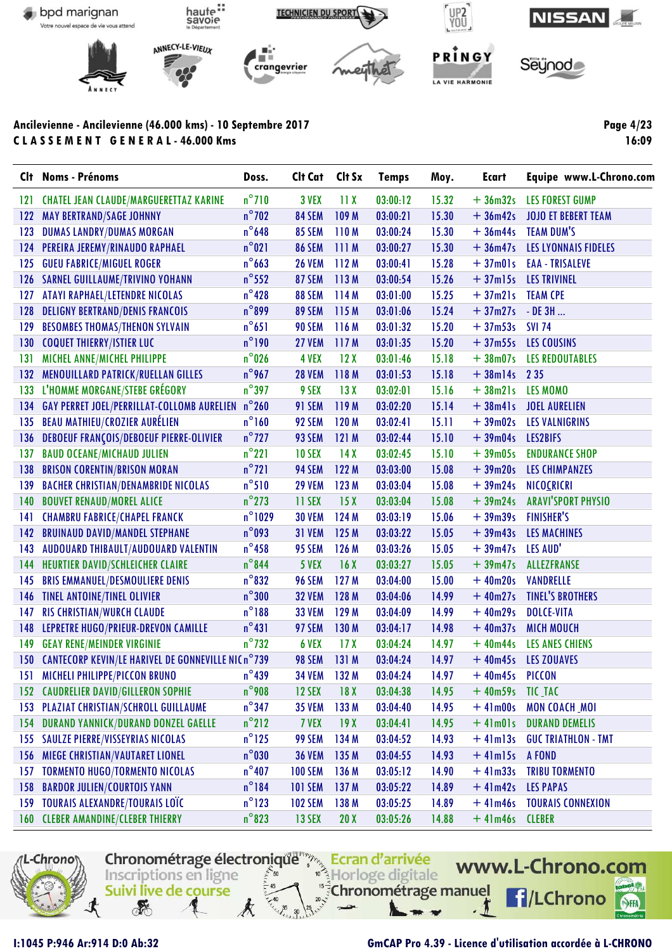

Clt Noms - Prénoms Doss. Clt Cat Clt Sx **Temps** Moy. **Ecart** Equipe www.L-Chrono.com  $n^{\circ}710$ 3 VEX  $11X$  $03:00:12$ 15.32  $121$ **CHATEL JEAN CLAUDE/MARGUERETTAZ KARINE**  $+36m32s$ **LES FOREST GUMP 122 MAY BERTRAND/SAGE JOHNNY**  $n^{\circ}$ 702 84 SEM 109 M  $03:00:21$ 15.30  $+36m42s$ **JOJO ET BEBERT TEAM**  $123$ **DUMAS LANDRY/DUMAS MORGAN**  $n^{\circ}$ 648 85 SEM 110 M 03:00:24 15.30  $+36m44s$ **TEAM DUM'S** LES LYONNAIS FIDELES 124 PEREIRA JEREMY/RINAUDO RAPHAEL  $n^{\circ}021$ **86 SEM** 03:00:27 15.30  $+36m47s$  $111M$  $n^{\circ}663$ 125 **GUEU FABRICE/MIGUEL ROGER 26 VEM**  $112M$  $03:00:41$ 15.28  $+37m01s$ **EAA - TRISALEVE** 126 SARNEL GUILLAUME/TRIVINO YOHANN  $n^{\circ}$ 552 87 SEM 113 M 03:00:54 15.26  $+37$ ml5s **LES TRIVINEL ATAYI RAPHAEL/LETENDRE NICOLAS**  $127$  $n^{\circ}$ 428 88 SEM  $114M$  $03:01:00$ 15.25  $+37m21s$ **TEAM CPE**  $n^{\circ}$ 899 89 SEM  $115M$  $03:01:06$ 15.24  $+37m27s$  $128$ **DELIGNY BERTRAND/DENIS FRANCOIS**  $-$  DE 3H  $\ldots$ 129 **BESOMBES THOMAS/THENON SYLVAIN**  $n^{\circ}651$ **90 SEM** 116 M 03:01:32 15.20  $+37m53s$ **SVI 74** 130 **COQUET THIERRY/ISTIER LUC**  $n^{\circ}190$ 27 VEM 117 M  $03:01:35$ 15 20  $+37m55s$ **LES COUSINS**  $131$ MICHEL ANNE/MICHEL PHILIPPE  $n^{\circ}$ 026 4 VEX  $12X$  $03:01:46$ 15.18  $+38m07s$ **LES REDOUTABLES**  $n^{\circ}$ 967  $132$ **MENOUILLARD PATRICK/RUELLAN GILLES 28 VEM** 118 M  $03:01:53$ 15.18  $+38$ ml4s 2 3 5  $n^{\circ}$ 397 L'HOMME MORGANE/STEBE GRÉGORY 9 SEX  $13X$  $03:02:01$ 15.16  $+38m21s$ LES MOMO 133 **GAY PERRET JOEL/PERRILLAT-COLLOMB AURELIEN**  $n^{\circ}260$ 91 SEM 119 M  $03:02:20$ 15.14  $+38m41s$ **JOEL AURELIEN**  $134$ **LES VALNIGRINS** 135 **BEAU MATHIEU/CROZIER AURELIEN**  $n^{\circ}160$ 92 SEM 120 M 03:02:41  $15.11$  $+39m02s$ 136 **DEBOEUF FRANÇOIS/DEBOEUF PIERRE-OLIVIER**  $n^{\circ}$ 727 93 SEM  $121M$ 03:02:44 15.10  $+39m04s$ **LES2BIFS BAUD OCEANE/MICHAUD JULIEN**  $n^{\circ}221$ 10 SEX  $14X$  $03:02:45$ 1510  $+39m05s$ **ENDURANCE SHOP** 137  $n^{\circ}$ 721 94 SEM 122 M  $03:03:00$ 15.08  $+39m20s$ **LES CHIMPANZES**  $138$ **BRISON CORENTIN/BRISON MORAN** 139 **BACHER CHRISTIAN/DENAMBRIDE NICOLAS**  $n^{\circ}510$ **29 VEM** 123 M 03:03:04 15.08  $+39m24s$ NICOCRICRI 140 **BOUVET RENAUD/MOREL ALICE**  $n^{\circ}$ 273 **11 SEX**  $15<sub>X</sub>$ 03:03:04 15.08  $+39m24s$ **ARAVI'SPORT PHYSIO CHAMBRU FABRICE/CHAPEL FRANCK**  $n^{\circ}$ 1029 **30 VEM** 124 M  $03:03:19$ 15.06  $+39m39s$ **FINISHER'S** 141  $n^{\circ}$ 093 **31 VEM** 125 M 03:03:22 15.05  $+39m43s$ **LES MACHINES 142 BRUINAUD DAVID/MANDEL STEPHANE**  $n^{\circ}$ 458 143 AUDOUARD THIBAULT/AUDOUARD VALENTIN 95 SEM 126 M 03:03:26 15.05  $+39m47s$ LES AUD' 144 **HEURTIER DAVID/SCHLEICHER CLAIRE**  $n^{\circ}$ 844 5 VFX  $16X$ 03:03:27 15.05  $+39m47s$ **ALLEZFRANSE**  $n^{\circ}832$ 96 SEM  $127M$ 03:04:00 15.00  $+40m20s$ VANDRELLE 145 **BRIS EMMANUEL/DESMOULIERE DENIS**  $n^{\circ}300$ **32 VEM** 128 M 14.99  $+40m27s$ **TINEL'S BROTHERS 146 TINEL ANTOINE/TINEL OLIVIER** 03:04:06  $147$ **RIS CHRISTIAN/WURCH CLAUDE**  $n^{\circ}188$ **33 VEM** 129 M 03:04:09 14.99  $+40m29s$ **DOLCE-VITA** 148 LEPRETRE HUGO/PRIEUR-DREVON CAMILLE  $n^{\circ}431$ 97 SEM 130 M  $03:04:17$ 14.98  $+40m37s$ **MICH MOUCH**  $n^{\circ}$ 732 6 VEX  $17<sub>X</sub>$ 14.97  $+40m44s$ 149 **GEAY RENE/MEINDER VIRGINIE** 03:04:24 LES ANES CHIENS 150 CANTECORP KEVIN/LE HARIVEL DE GONNEVILLE NIC n°739 98 SEM  $131M$ 03:04:24 14.97  $+40m45s$ **LES ZOUAVES MICHELI PHILIPPE/PICCON BRUNO**  $n^{\circ}$ 439 **34 VEM** 132 M  $03:04:24$ 14.97  $+40m45s$ PICCON 151  $+40m59s$  $n^{\circ}$ 908 12 SEX  $18<sub>X</sub>$ 03:04:38 14.95 TIC\_TAC **152 CAUDRELIER DAVID/GILLERON SOPHIE** 153  $n^{\circ}$ 347 133 M 14.95 **PLAZIAT CHRISTIAN/SCHROLL GUILLAUME 35 VEM** 03:04:40  $+41m00s$ MON COACH\_MOI  $n^{\circ}$ 212 154 **DURAND YANNICK/DURAND DONZEL GAELLE** 7 VEX  $19X$  $03:04:41$ 14.95  $+41m01s$ **DURAND DEMELIS SAULZE PIERRE/VISSEYRIAS NICOLAS**  $n^{\circ}$ 125 99 SEM 134 M 03:04:52 14.93  $+41ml3s$ **GUC TRIATHLON - TMT** 155  $+4$ lm $15s$ **MIEGE CHRISTIAN/VAUTARET LIONEL**  $n^{\circ}$ 030 **36 VEM** 135 M 03:04:55 14.93 A FOND **156**  $n^{\circ}$ 407 14.90 **TORMENTO HUGO/TORMENTO NICOLAS 100 SEM** 136 M  $03:05:12$  $+41m33s$ **TRIBU TORMENTO** 157 158 **BARDOR JULIEN/COURTOIS YANN**  $n^{\circ}184$ **101 SEM** 137 M  $03:05:22$ 14.89  $+41m42s$ **LES PAPAS** 14.89  $n^{\circ}$ 123 138 M **TOURAIS CONNEXION** 159 **TOURAIS ALEXANDRE/TOURAIS LOTE 102 SEM** 03:05:25  $+41m46s$  $+41m46s$  $n^{\circ}$ 823 13 SEX  $20X$ 14.88 **160 CLEBER AMANDINE/CLEBER THIERRY** 03:05:26 **CLEBER** 



I:1045 P:946 Ar:914 D:0 Ab:32

#### **GmCAP Pro 4.39 - Licence d'utilisation accordée à L-CHRONO**

Page 4/23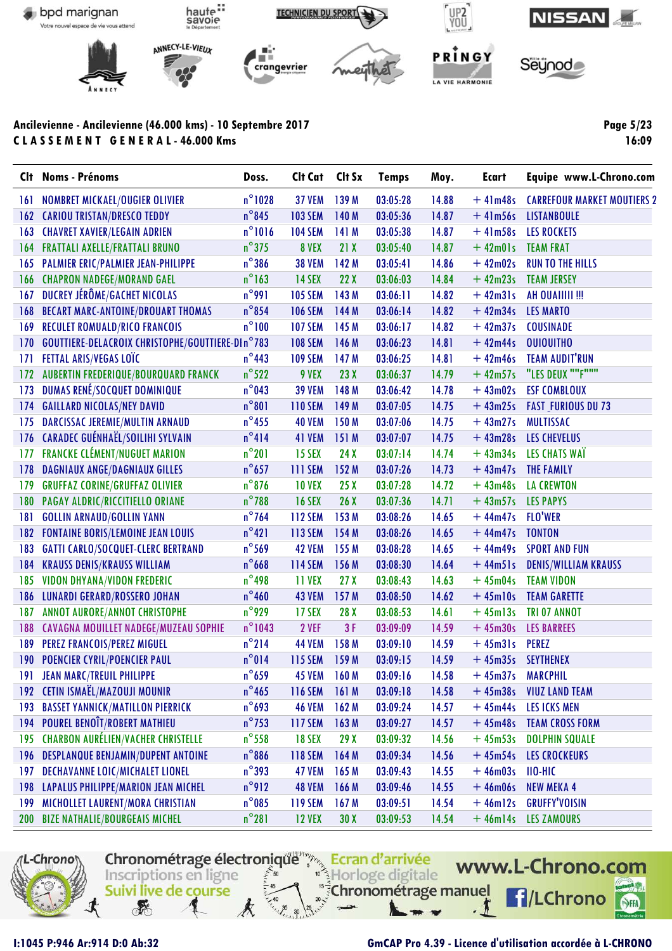

Clt Noms - Prénoms Doss. Clt Cat Clt Sx **Temps** Moy. **Ecart** Equipe www.L-Chrono.com  $n^{\circ}$ 1028 **37 VEM** 139 M 03:05:28 14.88  $161$ **NOMBRET MICKAEL/OUGIER OLIVIER**  $+41m48s$ **CARREFOUR MARKET MOUTIERS 2 162 CARIOU TRISTAN/DRESCO TEDDY**  $n^{\circ}$ 845 **103 SEM** 140 M 03:05:36 14.87  $+41m56s$ **LISTANBOULE**  $n^{\circ}1016$  $163$ **CHAVRET XAVIER/LEGAIN ADRIEN 104 SEM** 141 M 03:05:38 1487  $+41m58s$ **LES ROCKETS**  $n^{\circ}375$ 8 VEX  $21X$  $03:05:40$ 14.87  $+42m01s$ **TEAM FRAT 164 FRATTALI AXELLE/FRATTALI BRUNO**  $n^{\circ}$ 386 165 **PALMIER ERIC/PALMIER JEAN-PHILIPPE 38 VEM** 142 M  $03:05:41$ 14.86  $+42m02s$ **RUN TO THE HILLS** 166 **CHAPRON NADEGE/MORAND GAEL**  $n^{\circ}$ 163 14 SEX  $22X$ 03:06:03 14.84  $+42m23s$ **TEAM JERSEY**  $167$ DUCREY JÉRÔME/GACHET NICOLAS  $n^{\circ}$ 991 **105 SEM** 143 M  $03:06:11$ 14.82  $+42m31s$ AH OUAIIIII !!! **BECART MARC-ANTOINE/DROUART THOMAS**  $n^{\circ}$ 854 **106 SEM** 144 M  $03:06:14$ 14.82  $+42m34s$ **LES MARTO 168** 169 **RECULET ROMUALD/RICO FRANCOIS**  $n^{\circ}100$ **107 SEM** 145 M  $03:06:17$ 14.82  $+42m37s$ **COUSINADE** 170 **GOUTTIERE-DELACROIX CHRISTOPHE/GOUTTIERE-DIn°783 108 SEM** 146 M 03:06:23 14.81  $+42m44s$ **OUIOUITHO**  $171$ **FETTAL ARIS/VEGAS LOTC**  $n^{\circ}$ 443 **109 SEM** 147 M 03:06:25  $14.81$  $+42m46s$ **TEAM AUDIT'RUN** "LES DEUX ""F"""  $n^{\circ}522$ 14.79  $+42m57s$ 172 **AUBERTIN FREDERIQUE/BOURQUARD FRANCK** 9 VEX  $23X$  $03:06:37$  $n^{\circ}$ 043 173 **DUMAS RENÉ/SOCQUET DOMINIQUE 39 VEM** 148 M 03:06:42 14.78  $+43m02s$ **ESF COMBLOUX** 174 **GAILLARD NICOLAS/NEY DAVID**  $n^{\circ}801$ **110 SEM** 149 M  $03:07:05$ 14.75  $+43m25s$ **FAST\_FURIOUS DU 73** 175 DARCISSAC JEREMIE/MULTIN ARNAUD  $n^{\circ}$ 455 **40 VEM** 150 M 03:07:06 14.75  $+43m27s$ **MULTISSAC**  $n^{\circ}414$ 176 CARADEC GUÉNHAËL/SOILIHI SYLVAIN 41 VEM 151 M  $03:07:07$ 14.75  $+43m28s$ **LES CHEVELUS** 177 **FRANCKE CLÉMENT/NUGUET MARION**  $n^{\circ}201$ 15 SEX  $24X$  $03:07:14$ 14 74  $+43m34s$ LES CHATS WAT **DAGNIAUX ANGE/DAGNIAUX GILLES**  $n^{\circ}$ 657 **111 SEM** 152 M  $03:07:26$ 14.73  $+43m47s$ **THE FAMILY 178**  $+43m48s$ 179 **GRUFFAZ CORINE/GRUFFAZ OLIVIER**  $n^{\circ}$ 876 **10 VEX**  $25X$ 03:07:28 14.72 **LA CREWTON**  $n^{\circ}$ 788 180 **PAGAY ALDRIC/RICCITIELLO ORIANE 16 SEX**  $26<sub>X</sub>$  $03:07:36$  $14.71$  $+43m57s$ **LES PAPYS GOLLIN ARNAUD/GOLLIN YANN**  $n^{\circ}$ 764 **112 SEM** 153 M 03:08:26 14.65  $+44m47s$ **FLO'WER** 181 **FONTAINE BORIS/LEMOINE JEAN LOUIS**  $n^{\circ}421$ **113 SEM** 154 M 03:08:26 14.65  $+44m47s$ **TONTON 182**  $n^{\circ}$ 569 183 **GATTI CARLO/SOCQUET-CLERC BERTRAND 42 VEM** 155 M 03:08:28 14.65  $+44m49s$ **SPORT AND FUN** 184 **KRAUSS DENIS/KRAUSS WILLIAM**  $n^{\circ}$ 668 **114 SEM** 156 M 03:08:30 14.64  $+44m51s$ **DENIS/WILLIAM KRAUSS VIDON DHYANA/VIDON FREDERIC**  $n^{\circ}$ 498 11 VEX  $27<sub>X</sub>$ 03:08:43 14.63  $+45m04s$ **TEAM VIDON** 185  $n^{\circ}$ 460 **43 VEM** 157 M 03:08:50 14.62 **186** LUNARDI GERARD/ROSSERO JOHAN  $+45$ ml0s **TEAM GARETTE**  $n^{\circ}$ 929 187 **ANNOT AURORE/ANNOT CHRISTOPHE** 17 SEX  $28<sub>X</sub>$ 03:08:53  $14.61$  $+45m13s$ **TRI 07 ANNOT** 188 CAVAGNA MOUILLET NADEGE/MUZEAU SOPHIE  $n^{\circ}$ 1043 2 VEF  $3F$ 03:09:09 14.59  $+45m30s$ **LES BARREES PEREZ**  $n^{\circ}$ 214 **44 VEM** 158 M  $03:09:10$ 14.59  $+45m31s$ 189 **PEREZ FRANCOIS/PEREZ MIGUEL** 190 **POENCIER CYRIL/POENCIER PAUL**  $n^{\circ}014$ **115 SEM** 159 M  $03:09:15$ 14.59  $+45m35s$ **SEYTHENEX** 191 **JEAN MARC/TREUIL PHILIPPE**  $n^{\circ}$ 659 45 VEM 160 M  $03:09:16$ 14.58  $+45m37s$ **MARCPHIL VIUZ LAND TEAM 192 CETIN ISMAËL/MAZOUJI MOUNIR**  $n^{\circ}$ 465 **116 SEM** 161 M  $03:09:18$ 14.58  $+45m38s$  $n^{\circ}$ 693  $162M$ 03:09:24 14.57 193 **BASSET YANNICK/MATILLON PIERRICK 46 VEM**  $+45m44s$ **LES ICKS MEN**  $n^{\circ}$ 753 194 **POUREL BENOIT/ROBERT MATHIEU 117 SEM** 163 M 03:09:27 14.57  $+45m48s$ **TEAM CROSS FORM**  $n^{\circ}$ 558 195 **CHARBON AURÉLIEN/VACHER CHRISTELLE 18 SEX**  $29X$ 03:09:32 14.56  $+45m53s$ **DOLPHIN SQUALE**  $n^{\circ}$ 886 **118 SEM** 164 M 03:09:34 14.56  $+45m54s$ **LES CROCKEURS 196 DESPLANQUE BENJAMIN/DUPENT ANTOINE**  $n^{\circ}$ 393 14.55 197 DECHAVANNE LOIC/MICHALET LIONEL 47 VEM 165 M 03:09:43  $+46m03s$  $II0-HIC$  $n°912$ 198 **LAPALUS PHILIPPE/MARION JEAN MICHEL 48 VEM** 166 M  $03:09:46$ 14.55  $+46m06s$ **NEW MEKA 4** 199  $n^{\circ}$ 085 167 M 14.54 **GRUFFY'VOISIN** MICHOLLET LAURENT/MORA CHRISTIAN **119 SEM** 03:09:51  $+46m12s$  $n^{\circ}281$ **12 VEX**  $30X$ 14.54 200 **BIZE NATHALIE/BOURGEAIS MICHEL** 03:09:53  $+46m$ <sup>14s</sup> **LES ZAMOURS** 



I:1045 P:946 Ar:914 D:0 Ab:32

## **GmCAP Pro 4.39 - Licence d'utilisation accordée à L-CHRONO**

Page 5/23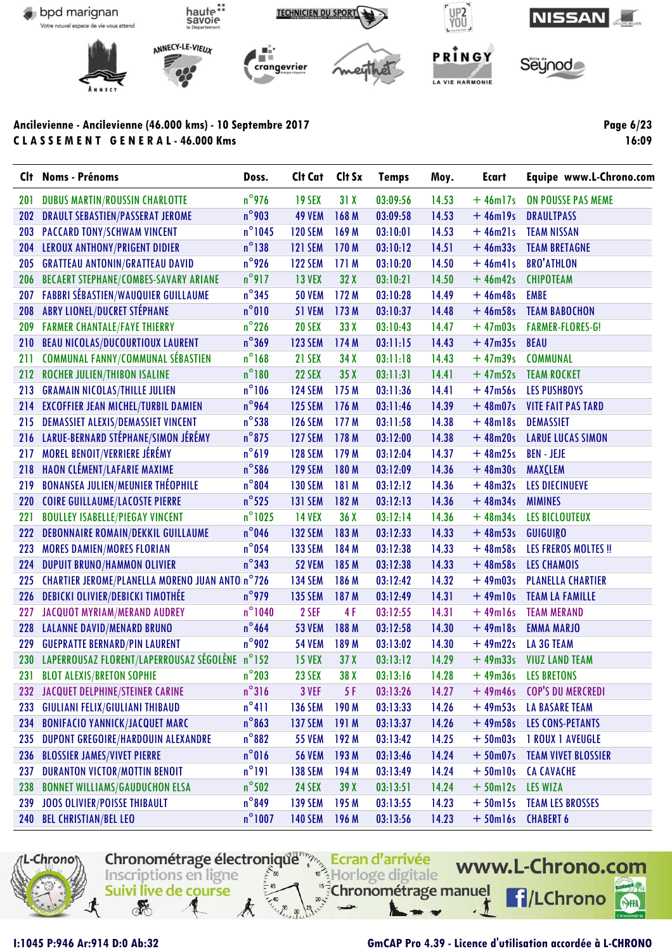

**Clt Noms - Prénoms Doss. Clt Cat Clt Sx Temps Moy. Ecart Equipe www.L-Chrono.com** 201 DUBUS MARTIN/ROUSSIN CHARLOTTE  $n^{\circ}$ 976 19 SEX 31 X 03:09:56 14.53 + 46m17s ON POUSSE PAS MEME 202 DRAULT SEBASTIEN/PASSERAT JEROME n°903 49 VEM 168 M 03:09:58 14.53 + 46m19s DRAULTPASS 203 PACCARD TONY/SCHWAM VINCENT n°1045 120 SEM 169 M 03:10:01 14.53 + 46m21s TEAM NISSAN 204 LEROUX ANTHONY/PRIGENT DIDIER n°138 121 SEM 170 M 03:10:12 14.51 + 46m33s TEAM BRETAGNE 205 GRATTEAU ANTONIN/GRATTEAU DAVID n°926 122 SEM 171 M 03:10:20 14.50 + 46m41s BRO'ATHLON 206 BECAERT STEPHANE/COMBES-SAVARY ARIANE n°917 13 VEX 32 X 03:10:21 14.50 + 46m42s CHIPOTEAM 207 FABBRI SÉBASTIEN/WAUQUIER GUILLAUME n°345 50 VEM 172 M 03:10:28 14.49 + 46m48s EMBE 208 ABRY LIONEL/DUCRET STÉPHANE n°010 51 VEM 173 M 03:10:37 14.48 + 46m58s TEAM BABOCHON 209 FARMER CHANTALE/FAYE THIERRY **n**°226 20 SEX 33 X 03:10:43 14.47 + 47m03s FARMER-FLORES-G! 210 BEAU NICOLAS/DUCOURTIOUX LAURENT n°369 123 SEM 174 M 03:11:15 14.43 + 47m35s BEAU 211 COMMUNAL FANNY/COMMUNAL SÉBASTIEN  $n^{\circ}168$  21 SEX 34 X 03:11:18 14.43  $+$  47m39s COMMUNAL 212 ROCHER JULIEN/THIBON ISALINE **n**°180 22 SEX 35 X 03:11:31 14.41 +47m52s TEAM ROCKET 213 GRAMAIN NICOLAS/THILLE JULIEN n°106 124 SEM 175 M 03:11:36 14.41 + 47m56s LES PUSHBOYS 214 EXCOFFIER JEAN MICHEL/TURBIL DAMIEN n°964 125 SEM 176 M 03:11:46 14.39 + 48m07s VITE FAIT PAS TARD 215 DEMASSIET ALEXIS/DEMASSIET VINCENT n<sup>o</sup>538 126 SEM 177 M 03:11:58 14.38 + 48m18s DEMASSIET 216 LARUE-BERNARD STÉPHANE/SIMON JÉRÉMY n°875 127 SEM 178 M 03:12:00 14.38 + 48m20s LARUE LUCAS SIMON 217 MOREL BENOIT/VERRIERE JÉRÉMY n°619 128 SEM 179 M 03:12:04 14.37 + 48m25s BEN - JEJE 218 HAON CLÉMENT/LAFARIE MAXIME n°586 129 SEM 180 M 03:12:09 14.36 + 48m30s MAXCLEM 219 BONANSEA JULIEN/MEUNIER THÉOPHILE n°804 130 SEM 181 M 03:12:12 14.36 + 48m32s LES DIECINUEVE 220 COIRE GUILLAUME/LACOSTE PIERRE n°525 131 SEM 182 M 03:12:13 14.36 + 48m34s MIMINES 221 BOULLEY ISABELLE/PIEGAY VINCENT m°1025 14 VEX 36 X 03:12:14 14.36 + 48m34s LES BICLOUTEUX 222 DEBONNAIRE ROMAIN/DEKKIL GUILLAUME n°046 132 SEM 183 M 03:12:33 14.33 + 48m53s GUIGUIRO 223 MORES DAMIEN/MORES FLORIAN n°054 133 SEM 184 M 03:12:38 14.33 + 48m58s LES FREROS MOLTES !! 224 DUPUIT BRUNO/HAMMON OLIVIER **n**°343 52 VEM 185 M 03:12:38 14.33 + 48m58s LES CHAMOIS 225 CHARTIER JEROME/PLANELLA MORENO JUAN ANTO n°726 134 SEM 186 M 03:12:42 14.32 + 49m03s PLANELLA CHARTIER 226 DEBICKI OLIVIER/DEBICKI TIMOTHÉE na politica n°979 na 135 SEM 187 M 03:12:49 na 14.31 + 49m10s TEAM LA FAMILLE 227 JACQUOT MYRIAM/MERAND AUDREY n<sup>°</sup>1040 2 SEF 4 F 03:12:55 14.31 +49m16s TEAM MERAND 228 LALANNE DAVID/MENARD BRUNO n°464 53 VEM 188 M 03:12:58 14.30 + 49m18s EMMA MARJO 229 GUEPRATTE BERNARD/PIN LAURENT **n°902** 54 VEM 189 M 03:13:02 14.30 + 49m22s LA 3G TEAM 230 LAPERROUSAZ FLORENT/LAPERROUSAZ SÉGOLÈNE n°152 15 VEX 37 X 03:13:12 14.29 + 49m33s VIUZ LAND TEAM 231 BLOT ALEXIS/BRETON SOPHIE  $n^{\circ}203$  23 SEX 38 X 03:13:16 14.28 + 49m36s LES BRETONS 232 JACQUET DELPHINE/STEINER CARINE m<sup>o</sup>316 3 VEF 5 F 03:13:26 14.27 + 49m46s COP'S DU MERCREDI 233 GIULIANI FELIX/GIULIANI THIBAUD n°411 136 SEM 190 M 03:13:33 14.26 + 49m53s LA BASARE TEAM 234 BONIFACIO YANNICK/JACQUET MARC n°863 137 SEM 191 M 03:13:37 14.26 + 49m58s LES CONS-PETANTS 235 DUPONT GREGOIRE/HARDOUIN ALEXANDRE n°882 55 VEM 192 M 03:13:42 14.25 + 50m03s 1 ROUX 1 AVEUGLE 236 BLOSSIER JAMES/VIVET PIERRE n°016 56 VEM 193 M 03:13:46 14.24 + 50m07s TEAM VIVET BLOSSIER 237 DURANTON VICTOR/MOTTIN BENOIT  $n^{\circ}191$  138 SEM 194 M 03:13:49 14.24 + 50m10s CA CAVACHE 238 BONNET WILLIAMS/GAUDUCHON ELSA https://go.com/24 SEX 39 X 03:13:51 14.24 + 50m12s LES WIZA 239 JOOS OLIVIER/POISSE THIBAULT n°849 139 SEM 195 M 03:13:55 14.23 + 50m15s TEAM LES BROSSES 240 BEL CHRISTIAN/BEL LEO n°1007 140 SEM 196 M 03:13:56 14.23 + 50m16s CHABERT 6



## **I:1045 P:946 Ar:914 D:0 Ab:32 GmCAP Pro 4.39 - Licence d'utilisation accordée à L-CHRONO**

**Page 6/23 16:09**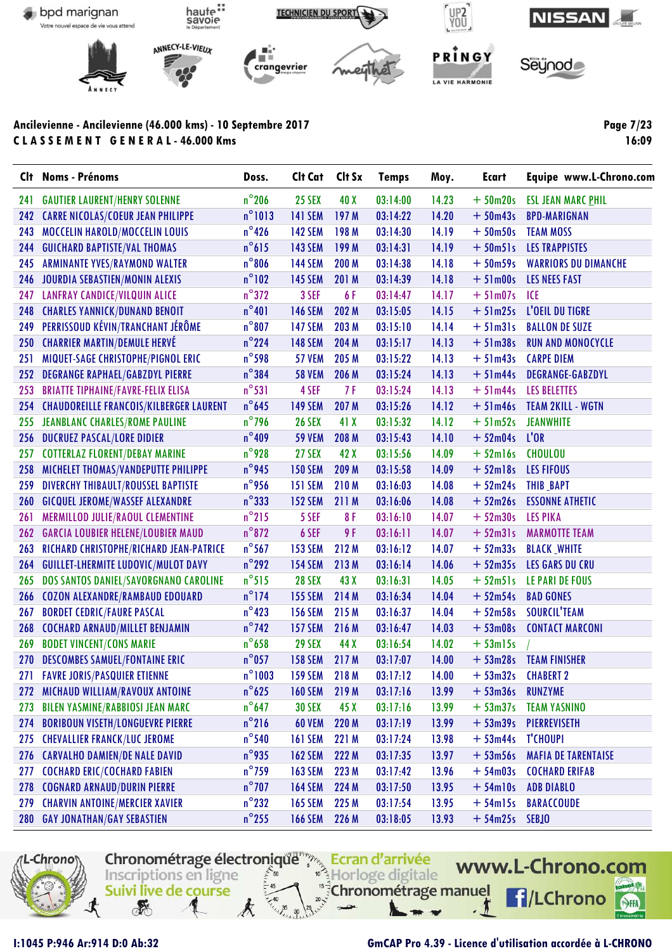

**Clt Noms - Prénoms Doss. Clt Cat Clt Sx Temps Moy. Ecart Equipe www.L-Chrono.com** 241 GAUTIER LAURENT/HENRY SOLENNE n°206 25 SEX 40 X 03:14:00 14.23 + 50m20s ESL JEAN MARC PHIL 242 CARRE NICOLAS/COEUR JEAN PHILIPPE  $n^{\circ}1013$  141 SEM 197 M 03:14:22 14.20 + 50m43s BPD-MARIGNAN 243 MOCCELIN HAROLD/MOCCELIN LOUIS  $n^{\circ}$ 426 142 SEM 198 M 03:14:30 14.19  $+$  50m50s TEAM MOSS 244 GUICHARD BAPTISTE/VAL THOMAS n°615 143 SEM 199 M 03:14:31 14.19 + 50m51s LES TRAPPISTES 245 ARMINANTE YVES/RAYMOND WALTER n°806 144 SEM 200 M 03:14:38 14.18 + 50m59s WARRIORS DU DIMANCHE 246 JOURDIA SEBASTIEN/MONIN ALEXIS n°102 145 SEM 201 M 03:14:39 14.18 + 51m00s LES NEES FAST 247 LANFRAY CANDICE/VILQUIN ALICE m<sup>o</sup>372 3 SEF 6 F 03:14:47 14.17 + 51m07s ICE 248 CHARLES YANNICK/DUNAND BENOIT  $n^{\circ}401$  146 SEM 202 M 03:15:05 14.15  $+51 \text{m} 25 \text{s}$  L'OEIL DU TIGRE 249 PERRISSOUD KÉVIN/TRANCHANT JÉRÔME n°807 147 SEM 203 M 03:15:10 14.14 + 51m31s BALLON DE SUZE 250 CHARRIER MARTIN/DEMULE HERVÉ  $n^{\circ}$ 224 148 SEM 204 M 03:15:17 14.13  $+$  51m38s RUN AND MONOCYCLE 251 MIQUET-SAGE CHRISTOPHE/PIGNOL ERIC  $n^{\circ}$ 598 57 VEM 205 M 03:15:22 14.13 + 51m43s CARPE DIEM 252 DEGRANGE RAPHAEL/GABZDYL PIERRE n°384 58 VEM 206 M 03:15:24 14.13 + 51m44s DEGRANGE-GABZDYL 253 BRIATTE TIPHAINE/FAVRE-FELIX ELISA n<sup>°53</sup>1 4 SEF 7F 03:15:24 14.13 + 51m44s LES BELETTES 254 CHAUDOREILLE FRANCOIS/KILBERGER LAURENT n°645 149SEM 207 M 03:15:26 14.12 + 51m46s TEAM 2KILL - WGTN 255 JEANBLANC CHARLES/ROME PAULINE n°796 26 SEX 41 X 03:15:32 14.12 + 51m52s JEANWHITE 256 DUCRUEZ PASCAL/LORE DIDIER n°409 59 VEM 208 M 03:15:43 14.10 + 52m04s L'OR 257 COTTERLAZ FLORENT/DEBAY MARINE  $n^{\circ}$ 928 27 SEX 42 X 03:15:56 14.09 + 52m16s CHOULOU 258 MICHELET THOMAS/VANDEPUTTE PHILIPPE n°945 150 SEM 209 M 03:15:58 14.09 + 52m18s LES FIFOUS 259 DIVERCHY THIBAULT/ROUSSEL BAPTISTE n°956 151 SEM 210 M 03:16:03 14.08 + 52m24s THIB BAPT 260 GICQUEL JEROME/WASSEF ALEXANDRE n°333 152 SEM 211 M 03:16:06 14.08 + 52m26s ESSONNE ATHETIC 261 MERMILLOD JULIE/RAOUL CLEMENTINE n°215 5 SEF 8 F 03:16:10 14.07 + 52m30s LES PIKA 262 GARCIA LOUBIER HELENE/LOUBIER MAUD n°872 6 SEF 9 F 03:16:11 14.07 + 52m31s MARMOTTE TEAM 263 RICHARD CHRISTOPHE/RICHARD JEAN-PATRICE n°567 153SEM 212 M 03:16:12 14.07 + 52m33s BLACK WHITE 264 GUILLET-LHERMITE LUDOVIC/MULOT DAVY n°292 154 SEM 213 M 03:16:14 14.06 + 52m35s LES GARS DU CRU 265 DOS SANTOS DANIEL/SAVORGNANO CAROLINE n°515 28 SEX 43 X 03:16:31 14.05 + 52m51s LE PARI DE FOUS 266 COZON ALEXANDRE/RAMBAUD EDOUARD n°174 155 SEM 214 M 03:16:34 14.04 + 52m54s BAD GONES 267 BORDET CEDRIC/FAURE PASCAL n°423 156 SEM 215 M 03:16:37 14.04 + 52m58s SOURCIL'TEAM 268 COCHARD ARNAUD/MILLET BENJAMIN n°742 157 SEM 216 M 03:16:47 14.03 + 53m08s CONTACT MARCONI 269 BODET VINCENT/CONS MARIE 10 1 29 SEX 44 X 03:16:54 14.02 + 53m15s 270 DESCOMBES SAMUEL/FONTAINE ERIC h<sup>o</sup>057 158 SEM 217 M 03:17:07 14.00 + 53m28s TEAM FINISHER 271 FAVRE JORIS/PASQUIER ETIENNE n°1003 159 SEM 218 M 03:17:12 14.00 + 53m32s CHABERT 2 272 MICHAUD WILLIAM/RAVOUX ANTOINE n°625 160 SEM 219 M 03:17:16 13.99 + 53m36s RUNZYME 273 BILEN YASMINE/RABBIOSI JEAN MARC n°647 30 SEX 45 X 03:17:16 13.99 + 53m37s TEAM YASNINO 274 BORIBOUN VISETH/LONGUEVRE PIERRE n°216 60 VEM 220 M 03:17:19 13.99 + 53m39s PIERREVISETH 275 CHEVALLIER FRANCK/LUC JEROME  $n^{\circ}$ 540 161 SEM 221 M 03:17:24 13.98  $+$  53m44s T'CHOUPI 276 CARVALHO DAMIEN/DE NALE DAVID n°935 162 SEM 222 M 03:17:35 13.97 + 53m56s MAFIA DE TARENTAISE 277 COCHARD ERIC/COCHARD FABIEN n°759 163 SEM 223 M 03:17:42 13.96 + 54m03s COCHARD ERIFAB 278 COGNARD ARNAUD/DURIN PIERRE n<sup>°</sup>707 164 SEM 224 M 03:17:50 13.95 + 54m10s ADB DIABLO 279 CHARVIN ANTOINE/MERCIER XAVIER **n**°232 165 SEM 225 M 03:17:54 13.95 + 54m15s BARACCOUDE 280 GAY JONATHAN/GAY SEBASTIEN n°255 166 SEM 226 M 03:18:05 13.93 + 54m25s SEBJO



#### **I:1045 P:946 Ar:914 D:0 Ab:32 GmCAP Pro 4.39 - Licence d'utilisation accordée à L-CHRONO**

**Page 7/23 16:09**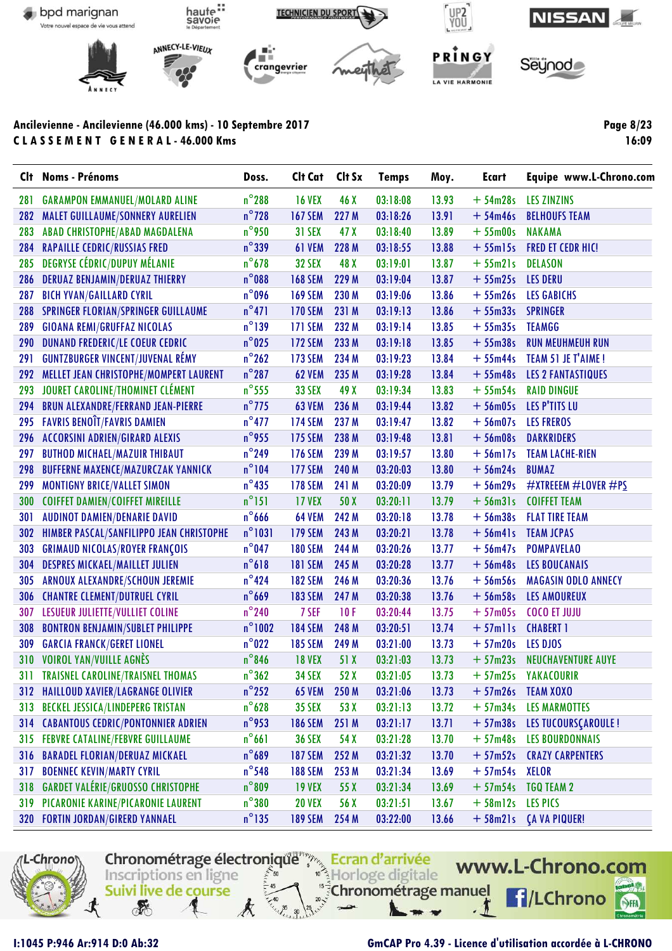

Clt **Noms - Prénoms** Doss. Clt Cat Clt Sx **Temps** Moy. **Ecart** Equipe www.L-Chrono.com  $n^{\circ}$ 288 281 **16 VEX** 46 X  $03:18:08$ 13.93 **GARAMPON EMMANUEL/MOLARD ALINE**  $+54m28s$ **LES ZINZINS** 282 **MALET GUILLAUME/SONNERY AURELIEN**  $n^{\circ}$ 728 **167 SEM** 227 M 03:18:26  $13.91$  $+54m46s$ **BELHOUFS TEAM**  $n^{\circ}$ 950 283 **ABAD CHRISTOPHE/ABAD MAGDALENA 31 SEX** 47 X  $03:18:40$ 13.89  $+55$ m00s **NAKAMA RAPAILLE CEDRIC/RUSSIAS FRED**  $n^{\circ}339$ 61 VEM 228 M 13.88  $+55$ ml $5s$ **FRED ET CEDR HIC!** 284  $03:18:55$ 285 **DEGRYSE CÉDRIC/DUPUY MÉLANIE**  $n^{\circ}$ 678 **32 SEX** 48 X  $03:19:01$ 13.87  $+55m21s$ **DELASON** 286 **DERUAZ BENJAMIN/DERUAZ THIERRY**  $n^{\circ}$ 088 **168 SEM** 229 M  $03:19:04$ 13.87  $+55m25s$ **LES DERU** 287 **BICH YVAN/GAILLARD CYRIL**  $n^{\circ}$ 096 **169 SEM** 230 M  $03:19:06$ 13.86  $+55m26s$ **LES GABICHS**  $n^{\circ}471$ **170 SEM** 231 M  $03:19:13$ 13.86  $+55<sub>m33s</sub>$ 288 **SPRINGER FLORIAN/SPRINGER GUILLAUME SPRINGER** 289 **GIOANA REMI/GRUFFAZ NICOLAS**  $n^{\circ}$ 139 **171 SEM** 232 M  $03:19:14$ 13.85  $+55m35s$ **TEAMGG** 290 **DUNAND FREDERIC/LE COEUR CEDRIC**  $n^{\circ}$ 025 **172 SEM** 233 M  $03:19:18$ 13.85  $+55m38s$ **RUN MEUHMEUH RUN**  $n^{\circ}$ 262  $+55m44s$ 291 **GUNTZBURGER VINCENT/JUVENAL RÉMY 173 SEM** 234 M  $03:19:23$ 13.84 TEAM 51 JE T'AIME! 292 **MELLET JEAN CHRISTOPHE/MOMPERT LAURENT**  $n^{\circ}$ 287 **62 VEM** 235 M  $03:19:28$ 13.84  $+55m48s$ **LES 2 FANTASTIQUES**  $n^{\circ}$ 555 293 JOURET CAROLINE/THOMINET CLÉMENT **33 SEX** 49 X  $03:19:34$ 13.83  $+55m54s$ **RAID DINGUE** 294 **BRUN ALEXANDRE/FERRAND JEAN-PIERRE**  $n^{\circ}$ 775 **63 VEM** 236 M  $03:19:44$ 13.82  $+56m05s$ LES P'TITS LU 295 **FAVRIS BENOTT/FAVRIS DAMIEN**  $n^{\circ}477$ **174 SEM** 237 M  $03:19:47$ 13.82  $+56$ m07s **LES FREROS**  $n^{\circ}$ 955 296 **ACCORSINI ADRIEN/GIRARD ALEXIS 175 SEM** 238 M  $03:19:48$  $13.81$  $+56m08s$ **DARKRIDERS**  $n^{\circ}$ 249 297 **BUTHOD MICHAEL/MAZUIR THIBAUT 176 SEM** 239 M  $03:19:57$ 1380  $+56$ ml7s **TEAM LACHE-RIEN** 298  $n^{\circ}104$ **177 SEM** 240 M  $03:20:03$ 13.80  $+56m24s$ **BUMAZ BUFFERNE MAXENCE/MAZURCZAK YANNICK** 299 **MONTIGNY BRICE/VALLET SIMON**  $n^{\circ}$ 435 **178 SEM** 241 M 03:20:09 13.79  $+56m29s$ #XTREEEM #LOVER #PS  $n^{\circ}151$ 300 **COIFFET DAMIEN/COIFFET MIREILLE 17 VEX**  $50X$  $03:20:11$ 13.79  $+56m31s$ **COIFFET TEAM**  $n^{\circ}$ 666 **64 VEM** 242 M  $03:20:18$ 13.78  $+56m38s$ **FLAT TIRE TEAM** 301 **AUDINOT DAMIEN/DENARIE DAVID**  $n^{\circ}$ 1031 **179 SEM** 243 M  $03:20:21$ 13.78 302 **HIMBER PASCAL/SANFILIPPO JEAN CHRISTOPHE**  $+56m4$ **TEAM JCPAS**  $n^{\circ}$ 047 303 **GRIMAUD NICOLAS/ROYER FRANÇOIS 180 SEM** 244 M 03:20:26 13.77  $+56m47s$ **POMPAVELAO** 304 **DESPRES MICKAEL/MAILLET JULIEN**  $n^{\circ}618$ **181 SEM 245 M** 03:20:28  $13.77$  $+56m48s$ **LES BOUCANAIS**  $n^{\circ}$ 424 **182 SEM** 246 M 03:20:36 13.76  $+56m56s$ 305 ARNOUX ALEXANDRE/SCHOUN JEREMIE **MAGASIN ODLO ANNECY**  $n^{\circ}$ 669 **183 SEM** 247 M 03:20:38 13.76 306 **CHANTRE CLEMENT/DUTRUEL CYRIL**  $+56m58s$ **LES AMOUREUX** 307 **LESUEUR JULIETTE/VULLIET COLINE**  $n^{\circ}$ 240 7 SEF  $10F$ 03:20:44 13.75  $+57m05s$ **COCO ET JUJU** 308 **BONTRON BENJAMIN/SUBLET PHILIPPE**  $n^{\circ}$ 1002 **184 SEM** 248 M  $03:20:51$ 13.74  $+ 57$ mlls **CHABERT 1**  $n^{\circ}$ 022 249 M  $03:21:00$ 13.73  $+57m20s$ 309 **GARCIA FRANCK/GERET LIONEL 185 SEM LES DJOS** 310 **VOIROL YAN/VUILLE AGNÈS**  $n^{\circ}$ 846 **18 VEX**  $51X$  $03:21:03$ 13.73  $+57m23s$ **NEUCHAVENTURE AUYE**  $n^{\circ}362$  $311$ **TRAISNEL CAROLINE/TRAISNEL THOMAS 34 SEX**  $52X$  $03:21:05$ 13.73  $+57m25s$ YAKACOURIR 312 HAILLOUD XAVIER/LAGRANGE OLIVIER  $n^{\circ}$ 252 **65 VEM** 250 M  $03:21:06$ 13.73  $+57m26s$ **TEAM XOXO** 313  $n^{\circ}$ 628  $03:21:13$ 13.72 **BECKEL JESSICA/LINDEPERG TRISTAN 35 SEX** 53 X  $+57m34s$ **LES MARMOTTES**  $n^{\circ}$ 953  $314$ **CABANTOUS CEDRIC/PONTONNIER ADRIEN 186 SEM** 251 M  $03:21:17$  $13.71$  $+57<sub>m38s</sub>$ **LES TUCOURSCAROULE! LES BOURDONNAIS** 315 **FEBVRE CATALINE/FEBVRE GUILLAUME**  $n^{\circ}661$ 54 X  $03:21:28$ 13.70  $+57m48s$ **36 SEX**  $n^{\circ}$ 689 **187 SEM** 252 M  $03:21:32$ 13.70  $+57m52s$ **CRAZY CARPENTERS** 316 BARADEL FLORIAN/DERUAZ MICKAEL  $n^{\circ}$ 548 253 M 03:21:34 13.69  $317$ **BOENNEC KEVIN/MARTY CYRIL 188 SEM**  $+57m54s$ **XELOR** 318 **GARDET VALÉRIE/GRUOSSO CHRISTOPHE**  $n^{\circ}809$ **19 VEX** 55 X  $03:21:34$ 13.69  $+57m54s$ **TGO TEAM 2**  $n^{\circ}380$ 13.67 319 **PICARONIE KARINE/PICARONIE LAURENT 20 VEX** 56 X  $03:21:51$  $+58$ ml2s **LES PICS**  $n^{\circ}$ 135 254 M 03:22:00  $+58m21s$ 320 **FORTIN JORDAN/GIRERD YANNAEL 189 SEM** 13.66 **CA VA PIQUER!** 



I:1045 P:946 Ar:914 D:0 Ab:32

## **GmCAP Pro 4.39 - Licence d'utilisation accordée à L-CHRONO**

**Page 8/23**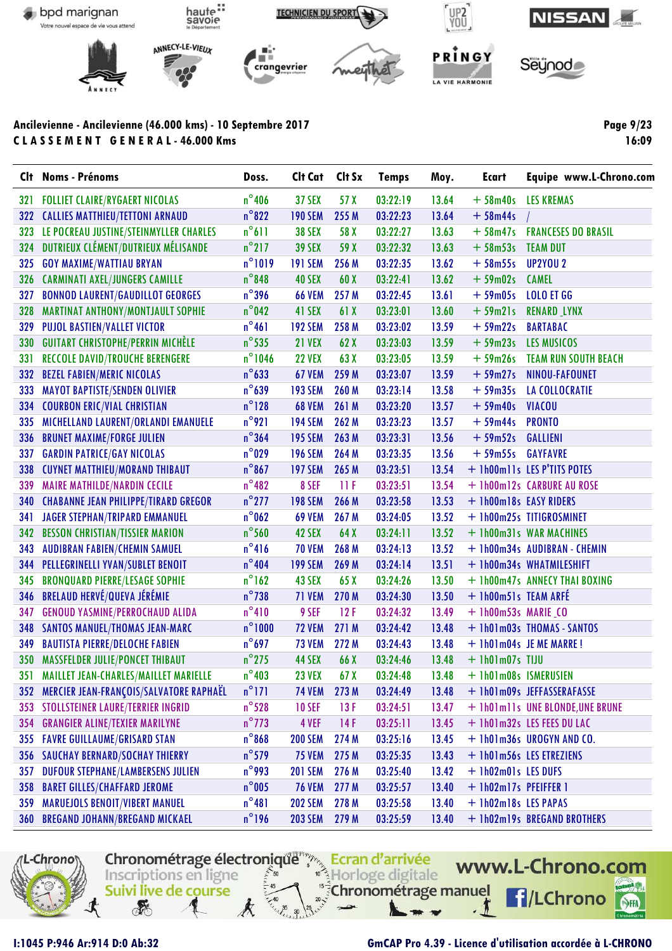

Clt Noms - Prénoms Doss. Clt Cat Clt Sx **Temps** Moy. **Ecart** Equipe www.L-Chrono.com **FOLLIET CLAIRE/RYGAERT NICOLAS**  $n^{\circ}$ 406 **37 SEX**  $57X$ 03:22:19 13.64  $+58m40s$  $321$ **LES KREMAS** 322 CALLIES MATTHIEU/TETTONI ARNAUD  $n^{\circ}822$ **190 SEM** 255 M 03:22:23 13.64  $+58m44s$  $n^{\circ}611$ 323 LE POCREAU JUSTINE/STEINMYLLER CHARLES **38 SEX** 58 X  $03:22:27$ 13.63  $+58m47s$ **FRANCESES DO BRASIL** 324 DUTRIEUX CLÉMENT/DUTRIEUX MÉLISANDE  $n^{\circ}$ 217 **39 SEX** 59 X 03:22:32  $+58m53s$ **TEAM DUT**  $13.63$ 325 **GOY MAXIME/WATTIAU BRYAN**  $n^{\circ}1019$ **191 SEM** 256 M 03:22:35 13.62  $+58m55s$ **UP2YOU 2** 326 **CARMINATI AXEL/JUNGERS CAMILLE**  $n^{\circ}$ 848 40 SEX  $60X$  $03:22:41$ 13.62  $+59m02s$ **CAMEL**  $n^{\circ}$ 396 327 **BONNOD LAURENT/GAUDILLOT GEORGES 66 VEM** 257 M 03:22:45  $13.61$  $+59m05s$ **LOLO ET GG MARTINAT ANTHONY/MONTJAULT SOPHIE**  $n^{\circ}$ 042 41 SEX  $03:23:01$ 13.60  $+59m21s$ 328 61 X **RENARD LYNX**  $n^{\circ}461$ 329 **PUJOL BASTIEN/VALLET VICTOR 192 SEM** 258 M 03:23:02 13.59  $+59m22s$ **BARTABAC** 330 **GUITART CHRISTOPHE/PERRIN MICHÈLE**  $n^{\circ}$ 535 **21 VEX**  $62X$  $03:23:03$ 1359  $+59m23s$ LES MUSICOS **TEAM RUN SOUTH BEACH** 331 **RECCOLE DAVID/TROUCHE BERENGERE**  $n^{\circ}$ 1046 **22 VEX**  $63X$ 03:23:05 13.59  $+59m26s$  $n^{\circ}633$ 259 M **332 BEZEL FABIEN/MERIC NICOLAS 67 VEM**  $03:23:07$ 13.59  $+59m27s$ NINOU-FAFOUNET **MAYOT BAPTISTE/SENDEN OLIVIER**  $n^{\circ}639$ **193 SEM** 260 M  $03:23:14$ 13.58  $+59<sub>m35s</sub>$ **LA COLLOCRATIE** 333 334 **COURBON ERIC/VIAL CHRISTIAN**  $n^{\circ}128$ **68 VEM** 261 M  $03:23:20$ 13.57  $+59m40s$ **VIACOU** 335 MICHELLAND LAURENT/ORLANDI EMANUELE  $n^{\circ}$ 921 **194 SEM** 262 M 03:23:23 13.57  $+59m44s$ **PRONTO** 336 **BRUNET MAXIME/FORGE JULIEN**  $n^{\circ}364$ **195 SEM** 263 M 03:23:31 13.56  $+59m52s$ **GALLIENI GARDIN PATRICE/GAY NICOLAS**  $n^{\circ}029$ **196 SEM** 264 M 03:23:35 13.56  $+59m55s$ **GAYFAVRE** 337 338  $n^{\circ}867$ **197 SEM** 265 M  $03:23:51$ 13.54 + 1h00m11s LES P'TITS POTES **CUYNET MATTHIEU/MORAND THIBAUT** 13.54 339 **MAIRE MATHILDE/NARDIN CECILE**  $n^{\circ}482$ 8 SEF  $11F$  $03:23:51$ + 1h00m12s CARBURE AU ROSE 340 **CHABANNE JEAN PHILIPPE/TIRARD GREGOR**  $n^{\circ}$ 277 **198 SEM** 266 M 03:23:58 13.53 + 1h00m18s EASY RIDERS **JAGER STEPHAN/TRIPARD EMMANUEL**  $n^{\circ}$ 062 **69 VEM** 267 M 03:24:05 13.52 + 1h00m25s TITIGROSMINET 341  $n^{\circ}$ 560 42 SEX  $64X$ 13.52 342 **BESSON CHRISTIAN/TISSIER MARION**  $03:24:11$ + 1h00m31s WAR MACHINES  $n^{\circ}416$ 343 **AUDIBRAN FABIEN/CHEMIN SAMUEL 70 VEM** 268 M  $03:24:13$ 13.52 + 1h00m34s AUDIBRAN - CHEMIN  $n^{\circ}$ 404 344 **PELLEGRINELLI YVAN/SUBLET BENOIT 199 SEM** 269 M  $03:24:14$ 13.51 + 1h00m34s WHATMILESHIFT **BRONQUARD PIERRE/LESAGE SOPHIE**  $n^{\circ}$ 162 03:24:26 13.50 + 1h00m47s ANNECY THAI BOXING 345 43 SEX  $65X$ **BRELAUD HERVÉ/QUEVA JÉRÉMIE**  $n^{\circ}$ 738 71 VEM 270 M 03:24:30 13.50 + 1h00m51s TEAM ARFÉ 346 347 **GENOUD YASMINE/PERROCHAUD ALIDA**  $n^{\circ}410$ 9 SEF  $12F$ 03:24:32 13.49 + 1h00m53s MARIE\_CO 348 **SANTOS MANUEL/THOMAS JEAN-MARC**  $n^{\circ}1000$ **72 VEM** 271 M 03:24:42 1348 + 1h01m03s THOMAS - SANTOS  $n^{\circ}$ 697 **73 VEM** 272 M 03:24:43 13.48 349 **BAUTISTA PIERRE/DELOCHE FABIEN** + 1h01m04s JE ME MARRE! 350 **MASSFELDER JULIE/PONCET THIBAUT**  $n^{\circ}$ 275 44 SEX 66 X 03:24:46 13.48  $+$  1h01m07s TIJU  $n^{\circ}403$ 351 **MAILLET JEAN-CHARLES/MAILLET MARIELLE 23 VEX** 67 X  $03:24:48$ 1348 + 1h01m08s ISMERUSIEN MERCIER JEAN-FRANÇOIS/SALVATORE RAPHAËL  $n^{\circ}171$ **74 VEM** 273 M 03:24:49 13.48  $352$ + 1h01m09s JEFFASSERAFASSE  $n^{\circ}$ 528  $13F$ 13.47 353 STOLLSTEINER LAURE/TERRIER INGRID **10 SEF**  $03:24:51$ + 1h01m11s UNE BLONDE, UNE BRUNE 354 **GRANGIER ALINE/TEXIER MARILYNE**  $n^{\circ}$ 773 4 VEF  $14F$  $03:25:11$ 13.45 + 1h01m32s LES FEES DU LAC  $n^{\circ}$ 868 274 M  $03:25:16$ 13.45 + 1h01m36s UROGYN AND CO. 355 **FAVRE GUILLAUME/GRISARD STAN 200 SEM 75 VEM**  $n^{\circ}$ 579 275 M 03:25:35 13.43 356 **SAUCHAY BERNARD/SOCHAY THIERRY** + 1h01m56s LES ETREZIENS  $n^{\circ}$ 993 03:25:40 13.42 357 **DUFOUR STEPHANE/LAMBERSENS JULIEN 201 SEM** 276 M + 1h02m01s LES DUFS 358 **BARET GILLES/CHAFFARD JEROME**  $n^{\circ}$ 005 **76 VEM** 277 M  $03:25:57$ 1340 + 1h02m17s PFEIFFER 1 **MARUEJOLS BENOIT/VIBERT MANUEL**  $n^{\circ}481$ 278 M 359 **202 SEM** 03:25:58 13.40 + 1h02m18s LES PAPAS **203 SEM**  $n^{\circ}$ 196 279 M 03:25:59 360 **BREGAND JOHANN/BREGAND MICKAEL** 13.40 + 1h02m19s BREGAND BROTHERS



I:1045 P:946 Ar:914 D:0 Ab:32

#### **GmCAP Pro 4.39 - Licence d'utilisation accordée à L-CHRONO**

Page 9/23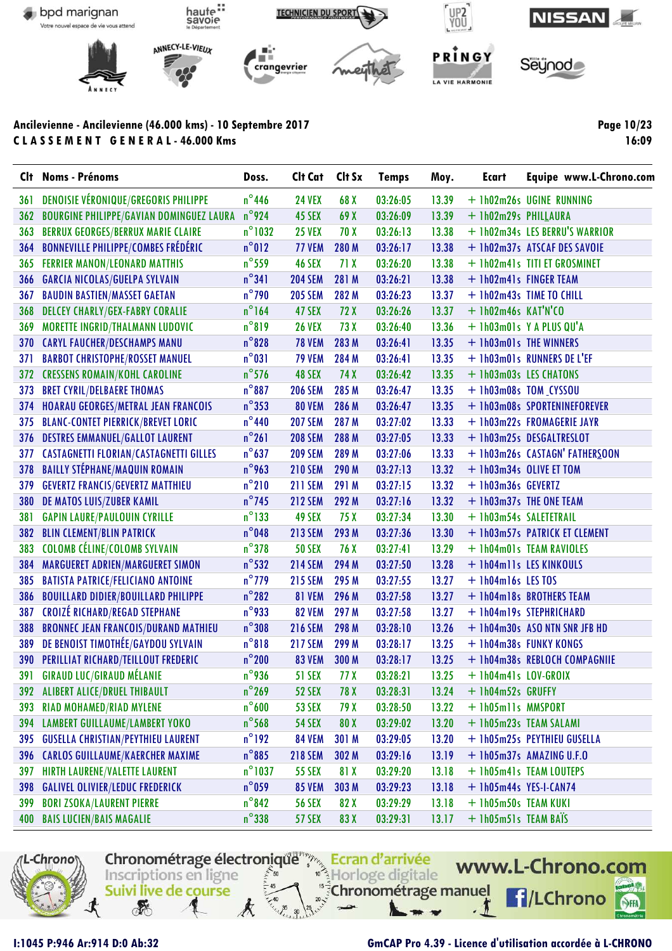

**Page 10/23 16:09**

| Clt. | <b>Noms - Prénoms</b>                           | Doss.            | Cit Cat Cit Sx |                 | <b>Temps</b> | Moy.  | <b>Ecart</b>           | Equipe www.L-Chrono.com        |
|------|-------------------------------------------------|------------------|----------------|-----------------|--------------|-------|------------------------|--------------------------------|
| 361  | <b>DENOISIE VÉRONIQUE/GREGORIS PHILIPPE</b>     | $n^{\circ}$ 446  | <b>24 VEX</b>  | 68 X            | 03:26:05     | 13.39 |                        | + 1h02m26s UGINE RUNNING       |
| 362  | <b>BOURGINE PHILIPPE/GAVIAN DOMINGUEZ LAURA</b> | $n^{\circ}$ 924  | 45 SEX         | 69 X            | 03:26:09     | 13.39 | + 1h02m29s PHILLAURA   |                                |
| 363  | <b>BERRUX GEORGES/BERRUX MARIE CLAIRE</b>       | $n^{\circ}$ 1032 | <b>25 VEX</b>  | 70 X            | 03:26:13     | 13.38 |                        | + 1h02m34s LES BERRU'S WARRIOR |
| 364  | <b>BONNEVILLE PHILIPPE/COMBES FRÉDÉRIC</b>      | $n^{\circ}012$   | <b>77 VEM</b>  | 280 M           | 03:26:17     | 13.38 |                        | + 1h02m37s ATSCAF DES SAVOIE   |
| 365  | <b>FERRIER MANON/LEONARD MATTHIS</b>            | $n^{\circ}$ 559  | <b>46 SEX</b>  | 71 X            | 03:26:20     | 13.38 |                        | + 1h02m41s TITI ET GROSMINET   |
| 366  | <b>GARCIA NICOLAS/GUELPA SYLVAIN</b>            | $n^{\circ}341$   | <b>204 SEM</b> | 281 M           | 03:26:21     | 13.38 |                        | + 1h02m41s FINGER TEAM         |
| 367  | <b>BAUDIN BASTIEN/MASSET GAETAN</b>             | $n^{\circ}$ 790  | <b>205 SEM</b> | 282 M           | 03:26:23     | 13.37 |                        | + 1h02m43s TIME TO CHILL       |
| 368  | <b>DELCEY CHARLY/GEX-FABRY CORALIE</b>          | $n^{\circ}$ 164  | 47 SEX         | 72X             | 03:26:26     | 13.37 | + 1h02m46s KAT'N'CO    |                                |
| 369  | MORETTE INGRID/THALMANN LUDOVIC                 | $n^{\circ}819$   | <b>26 VEX</b>  | 73 X            | 03:26:40     | 13.36 |                        | + 1h03m01s Y A PLUS QU'A       |
| 370  | <b>CARYL FAUCHER/DESCHAMPS MANU</b>             | $n^{\circ}$ 828  | <b>78 VEM</b>  | 283 M           | 03:26:41     | 13.35 |                        | + 1h03m01s THE WINNERS         |
| 371  | <b>BARBOT CHRISTOPHE/ROSSET MANUEL</b>          | $n^{\circ}031$   | <b>79 VEM</b>  | 284 M           | 03:26:41     | 13.35 |                        | + 1h03m01s RUNNERS DE L'EF     |
| 372  | <b>CRESSENS ROMAIN/KOHL CAROLINE</b>            | $n^{\circ}$ 576  | 48 SEX         | 74 X            | 03:26:42     | 13.35 |                        | + 1h03m03s LES CHATONS         |
| 373  | <b>BRET CYRIL/DELBAERE THOMAS</b>               | $n^{\circ}887$   | <b>206 SEM</b> | 285 M           | 03:26:47     | 13.35 |                        | + 1h03m08s TOM_CYSSOU          |
| 374  | <b>HOARAU GEORGES/METRAL JEAN FRANCOIS</b>      | $n^{\circ}353$   | <b>80 VEM</b>  | 286 M           | 03:26:47     | 13.35 |                        | + 1h03m08s SPORTENINEFOREVER   |
| 375  | <b>BLANC-CONTET PIERRICK/BREVET LORIC</b>       | $n^{\circ}$ 440  | <b>207 SEM</b> | 287 M           | 03:27:02     | 13.33 |                        | + 1h03m22s FROMAGERIE JAYR     |
| 376  | <b>DESTRES EMMANUEL/GALLOT LAURENT</b>          | $n^{\circ}261$   | <b>208 SEM</b> | 288 M           | 03:27:05     | 13.33 |                        | + 1h03m25s DESGALTRESLOT       |
| 377  | <b>CASTAGNETTI FLORIAN/CASTAGNETTI GILLES</b>   | $n^{\circ}$ 637  | <b>209 SEM</b> | 289 M           | 03:27:06     | 13.33 |                        | + 1h03m26s CASTAGN' FATHERSOON |
| 378  | <b>BAILLY STÉPHANE/MAQUIN ROMAIN</b>            | $n^{\circ}$ 963  | <b>210 SEM</b> | 290 M           | 03:27:13     | 13.32 |                        | + 1h03m34s OLIVE ET TOM        |
| 379  | <b>GEVERTZ FRANCIS/GEVERTZ MATTHIEU</b>         | $n^{\circ}$ 210  | <b>211 SEM</b> | 291 M           | 03:27:15     | 13.32 | + 1h03m36s GEVERTZ     |                                |
| 380  | DE MATOS LUIS/ZUBER KAMIL                       | $n^{\circ}$ 745  | <b>212 SEM</b> | 292 M           | 03:27:16     | 13.32 |                        | + 1h03m37s THE ONE TEAM        |
| 381  | <b>GAPIN LAURE/PAULOUIN CYRILLE</b>             | $n^{\circ}$ 133  | 49 SEX         | 75 X            | 03:27:34     | 13.30 | + 1h03m54s SALETETRAIL |                                |
| 382  | <b>BLIN CLEMENT/BLIN PATRICK</b>                | $n^{\circ}$ 048  | <b>213 SEM</b> | 293 M           | 03:27:36     | 13.30 |                        | + 1h03m57s PATRICK ET CLEMENT  |
| 383  | COLOMB CÉLINE/COLOMB SYLVAIN                    | $n^{\circ}$ 378  | <b>50 SEX</b>  | 76 X            | 03:27:41     | 13.29 |                        | + 1h04m01s TEAM RAVIOLES       |
| 384  | MARGUERET ADRIEN/MARGUERET SIMON                | $n^{\circ}$ 532  | <b>214 SEM</b> | 294 M           | 03:27:50     | 13.28 |                        | + 1h04m11s LES KINKOULS        |
| 385  | <b>BATISTA PATRICE/FELICIANO ANTOINE</b>        | $n^{\circ}$ 779  | <b>215 SEM</b> | 295 M           | 03:27:55     | 13.27 | + 1h04m16s LES TOS     |                                |
| 386  | <b>BOUILLARD DIDIER/BOUILLARD PHILIPPE</b>      | $n^{\circ}282$   | <b>81 VEM</b>  | 296 M           | 03:27:58     | 13.27 |                        | + 1h04m18s BROTHERS TEAM       |
| 387  | <b>CROIZÉ RICHARD/REGAD STEPHANE</b>            | $n^{\circ}$ 933  | <b>82 VEM</b>  | 297 M           | 03:27:58     | 13.27 |                        | + 1h04m19s STEPHRICHARD        |
| 388  | <b>BRONNEC JEAN FRANCOIS/DURAND MATHIEU</b>     | $n^{\circ}$ 308  | <b>216 SEM</b> | 298 M           | 03:28:10     | 13.26 |                        | + 1h04m30s ASO NTN SNR JFB HD  |
| 389  | DE BENOIST TIMOTHÉE/GAYDOU SYLVAIN              | $n^{\circ}818$   | <b>217 SEM</b> | 299 M           | 03:28:17     | 13.25 |                        | + 1h04m38s FUNKY KONGS         |
| 390  | <b>PERILLIAT RICHARD/TEILLOUT FREDERIC</b>      | $n^{\circ}$ 200  | <b>83 VEM</b>  | 300 M           | 03:28:17     | 13.25 |                        | + 1h04m38s REBLOCH COMPAGNIIE  |
| 391  | <b>GIRAUD LUC/GIRAUD MÉLANIE</b>                | $n^{\circ}$ 936  | <b>51 SEX</b>  | 77 <sub>X</sub> | 03:28:21     | 13.25 | + 1h04m41s LOV-GROIX   |                                |
| 392  | ALIBERT ALICE/DRUEL THIBAULT                    | $n^{\circ}$ 269  | <b>52 SEX</b>  | 78 X            | 03:28:31     | 13.24 | + 1h04m52s GRUFFY      |                                |
| 393  | <b>RIAD MOHAMED/RIAD MYLENE</b>                 | $n^{\circ}$ 600  | <b>53 SEX</b>  | 79 X            | 03:28:50     | 13.22 | + lh05mlls MMSPORT     |                                |
| 394  | <b>LAMBERT GUILLAUME/LAMBERT YOKO</b>           | $n^{\circ}$ 568  | <b>54 SEX</b>  | 80 X            | 03:29:02     | 13.20 |                        | + 1h05m23s TEAM SALAMI         |
| 395  | <b>GUSELLA CHRISTIAN/PEYTHIEU LAURENT</b>       | $n^{\circ}192$   | <b>84 VEM</b>  | 301 M           | 03:29:05     | 13.20 |                        | + 1h05m25s PEYTHIEU GUSELLA    |
| 396  | <b>CARLOS GUILLAUME/KAERCHER MAXIME</b>         | $n^{\circ}885$   | <b>218 SEM</b> | 302 M           | 03:29:16     | 13.19 |                        | + 1h05m37s AMAZING U.F.O       |
| 397  | <b>HIRTH LAURENE/VALETTE LAURENT</b>            | $n^{\circ}$ 1037 | <b>55 SEX</b>  | 81 X            | 03:29:20     | 13.18 |                        | + 1h05m41s TEAM LOUTEPS        |
| 398  | <b>GALIVEL OLIVIER/LEDUC FREDERICK</b>          | $n^{\circ}$ 059  | <b>85 VEM</b>  | 303 M           | 03:29:23     | 13.18 | + 1h05m44s YES-I-CAN74 |                                |
| 399  | <b>BORI ZSOKA/LAURENT PIERRE</b>                | $n^{\circ}842$   | <b>56 SEX</b>  | 82 X            | 03:29:29     | 13.18 | + 1h05m50s TEAM KUKI   |                                |
| 400  | <b>BAIS LUCIEN/BAIS MAGALIE</b>                 | $n^{\circ}$ 338  | <b>57 SEX</b>  | 83 X            | 03:29:31     | 13.17 | + 1h05m51s TEAM BATS   |                                |

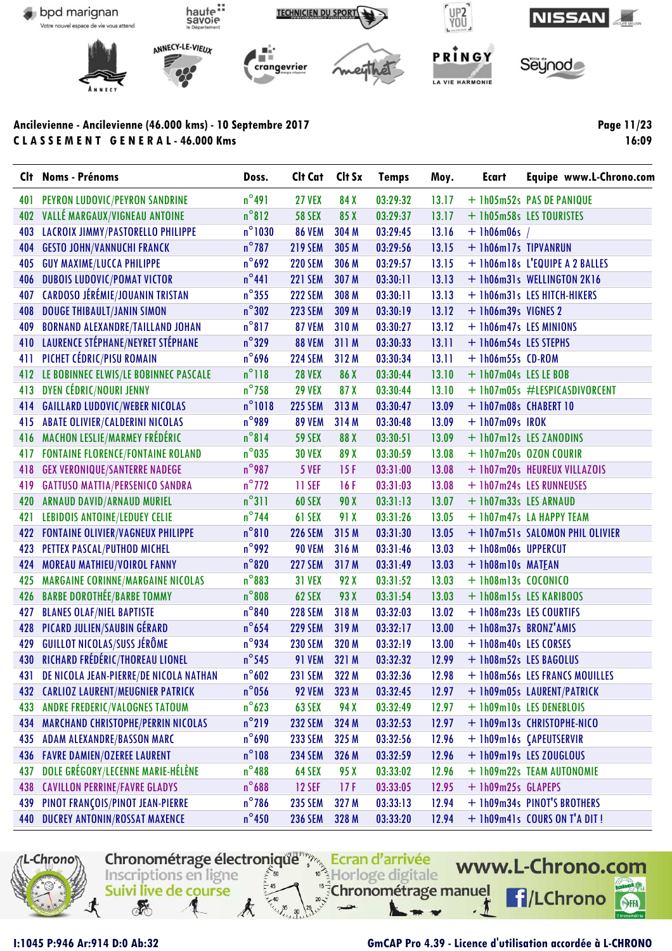

Page 11/23 16:09

|     | Clt Noms - Prénoms                        | Doss.            | Cit Cat Cit Sx |       | <b>Temps</b> | Moy.  | <b>Ecart</b>          | Equipe www.L-Chrono.com         |
|-----|-------------------------------------------|------------------|----------------|-------|--------------|-------|-----------------------|---------------------------------|
| 401 | PEYRON LUDOVIC/PEYRON SANDRINE            | $n^{\circ}$ 491  | <b>27 VEX</b>  | 84 X  | 03:29:32     | 13.17 |                       | + 1h05m52s PAS DE PANIQUE       |
| 402 | VALLÉ MARGAUX/VIGNEAU ANTOINE             | $n^{\circ}812$   | <b>58 SEX</b>  | 85 X  | 03:29:37     | 13.17 |                       | + 1h05m58s LES TOURISTES        |
| 403 | LACROIX JIMMY/PASTORELLO PHILIPPE         | $n^{\circ}$ 1030 | <b>86 VEM</b>  | 304 M | 03:29:45     | 13.16 | $+$ 1h06m06s /        |                                 |
| 404 | <b>GESTO JOHN/VANNUCHI FRANCK</b>         | $n^{\circ}$ 787  | <b>219 SEM</b> | 305 M | 03:29:56     | 13.15 | + 1h06m17s TIPVANRUN  |                                 |
| 405 | <b>GUY MAXIME/LUCCA PHILIPPE</b>          | $n^{\circ}692$   | <b>220 SEM</b> | 306 M | 03:29:57     | 13.15 |                       | + 1h06m18s L'EQUIPE A 2 BALLES  |
| 406 | <b>DUBOIS LUDOVIC/POMAT VICTOR</b>        | $n^{\circ}441$   | <b>221 SEM</b> | 307 M | 03:30:11     | 13.13 |                       | + 1h06m31s WELLINGTON 2K16      |
| 407 | CARDOSO JÉRÉMIE/JOUANIN TRISTAN           | $n^{\circ}$ 355  | <b>222 SEM</b> | 308 M | 03:30:11     | 13.13 |                       | + 1h06m31s LES HITCH-HIKERS     |
| 408 | <b>DOUGE THIBAULT/JANIN SIMON</b>         | $n^{\circ}302$   | <b>223 SEM</b> | 309 M | 03:30:19     | 13.12 | $+$ 1h06m39s VIGNES 2 |                                 |
| 409 | <b>BORNAND ALEXANDRE/TAILLAND JOHAN</b>   | $n^{\circ}817$   | <b>87 VEM</b>  | 310M  | 03:30:27     | 13.12 |                       | + 1h06m47s LES MINIONS          |
|     | 410 LAURENCE STÉPHANE/NEYRET STÉPHANE     | $n^{\circ}329$   | <b>88 VEM</b>  | 311 M | 03:30:33     | 13.11 | + 1h06m54s LES STEPHS |                                 |
| 411 | PICHET CÉDRIC/PISU ROMAIN                 | $n^{\circ}$ 696  | <b>224 SEM</b> | 312 M | 03:30:34     | 13.11 | + 1h06m55s CD-ROM     |                                 |
|     | 412 LE BOBINNEC ELWIS/LE BOBINNEC PASCALE | $n^{\circ}118$   | <b>28 VEX</b>  | 86 X  | 03:30:44     | 13.10 | + 1h07m04s LES LE BOB |                                 |
| 413 | DYEN CÉDRIC/NOURI JENNY                   | $n^{\circ}$ 758  | <b>29 VEX</b>  | 87 X  | 03:30:44     | 13.10 |                       | + 1h07m05s #LESPICASDIVORCENT   |
| 414 | <b>GAILLARD LUDOVIC/WEBER NICOLAS</b>     | $n^{\circ}1018$  | <b>225 SEM</b> | 313M  | 03:30:47     | 13.09 | + 1h07m08s CHABERT 10 |                                 |
| 415 | <b>ABATE OLIVIER/CALDERINI NICOLAS</b>    | $n^{\circ}$ 989  | <b>89 VEM</b>  | 314 M | 03:30:48     | 13.09 | $+ 1h07m09s$ IROK     |                                 |
| 416 | <b>MACHON LESLIE/MARMEY FRÉDÉRIC</b>      | $n^{\circ}814$   | <b>59 SEX</b>  | 88 X  | 03:30:51     | 13.09 |                       | + 1h07m12s LES ZANODINS         |
| 417 | <b>FONTAINE FLORENCE/FONTAINE ROLAND</b>  | $n^{\circ}$ 035  | <b>30 VEX</b>  | 89 X  | 03:30:59     | 13.08 |                       | + 1h07m20s OZON COURIR          |
| 418 | <b>GEX VERONIQUE/SANTERRE NADEGE</b>      | $n^{\circ}$ 987  | 5 VEF          | 15F   | 03:31:00     | 13.08 |                       | + 1h07m20s HEUREUX VILLAZOIS    |
| 419 | <b>GATTUSO MATTIA/PERSENICO SANDRA</b>    | $n^{\circ}$ 772  | 11 SEF         | 16F   | 03:31:03     | 13.08 |                       | + 1h07m24s LES RUNNEUSES        |
| 420 | ARNAUD DAVID/ARNAUD MURIEL                | $n^{\circ}311$   | <b>60 SEX</b>  | 90 X  | 03:31:13     | 13.07 | + 1h07m33s LES ARNAUD |                                 |
| 421 | <b>LEBIDOIS ANTOINE/LEDUEY CELIE</b>      | $n^{\circ}$ 744  | 61 SEX         | 91 X  | 03:31:26     | 13.05 |                       | + 1h07m47s LA HAPPY TEAM        |
| 422 | <b>FONTAINE OLIVIER/VAGNEUX PHILIPPE</b>  | $n^{\circ}810$   | <b>226 SEM</b> | 315 M | 03:31:30     | 13.05 |                       | + 1h07m51s SALOMON PHIL OLIVIER |
| 423 | PETTEX PASCAL/PUTHOD MICHEL               | $n^{\circ}$ 992  | <b>90 VEM</b>  | 316 M | 03:31:46     | 13.03 | + 1h08m06s UPPERCUT   |                                 |
| 424 | MOREAU MATHIEU/VOIROL FANNY               | $n^{\circ}820$   | <b>227 SEM</b> | 317 M | 03:31:49     | 13.03 | + 1h08m10s MATEAN     |                                 |
| 425 | <b>MARGAINE CORINNE/MARGAINE NICOLAS</b>  | $n^{\circ}883$   | <b>31 VEX</b>  | 92 X  | 03:31:52     | 13.03 | + 1h08m13s COCONICO   |                                 |
| 426 | <b>BARBE DOROTHÉE/BARBE TOMMY</b>         | $n^{\circ}808$   | 62 SEX         | 93 X  | 03:31:54     | 13.03 |                       | + 1h08m15s LES KARIBOOS         |
| 427 | <b>BLANES OLAF/NIEL BAPTISTE</b>          | $n^{\circ}840$   | <b>228 SEM</b> | 318 M | 03:32:03     | 13.02 |                       | + 1h08m23s LES COURTIFS         |
| 428 | PICARD JULIEN/SAUBIN GÉRARD               | $n^{\circ}$ 654  | <b>229 SEM</b> | 319 M | 03:32:17     | 13.00 | + 1h08m37s BRONZ'AMIS |                                 |
| 429 | <b>GUILLOT NICOLAS/SUSS JÉRÔME</b>        | $n^{\circ}$ 934  | <b>230 SEM</b> | 320 M | 03:32:19     | 13.00 | + 1h08m40s LES CORSES |                                 |
| 430 | RICHARD FRÉDÉRIC/THOREAU LIONEL           | $n^{\circ}$ 545  | <b>91 VEM</b>  | 321 M | 03:32:32     | 12.99 |                       | + 1h08m52s LES BAGOLUS          |
| 431 | DE NICOLA JEAN-PIERRE/DE NICOLA NATHAN    | $n^{\circ}602$   | <b>231 SEM</b> | 322 M | 03:32:36     | 12.98 |                       | + 1h08m56s LES FRANCS MOUILLES  |
| 432 | <b>CARLIOZ LAURENT/MEUGNIER PATRICK</b>   | $n^{\circ}$ 056  | <b>92 VEM</b>  | 323 M | 03:32:45     | 12.97 |                       | + 1h09m05s LAURENT/PATRICK      |
| 433 | ANDRE FREDERIC/VALOGNES TATOUM            | $n^{\circ}$ 623  | 63 SEX         | 94 X  | 03:32:49     | 12.97 |                       | + 1h09m10s LES DENEBLOIS        |
| 434 | <b>MARCHAND CHRISTOPHE/PERRIN NICOLAS</b> | $n^{\circ}$ 219  | <b>232 SEM</b> | 324 M | 03:32:53     | 12.97 |                       | + 1h09m13s CHRISTOPHE-NICO      |
| 435 | <b>ADAM ALEXANDRE/BASSON MARC</b>         | $n^{\circ}$ 690  | <b>233 SEM</b> | 325 M | 03:32:56     | 12.96 |                       | + 1h09m16s (APEUTSERVIR         |
| 436 | <b>FAVRE DAMIEN/OZEREE LAURENT</b>        | $n^{\circ}108$   | <b>234 SEM</b> | 326 M | 03:32:59     | 12.96 |                       | + 1h09m19s LES ZOUGLOUS         |
| 437 | DOLE GRÉGORY/LECENNE MARIE-HÉLÈNE         | $n^{\circ}$ 488  | 64 SEX         | 95 X  | 03:33:02     | 12.96 |                       | + 1h09m22s TEAM AUTONOMIE       |
| 438 | <b>CAVILLON PERRINE/FAVRE GLADYS</b>      | $n^{\circ}$ 688  | <b>12 SEF</b>  | 17F   | 03:33:05     | 12.95 | + 1h09m25s GLAPEPS    |                                 |
| 439 | PINOT FRANÇOIS/PINOT JEAN-PIERRE          | $n^{\circ}$ 786  | <b>235 SEM</b> | 327 M | 03:33:13     | 12.94 |                       | + 1h09m34s PINOT'S BROTHERS     |
| 440 | <b>DUCREY ANTONIN/ROSSAT MAXENCE</b>      | $n^{\circ}$ 450  | <b>236 SEM</b> | 328 M | 03:33:20     | 12.94 |                       | + 1h09m41s COURS ON T'A DIT!    |
|     |                                           |                  |                |       |              |       |                       |                                 |



I:1045 P:946 Ar:914 D:0 Ab:32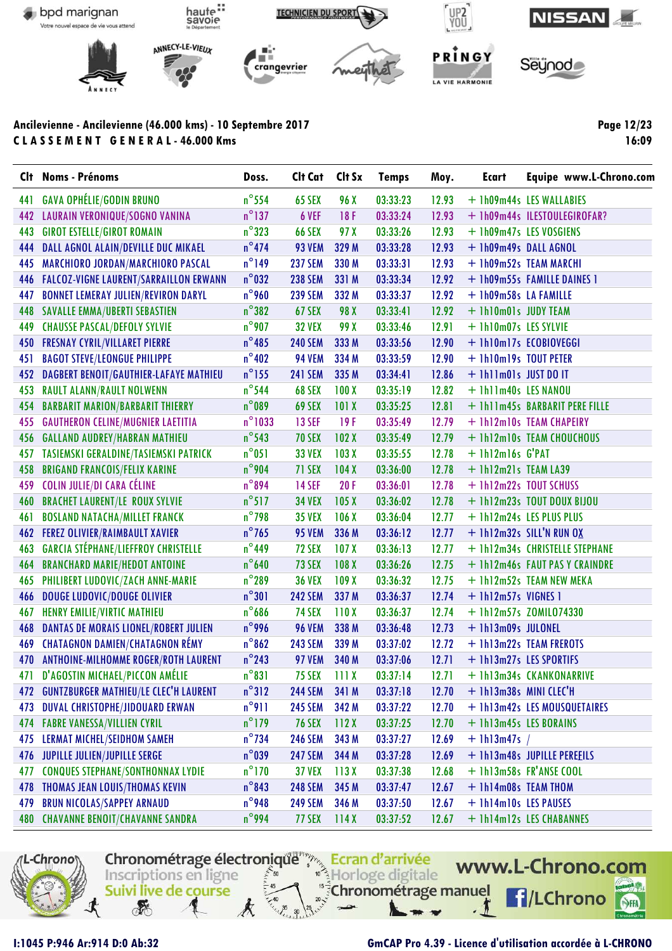

Page 12/23 16:09

| <b>C</b> It | <b>Noms - Prénoms</b>                         | Doss.            | Clt Cat        | Clt Sx           | <b>Temps</b> | Moy.  | Ecart                  | Equipe www.L-Chrono.com        |
|-------------|-----------------------------------------------|------------------|----------------|------------------|--------------|-------|------------------------|--------------------------------|
| 441         | <b>GAVA OPHÉLIE/GODIN BRUNO</b>               | $n^{\circ}$ 554  | 65 SEX         | 96 X             | 03:33:23     | 12.93 |                        | + 1h09m44s LES WALLABIES       |
| 442         | LAURAIN VERONIQUE/SOGNO VANINA                | $n^{\circ}$ 137  | 6 VEF          | 18F              | 03:33:24     | 12.93 |                        | + 1h09m44s ILESTOULEGIROFAR?   |
| 443         | <b>GIROT ESTELLE/GIROT ROMAIN</b>             | $n^{\circ}323$   | <b>66 SEX</b>  | 97 X             | 03:33:26     | 12.93 |                        | + 1h09m47s LES VOSGIENS        |
| 444         | DALL AGNOL ALAIN/DEVILLE DUC MIKAEL           | $n^{\circ}474$   | <b>93 VEM</b>  | 329 M            | 03:33:28     | 12.93 | + 1h09m49s DALL AGNOL  |                                |
| 445         | MARCHIORO JORDAN/MARCHIORO PASCAL             | $n^{\circ}$ 149  | <b>237 SEM</b> | 330 M            | 03:33:31     | 12.93 |                        | + 1h09m52s TEAM MARCHI         |
| 446         | <b>FALCOZ-VIGNE LAURENT/SARRAILLON ERWANN</b> | $n^{\circ}$ 032  | <b>238 SEM</b> | 331 M            | 03:33:34     | 12.92 |                        | + 1h09m55s FAMILLE DAINES 1    |
| 447         | <b>BONNET LEMERAY JULIEN/REVIRON DARYL</b>    | $n^{\circ}$ 960  | <b>239 SEM</b> | 332 M            | 03:33:37     | 12.92 | + 1h09m58s LA FAMILLE  |                                |
| 448         | <b>SAVALLE EMMA/UBERTI SEBASTIEN</b>          | $n^{\circ}382$   | 67 SEX         | 98 X             | 03:33:41     | 12.92 | + 1h10m01s JUDY TEAM   |                                |
| 449         | <b>CHAUSSE PASCAL/DEFOLY SYLVIE</b>           | $n^{\circ}$ 907  | <b>32 VEX</b>  | 99 X             | 03:33:46     | 12.91 | + 1h10m07s LES SYLVIE  |                                |
| 450         | <b>FRESNAY CYRIL/VILLARET PIERRE</b>          | $n^{\circ}$ 485  | <b>240 SEM</b> | 333 M            | 03:33:56     | 12.90 |                        | + 1h10m17s ECOBIOVEGGI         |
| 451         | <b>BAGOT STEVE/LEONGUE PHILIPPE</b>           | $n^{\circ}$ 402  | <b>94 VEM</b>  | 334 M            | 03:33:59     | 12.90 | + 1h10m19s TOUT PETER  |                                |
| 452         | DAGBERT BENOIT/GAUTHIER-LAFAYE MATHIEU        | $n^{\circ}$ 155  | <b>241 SEM</b> | 335 M            | 03:34:41     | 12.86 | + 1h11m01s JUST DO IT  |                                |
| 453         | <b>RAULT ALANN/RAULT NOLWENN</b>              | $n^{\circ}$ 544  | 68 SEX         | 100X             | 03:35:19     | 12.82 | + 1h11m40s LES NANOU   |                                |
| 454         | <b>BARBARIT MARION/BARBARIT THIERRY</b>       | $n^{\circ}$ 089  | 69 SEX         | 101X             | 03:35:25     | 12.81 |                        | + 1h11m45s BARBARIT PERE FILLE |
| 455         | <b>GAUTHERON CELINE/MUGNIER LAETITIA</b>      | $n^{\circ}$ 1033 | <b>13 SEF</b>  | 19F              | 03:35:49     | 12.79 |                        | + 1h12m10s TEAM CHAPEIRY       |
| 456         | <b>GALLAND AUDREY/HABRAN MATHIEU</b>          | $n^{\circ}$ 543  | <b>70 SEX</b>  | 102X             | 03:35:49     | 12.79 |                        | + 1h12m10s TEAM CHOUCHOUS      |
| 457         | TASIEMSKI GERALDINE/TASIEMSKI PATRICK         | $n^{\circ}$ 051  | <b>33 VEX</b>  | 103 <sub>X</sub> | 03:35:55     | 12.78 | + 1h12m16s G'PAT       |                                |
| 458         | <b>BRIGAND FRANCOIS/FELIX KARINE</b>          | $n^{\circ}$ 904  | 71 SEX         | 104X             | 03:36:00     | 12.78 | + 1h12m21s TEAM LA39   |                                |
| 459         | <b>COLIN JULIE/DI CARA CÉLINE</b>             | $n^{\circ}894$   | <b>14 SEF</b>  | 20F              | 03:36:01     | 12.78 |                        | + 1h12m22s TOUT SCHUSS         |
| 460         | <b>BRACHET LAURENT/LE ROUX SYLVIE</b>         | $n^{\circ}517$   | <b>34 VEX</b>  | 105 <sub>X</sub> | 03:36:02     | 12.78 |                        | + 1h12m23s TOUT DOUX BIJOU     |
| 461         | <b>BOSLAND NATACHA/MILLET FRANCK</b>          | $n^{\circ}$ 798  | <b>35 VEX</b>  | 106 <sub>X</sub> | 03:36:04     | 12.77 |                        | + 1h12m24s LES PLUS PLUS       |
| 462         | <b>FEREZ OLIVIER/RAIMBAULT XAVIER</b>         | $n^{\circ}$ 765  | <b>95 VEM</b>  | 336 M            | 03:36:12     | 12.77 |                        | $+$ 1h12m32s SILL'N RUN OX     |
| 463         | <b>GARCIA STÉPHANE/LIEFFROY CHRISTELLE</b>    | $n^{\circ}$ 449  | 72 SEX         | 107 <sub>X</sub> | 03:36:13     | 12.77 |                        | + 1h12m34s CHRISTELLE STEPHANE |
| 464         | <b>BRANCHARD MARIE/HEDOT ANTOINE</b>          | $n^{\circ}$ 640  | 73 SEX         | 108 <sub>X</sub> | 03:36:26     | 12.75 |                        | + 1h12m46s FAUT PAS Y CRAINDRE |
| 465         | PHILIBERT LUDOVIC/ZACH ANNE-MARIE             | $n^{\circ}$ 289  | <b>36 VEX</b>  | 109X             | 03:36:32     | 12.75 |                        | + 1h12m52s TEAM NEW MEKA       |
| 466         | <b>DOUGE LUDOVIC/DOUGE OLIVIER</b>            | $n^{\circ}301$   | <b>242 SEM</b> | 337 M            | 03:36:37     | 12.74 | + 1h12m57s VIGNES 1    |                                |
| 467         | HENRY EMILIE/VIRTIC MATHIEU                   | $n^{\circ}$ 686  | <b>74 SEX</b>  | 110X             | 03:36:37     | 12.74 |                        | + 1h12m57s ZOMIL074330         |
| 468         | DANTAS DE MORAIS LIONEL/ROBERT JULIEN         | $n^{\circ}$ 996  | <b>96 VEM</b>  | 338 M            | 03:36:48     | 12.73 | + 1h13m09s JULONEL     |                                |
| 469         | <b>CHATAGNON DAMIEN/CHATAGNON RÉMY</b>        | $n^{\circ}862$   | <b>243 SEM</b> | 339 M            | 03:37:02     | 12.72 |                        | + 1h13m22s TEAM FREROTS        |
| 470         | ANTHOINE-MILHOMME ROGER/ROTH LAURENT          | $n^{\circ}$ 243  | <b>97 VEM</b>  | 340 M            | 03:37:06     | 12.71 |                        | + 1h13m27s LES SPORTIFS        |
| 471         | D'AGOSTIN MICHAEL/PICCON AMÉLIE               | $n^{\circ}831$   | 75 SEX 111 X   |                  | 03:37:14     | 12.71 |                        | + 1h13m34s CKANKONARRIVE       |
| 472         | <b>GUNTZBURGER MATHIEU/LE CLEC'H LAURENT</b>  | $n^{\circ}312$   | <b>244 SEM</b> | 341 M            | 03:37:18     | 12.70 | + 1h13m38s MINI CLEC'H |                                |
| 473         | <b>DUVAL CHRISTOPHE/JIDOUARD ERWAN</b>        | $n^{\circ}911$   | <b>245 SEM</b> | 342 M            | 03:37:22     | 12.70 |                        | + 1h13m42s LES MOUSQUETAIRES   |
| 474         | <b>FABRE VANESSA/VILLIEN CYRIL</b>            | $n^{\circ}$ 179  | <b>76 SEX</b>  | 112X             | 03:37:25     | 12.70 | + 1h13m45s LES BORAINS |                                |
| 475         | <b>LERMAT MICHEL/SEIDHOM SAMEH</b>            | $n^{\circ}$ 734  | <b>246 SEM</b> | 343 M            | 03:37:27     | 12.69 | $+$ 1h13m47s /         |                                |
| 476         | <b>JUPILLE JULIEN/JUPILLE SERGE</b>           | $n^{\circ}$ 039  | <b>247 SEM</b> | 344 M            | 03:37:28     | 12.69 |                        | + 1h13m48s JUPILLE PEREEILS    |
| 477         | <b>CONQUES STEPHANE/SONTHONNAX LYDIE</b>      | $n^{\circ}$ 170  | <b>37 VEX</b>  | 113X             | 03:37:38     | 12.68 |                        | + 1h13m58s FR'ANSE COOL        |
| 478         | THOMAS JEAN LOUIS/THOMAS KEVIN                | $n^{\circ}843$   | <b>248 SEM</b> | 345 M            | 03:37:47     | 12.67 | + 1h14m08s TEAM THOM   |                                |
| 479         | <b>BRUN NICOLAS/SAPPEY ARNAUD</b>             | $n^{\circ}$ 948  | <b>249 SEM</b> | 346 M            | 03:37:50     | 12.67 | + 1h14m10s LES PAUSES  |                                |
|             | <b>480 CHAVANNE BENOIT/CHAVANNE SANDRA</b>    | $n^{\circ}$ 994  | 77 SEX         | 114X             | 03:37:52     | 12.67 |                        | + 1h14m12s LES CHABANNES       |
|             |                                               |                  |                |                  |              |       |                        |                                |



I:1045 P:946 Ar:914 D:0 Ab:32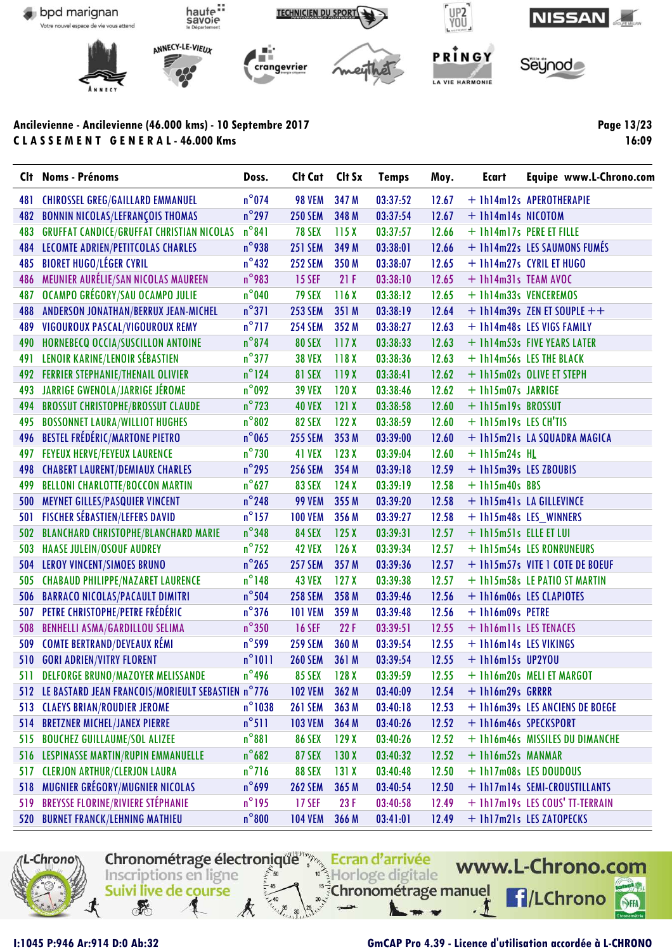

Page 13/23 16:09

| Clt | <b>Noms - Prénoms</b>                                 | Doss.            | Cit Cat Cit Sx |                  | <b>Temps</b> | Moy.  | <b>Ecart</b>           | Equipe www.L-Chrono.com         |
|-----|-------------------------------------------------------|------------------|----------------|------------------|--------------|-------|------------------------|---------------------------------|
| 481 | <b>CHIROSSEL GREG/GAILLARD EMMANUEL</b>               | $n^{\circ}$ 074  | <b>98 VEM</b>  | 347 M            | 03:37:52     | 12.67 |                        | + 1h14m12s APEROTHERAPIE        |
| 482 | <b>BONNIN NICOLAS/LEFRANÇOIS THOMAS</b>               | $n^{\circ}$ 297  | <b>250 SEM</b> | 348 M            | 03:37:54     | 12.67 | + 1h14m14s NICOTOM     |                                 |
| 483 | <b>GRUFFAT CANDICE/GRUFFAT CHRISTIAN NICOLAS</b>      | $n^{\circ}841$   | <b>78 SEX</b>  | 115X             | 03:37:57     | 12.66 |                        | + 1h14m17s PERE ET FILLE        |
| 484 | LECOMTE ADRIEN/PETITCOLAS CHARLES                     | $n^{\circ}$ 938  | <b>251 SEM</b> | 349 M            | 03:38:01     | 12.66 |                        | + 1h14m22s LES SAUMONS FUMÉS    |
| 485 | <b>BIORET HUGO/LÉGER CYRIL</b>                        | $n^{\circ}$ 432  | <b>252 SEM</b> | 350 M            | 03:38:07     | 12.65 |                        | + 1h14m27s CYRIL ET HUGO        |
| 486 | MEUNIER AURÉLIE/SAN NICOLAS MAUREEN                   | $n^{\circ}$ 983  | <b>15 SEF</b>  | 21F              | 03:38:10     | 12.65 | + 1h14m31s TEAM AVOC   |                                 |
| 487 | OCAMPO GRÉGORY/SAU OCAMPO JULIE                       | $n^{\circ}$ 040  | <b>79 SEX</b>  | 116X             | 03:38:12     | 12.65 |                        | + 1h14m33s VENCEREMOS           |
| 488 | ANDERSON JONATHAN/BERRUX JEAN-MICHEL                  | $n^{\circ}371$   | <b>253 SEM</b> | 351 M            | 03:38:19     | 12.64 |                        | $+$ 1h14m39s ZEN ET SOUPLE $++$ |
| 489 | VIGOUROUX PASCAL/VIGOUROUX REMY                       | $n^{\circ}$ 717  | <b>254 SEM</b> | 352 M            | 03:38:27     | 12.63 |                        | + 1h14m48s LES VIGS FAMILY      |
| 490 | HORNEBECQ OCCIA/SUSCILLON ANTOINE                     | $n^{\circ}$ 874  | <b>80 SEX</b>  | 117X             | 03:38:33     | 12.63 |                        | + 1h14m53s FIVE YEARS LATER     |
| 491 | LENOIR KARINE/LENOIR SÉBASTIEN                        | $n^{\circ}$ 377  | <b>38 VEX</b>  | 118X             | 03:38:36     | 12.63 |                        | + 1h14m56s LES THE BLACK        |
| 492 | <b>FERRIER STEPHANIE/THENAIL OLIVIER</b>              | $n^{\circ}$ 124  | <b>81 SEX</b>  | 119X             | 03:38:41     | 12.62 |                        | + 1h15m02s OLIVE ET STEPH       |
| 493 | JARRIGE GWENOLA/JARRIGE JÉROME                        | $n^{\circ}$ 092  | <b>39 VEX</b>  | 120X             | 03:38:46     | 12.62 | + 1h15m07s JARRIGE     |                                 |
| 494 | <b>BROSSUT CHRISTOPHE/BROSSUT CLAUDE</b>              | $n^{\circ}$ 723  | <b>40 VEX</b>  | 121X             | 03:38:58     | 12.60 | + 1h15m19s BROSSUT     |                                 |
| 495 | <b>BOSSONNET LAURA/WILLIOT HUGHES</b>                 | $n^{\circ}802$   | <b>82 SEX</b>  | 122X             | 03:38:59     | 12.60 | + 1h15m19s LES CH'TIS  |                                 |
| 496 | <b>BESTEL FRÉDÉRIC/MARTONE PIETRO</b>                 | $n^{\circ}$ 065  | <b>255 SEM</b> | 353 M            | 03:39:00     | 12.60 |                        | + 1h15m21s LA SQUADRA MAGICA    |
| 497 | <b>FEYEUX HERVE/FEYEUX LAURENCE</b>                   | $n^{\circ}$ 730  | 41 VEX         | 123X             | 03:39:04     | 12.60 | $+$ 1h15m24s HL        |                                 |
| 498 | <b>CHABERT LAURENT/DEMIAUX CHARLES</b>                | $n^{\circ}$ 295  | <b>256 SEM</b> | 354 M            | 03:39:18     | 12.59 | + 1h15m39s LES ZBOUBIS |                                 |
| 499 | <b>BELLONI CHARLOTTE/BOCCON MARTIN</b>                | $n^{\circ}627$   | <b>83 SEX</b>  | 124X             | 03:39:19     | 12.58 | $+$ 1h15m40s BBS       |                                 |
| 500 | <b>MEYNET GILLES/PASQUIER VINCENT</b>                 | $n^{\circ}$ 248  | <b>99 VEM</b>  | 355 M            | 03:39:20     | 12.58 |                        | + 1h15m41s LA GILLEVINCE        |
| 501 | <b>FISCHER SÉBASTIEN/LEFERS DAVID</b>                 | $n^{\circ}$ 157  | <b>100 VEM</b> | 356 M            | 03:39:27     | 12.58 |                        | + 1h15m48s LES_WINNERS          |
| 502 | <b>BLANCHARD CHRISTOPHE/BLANCHARD MARIE</b>           | $n^{\circ}$ 348  | <b>84 SEX</b>  | 125X             | 03:39:31     | 12.57 | + 1h15m51s ELLE ET LUI |                                 |
| 503 | <b>HAASE JULEIN/OSOUF AUDREY</b>                      | $n^{\circ}$ 752  | <b>42 VEX</b>  | 126X             | 03:39:34     | 12.57 |                        | + 1h15m54s LES RONRUNEURS       |
| 504 | LEROY VINCENT/SIMOES BRUNO                            | $n^{\circ}$ 265  | <b>257 SEM</b> | 357 M            | 03:39:36     | 12.57 |                        | + 1h15m57s VITE 1 COTE DE BOEUF |
| 505 | <b>CHABAUD PHILIPPE/NAZARET LAURENCE</b>              | $n^{\circ}$ 148  | <b>43 VEX</b>  | 127 <sub>X</sub> | 03:39:38     | 12.57 |                        | + 1h15m58s LE PATIO ST MARTIN   |
| 506 | <b>BARRACO NICOLAS/PACAULT DIMITRI</b>                | $n^{\circ}$ 504  | <b>258 SEM</b> | 358 M            | 03:39:46     | 12.56 |                        | + 1h16m06s LES CLAPIOTES        |
| 507 | PETRE CHRISTOPHE/PETRE FRÉDÉRIC                       | $n^{\circ}$ 376  | <b>101 VEM</b> | 359 M            | 03:39:48     | 12.56 | + 1h16m09s PETRE       |                                 |
| 508 | <b>BENHELLI ASMA/GARDILLOU SELIMA</b>                 | $n^{\circ}350$   | <b>16 SEF</b>  | 22F              | 03:39:51     | 12.55 | + 1h16m11s LES TENACES |                                 |
| 509 | <b>COMTE BERTRAND/DEVEAUX RÉMI</b>                    | $n^{\circ}$ 599  | <b>259 SEM</b> | 360 M            | 03:39:54     | 12.55 | + 1h16m14s LES VIKINGS |                                 |
| 510 | <b>GORI ADRIEN/VITRY FLORENT</b>                      | $n^{\circ}1011$  | <b>260 SEM</b> | 361 M            | 03:39:54     | 12.55 | $+$ 1h16m15s UP2YOU    |                                 |
| 511 | <b>DELFORGE BRUNO/MAZOYER MELISSANDE</b>              | $n^{\circ}$ 496  | <b>85 SEX</b>  | 128X             | 03:39:59     | 12.55 |                        | + 1h16m20s MELI ET MARGOT       |
|     | 512 LE BASTARD JEAN FRANCOIS/MORIEULT SEBASTIEN n°776 |                  | <b>102 VEM</b> | 362 M            | 03:40:09     | 12.54 | + 1h16m29s GRRRR       |                                 |
| 513 | <b>CLAEYS BRIAN/ROUDIER JEROME</b>                    | $n^{\circ}$ 1038 | <b>261 SEM</b> | 363 M            | 03:40:18     | 12.53 |                        | + 1h16m39s LES ANCIENS DE BOEGE |
| 514 | <b>BRETZNER MICHEL/JANEX PIERRE</b>                   | $n^{\circ}511$   | <b>103 VEM</b> | 364 M            | 03:40:26     | 12.52 | + 1h16m46s SPECKSPORT  |                                 |
| 515 | <b>BOUCHEZ GUILLAUME/SOL ALIZEE</b>                   | $n^{\circ}881$   | <b>86 SEX</b>  | 129X             | 03:40:26     | 12.52 |                        | + 1h16m46s MISSILES DU DIMANCHE |
| 516 | LESPINASSE MARTIN/RUPIN EMMANUELLE                    | $n^{\circ}682$   | <b>87 SEX</b>  | 130X             | 03:40:32     | 12.52 | + 1h16m52s MANMAR      |                                 |
| 517 | <b>CLERJON ARTHUR/CLERJON LAURA</b>                   | $n^{\circ}$ 716  | <b>88 SEX</b>  | 131X             | 03:40:48     | 12.50 |                        | + 1h17m08s LES DOUDOUS          |
| 518 | MUGNIER GRÉGORY/MUGNIER NICOLAS                       | $n^{\circ}$ 699  | <b>262 SEM</b> | 365 M            | 03:40:54     | 12.50 |                        | + 1h17m14s SEMI-CROUSTILLANTS   |
| 519 | <b>BREYSSE FLORINE/RIVIERE STÉPHANIE</b>              | $n^{\circ}$ 195  | <b>17 SEF</b>  | 23F              | 03:40:58     | 12.49 |                        | + 1h17m19s LES COUS' TT-TERRAIN |
| 520 | <b>BURNET FRANCK/LEHNING MATHIEU</b>                  | $n^{\circ}800$   | <b>104 VEM</b> | 366 M            | 03:41:01     | 12.49 |                        | + 1h17m21s LES ZATOPECKS        |



I:1045 P:946 Ar:914 D:0 Ab:32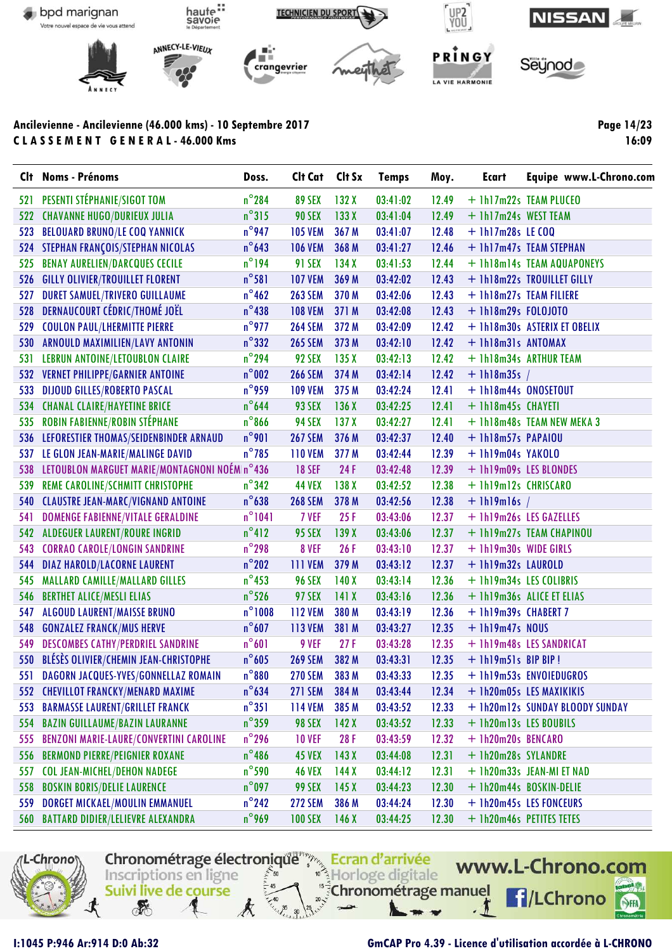

**Page 14/23 16:09**

| <b>C</b> It | <b>Noms - Prénoms</b>                          | Doss.            | Cit Cat Cit Sx |                  | <b>Temps</b> | Moy.  | Ecart                   | Equipe www.L-Chrono.com         |
|-------------|------------------------------------------------|------------------|----------------|------------------|--------------|-------|-------------------------|---------------------------------|
| 521         | PESENTI STÉPHANIE/SIGOT TOM                    | $n^{\circ}$ 284  | <b>89 SEX</b>  | 132X             | 03:41:02     | 12.49 |                         | + 1h17m22s TEAM PLUCEO          |
| 522         | <b>CHAVANNE HUGO/DURIEUX JULIA</b>             | $n^{\circ}315$   | <b>90 SEX</b>  | 133X             | 03:41:04     | 12.49 | + 1h17m24s WEST TEAM    |                                 |
| 523         | <b>BELOUARD BRUNO/LE COQ YANNICK</b>           | $n^{\circ}$ 947  | <b>105 VEM</b> | 367 M            | 03:41:07     | 12.48 | $+$ 1h17m28s LE COQ     |                                 |
| 524         | STEPHAN FRANÇOIS/STEPHAN NICOLAS               | $n^{\circ}$ 643  | <b>106 VEM</b> | 368 M            | 03:41:27     | 12.46 |                         | + 1h17m47s TEAM STEPHAN         |
| 525         | <b>BENAY AURELIEN/DARCQUES CECILE</b>          | $n^{\circ}$ 194  | <b>91 SEX</b>  | 134X             | 03:41:53     | 12.44 |                         | + 1h18m14s TEAM AQUAPONEYS      |
| 526         | <b>GILLY OLIVIER/TROUILLET FLORENT</b>         | $n^{\circ}581$   | <b>107 VEM</b> | 369 M            | 03:42:02     | 12.43 |                         | + 1h18m22s TROUILLET GILLY      |
| 527         | <b>DURET SAMUEL/TRIVERO GUILLAUME</b>          | $n^{\circ}$ 462  | <b>263 SEM</b> | 370 M            | 03:42:06     | 12.43 |                         | + 1h18m27s TEAM FILIERE         |
| 528         | DERNAUCOURT CÉDRIC/THOMÉ JOËL                  | $n^{\circ}438$   | <b>108 VEM</b> | 371 M            | 03:42:08     | 12.43 | $+ 1h18m29s$ FOLOJOTO   |                                 |
| 529         | <b>COULON PAUL/LHERMITTE PIERRE</b>            | $n^{\circ}$ 977  | <b>264 SEM</b> | 372 M            | 03:42:09     | 12.42 |                         | + 1h18m30s ASTERIX ET OBELIX    |
| 530         | ARNOULD MAXIMILIEN/LAVY ANTONIN                | $n^{\circ}332$   | <b>265 SEM</b> | 373 M            | 03:42:10     | 12.42 | + 1h18m31s ANTOMAX      |                                 |
| 531         | LEBRUN ANTOINE/LETOUBLON CLAIRE                | $n^{\circ}$ 294  | <b>92 SEX</b>  | 135X             | 03:42:13     | 12.42 |                         | + 1h18m34s ARTHUR TEAM          |
| 532         | <b>VERNET PHILIPPE/GARNIER ANTOINE</b>         | $n^{\circ}$ 002  | <b>266 SEM</b> | 374 M            | 03:42:14     | 12.42 | $+$ 1h18m35s /          |                                 |
| 533         | <b>DIJOUD GILLES/ROBERTO PASCAL</b>            | $n^{\circ}$ 959  | <b>109 VEM</b> | 375 M            | 03:42:24     | 12.41 | + 1h18m44s ONOSETOUT    |                                 |
| 534         | <b>CHANAL CLAIRE/HAYETINE BRICE</b>            | $n^{\circ}$ 644  | <b>93 SEX</b>  | 136X             | 03:42:25     | 12.41 | + 1h18m45s CHAYETI      |                                 |
| 535         | ROBIN FABIENNE/ROBIN STÉPHANE                  | $n^{\circ}866$   | <b>94 SEX</b>  | 137 <sub>X</sub> | 03:42:27     | 12.41 |                         | + 1h18m48s TEAM NEW MEKA 3      |
| 536         | LEFORESTIER THOMAS/SEIDENBINDER ARNAUD         | $n^{\circ}$ 901  | <b>267 SEM</b> | 376 M            | 03:42:37     | 12.40 | + 1h18m57s PAPAIOU      |                                 |
| 537         | LE GLON JEAN-MARIE/MALINGE DAVID               | $n^{\circ}$ 785  | <b>110 VEM</b> | 377 M            | 03:42:44     | 12.39 | + 1h19m04s YAKOLO       |                                 |
| 538         | LETOUBLON MARGUET MARIE/MONTAGNONI NOÉM n°436  |                  | <b>18 SEF</b>  | 24 F             | 03:42:48     | 12.39 |                         | + 1h19m09s LES BLONDES          |
| 539         | <b>REME CAROLINE/SCHMITT CHRISTOPHE</b>        | $n^{\circ}342$   | <b>44 VEX</b>  | 138 <sub>X</sub> | 03:42:52     | 12.38 | + 1h19m12s CHRISCARO    |                                 |
| 540         | <b>CLAUSTRE JEAN-MARC/VIGNAND ANTOINE</b>      | $n^{\circ}$ 638  | <b>268 SEM</b> | 378 M            | 03:42:56     | 12.38 | $+$ 1h19m16s /          |                                 |
| 541         | DOMENGE FABIENNE/VITALE GERALDINE              | $n^{\circ}1041$  | 7 VEF          | 25F              | 03:43:06     | 12.37 |                         | + 1h19m26s LES GAZELLES         |
|             | 542 ALDEGUER LAURENT/ROURE INGRID              | $n^{\circ}412$   | <b>95 SEX</b>  | 139X             | 03:43:06     | 12.37 |                         | + 1h19m27s TEAM CHAPINOU        |
| 543         | <b>CORRAO CAROLE/LONGIN SANDRINE</b>           | $n^{\circ}$ 298  | 8 VEF          | 26F              | 03:43:10     | 12.37 | + 1h19m30s WIDE GIRLS   |                                 |
| 544         | <b>DIAZ HAROLD/LACORNE LAURENT</b>             | $n^{\circ}$ 202  | <b>111 VEM</b> | 379 M            | 03:43:12     | 12.37 | + 1h19m32s LAUROLD      |                                 |
| 545         | <b>MALLARD CAMILLE/MALLARD GILLES</b>          | $n^{\circ}$ 453  | <b>96 SEX</b>  | 140X             | 03:43:14     | 12.36 | + 1h19m34s LES COLIBRIS |                                 |
| 546         | <b>BERTHET ALICE/MESLI ELIAS</b>               | $n^{\circ}$ 526  | <b>97 SEX</b>  | 141X             | 03:43:16     | 12.36 |                         | + 1h19m36s ALICE ET ELIAS       |
| 547         | <b>ALGOUD LAURENT/MAISSE BRUNO</b>             | $n^{\circ}$ 1008 | <b>112 VEM</b> | 380 M            | 03:43:19     | 12.36 | + 1h19m39s CHABERT 7    |                                 |
| 548         | <b>GONZALEZ FRANCK/MUS HERVE</b>               | $n^{\circ}607$   | <b>113 VEM</b> | 381 M            | 03:43:27     | 12.35 | $+ 1h19m47s N0US$       |                                 |
| 549         | <b>DESCOMBES CATHY/PERDRIEL SANDRINE</b>       | $n^{\circ}601$   | 9 VEF          | 27F              | 03:43:28     | 12.35 |                         | + 1h19m48s LES SANDRICAT        |
| 550         | BLÉSÈS OLIVIER/CHEMIN JEAN-CHRISTOPHE          | $n^{\circ}$ 605  | <b>269 SEM</b> | 382 M            | 03:43:31     | 12.35 | + 1h19m51s BIP BIP!     |                                 |
| 551         | DAGORN JACQUES-YVES/GONNELLAZ ROMAIN           | $n^{\circ}880$   | <b>270 SEM</b> | 383 M            | 03:43:33     | 12.35 |                         | + 1h19m53s ENVOIEDUGROS         |
|             | 552 CHEVILLOT FRANCKY/MENARD MAXIME            | $n^{\circ}$ 634  | <b>271 SEM</b> | 384 M            | 03:43:44     | 12.34 |                         | + 1h20m05s LES MAXIKIKIS        |
| 553         | <b>BARMASSE LAURENT/GRILLET FRANCK</b>         | $n^{\circ}351$   | <b>114 VEM</b> | 385 M            | 03:43:52     | 12.33 |                         | + 1h20m12s SUNDAY BLOODY SUNDAY |
| 554         | <b>BAZIN GUILLAUME/BAZIN LAURANNE</b>          | $n^{\circ}$ 359  | <b>98 SEX</b>  | 142X             | 03:43:52     | 12.33 | + 1h20m13s LES BOUBILS  |                                 |
| 555         | <b>BENZONI MARIE-LAURE/CONVERTINI CAROLINE</b> | $n^{\circ}$ 296  | <b>10 VEF</b>  | 28 F             | 03:43:59     | 12.32 | + 1h20m20s BENCARO      |                                 |
| 556         | <b>BERMOND PIERRE/PEIGNIER ROXANE</b>          | $n^{\circ}$ 486  | <b>45 VEX</b>  | 143X             | 03:44:08     | 12.31 | + 1h20m28s SYLANDRE     |                                 |
| 557         | <b>COL JEAN-MICHEL/DEHON NADEGE</b>            | $n^{\circ}$ 590  | <b>46 VEX</b>  | 144X             | 03:44:12     | 12.31 |                         | + 1h20m33s JEAN-MI ET NAD       |
| 558         | <b>BOSKIN BORIS/DELIE LAURENCE</b>             | $n^{\circ}$ 097  | 99 SEX         | 145X             | 03:44:23     | 12.30 |                         | + 1h20m44s BOSKIN-DELIE         |
| 559         | DORGET MICKAEL/MOULIN EMMANUEL                 | $n^{\circ}$ 242  | <b>272 SEM</b> | 386 M            | 03:44:24     | 12.30 |                         | + 1h20m45s LES FONCEURS         |
|             | 560 BATTARD DIDIER/LELIEVRE ALEXANDRA          | $n^{\circ}$ 969  | <b>100 SEX</b> | 146X             | 03:44:25     | 12.30 |                         | + 1h20m46s PETITES TETES        |

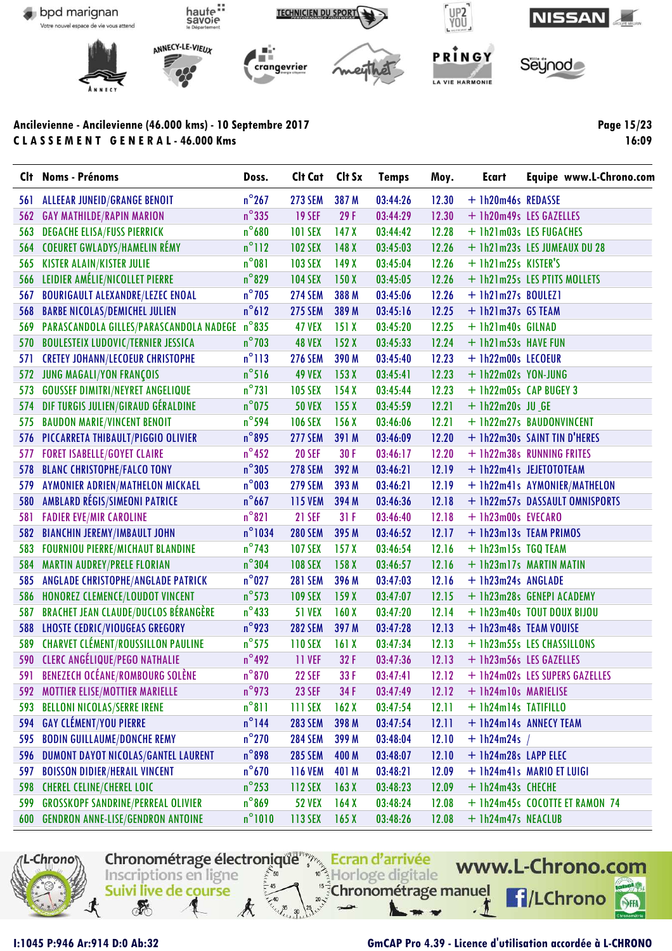

**Page 15/23 16:09**

| Clt | <b>Noms - Prénoms</b>                        | Doss.            | Cit Cat Cit Sx |                  | <b>Temps</b> | Moy.    | <b>Ecart</b>           | Equipe www.L-Chrono.com        |
|-----|----------------------------------------------|------------------|----------------|------------------|--------------|---------|------------------------|--------------------------------|
| 561 | <b>ALLEEAR JUNEID/GRANGE BENOIT</b>          | $n^{\circ}$ 267  | <b>273 SEM</b> | 387 M            | 03:44:26     | 12.30   | + 1h20m46s REDASSE     |                                |
| 562 | <b>GAY MATHILDE/RAPIN MARION</b>             | $n^{\circ}335$   | <b>19 SEF</b>  | 29F              | 03:44:29     | 12.30   |                        | + 1h20m49s LES GAZELLES        |
| 563 | <b>DEGACHE ELISA/FUSS PIERRICK</b>           | $n^{\circ}$ 680  | <b>101 SEX</b> | 147 <sub>X</sub> | 03:44:42     | 12.28   |                        | + 1h21m03s LES FUGACHES        |
| 564 | <b>COEURET GWLADYS/HAMELIN RÉMY</b>          | $n^{\circ}112$   | <b>102 SEX</b> | 148X             | 03:45:03     | 12.26   |                        | + 1h21m23s LES JUMEAUX DU 28   |
| 565 | <b>KISTER ALAIN/KISTER JULIE</b>             | $n^{\circ}081$   | <b>103 SEX</b> | 149X             | 03:45:04     | 12.26   | + 1h21m25s KISTER'S    |                                |
| 566 | LEIDIER AMÉLIE/NICOLLET PIERRE               | $n^{\circ}$ 829  | <b>104 SEX</b> | 150X             | 03:45:05     | 12.26   |                        | + 1h21m25s LES PTITS MOLLETS   |
| 567 | <b>BOURIGAULT ALEXANDRE/LEZEC ENOAL</b>      | $n^{\circ}$ 705  | <b>274 SEM</b> | 388 M            | 03:45:06     | 12.26   | $+$ lh2lm27s BOULEZ1   |                                |
| 568 | <b>BARBE NICOLAS/DEMICHEL JULIEN</b>         | $n^{\circ}612$   | <b>275 SEM</b> | 389 M            | 03:45:16     | 12.25   | $+$ 1h21m37s GS TEAM   |                                |
| 569 | PARASCANDOLA GILLES/PARASCANDOLA NADEGE      | $n^{\circ}$ 835  | <b>47 VEX</b>  | 151X             | 03:45:20     | 12.25   | + 1h21m40s GILNAD      |                                |
| 570 | <b>BOULESTEIX LUDOVIC/TERNIER JESSICA</b>    | $n^{\circ}$ 703  | <b>48 VEX</b>  | 152X             | 03:45:33     | 12.24   | + 1h21m53s HAVE FUN    |                                |
| 571 | <b>CRETEY JOHANN/LECOEUR CHRISTOPHE</b>      | $n^{\circ}113$   | <b>276 SEM</b> | 390 M            | 03:45:40     | 12.23   | + 1h22m00s LECOEUR     |                                |
| 572 | JUNG MAGALI/YON FRANÇOIS                     | $n^{\circ}516$   | <b>49 VEX</b>  | 153X             | 03:45:41     | 12.23   | + 1h22m02s YON-JUNG    |                                |
| 573 | <b>GOUSSEF DIMITRI/NEYRET ANGELIQUE</b>      | $n^{\circ}731$   | <b>105 SEX</b> | 154X             | 03:45:44     | 12.23   | + 1h22m05s CAP BUGEY 3 |                                |
| 574 | DIF TURGIS JULIEN/GIRAUD GÉRALDINE           | $n^{\circ}$ 075  | <b>50 VEX</b>  | 155X             | 03:45:59     | 12.21   | $+$ 1h22m20s JU GE     |                                |
| 575 | <b>BAUDON MARIE/VINCENT BENOIT</b>           | $n^{\circ}$ 594  | <b>106 SEX</b> | 156X             | 03:46:06     | 12.21   |                        | + 1h22m27s BAUDONVINCENT       |
| 576 | PICCARRETA THIBAULT/PIGGIO OLIVIER           | $n^{\circ}$ 895  | <b>277 SEM</b> | 391 M            | 03:46:09     | 12.20   |                        | + 1h22m30s SAINT TIN D'HERES   |
| 577 | <b>FORET ISABELLE/GOYET CLAIRE</b>           | $n^{\circ}$ 452  | <b>20 SEF</b>  | 30F              | 03:46:17     | 12.20   |                        | + 1h22m38s RUNNING FRITES      |
| 578 | <b>BLANC CHRISTOPHE/FALCO TONY</b>           | $n^{\circ}305$   | <b>278 SEM</b> | 392 M            | 03:46:21     | 12.19   |                        | + 1h22m41s JEJETOTOTEAM        |
| 579 | AYMONIER ADRIEN/MATHELON MICKAEL             | $n^{\circ}003$   | <b>279 SEM</b> | 393 M            | 03:46:21     | 12.19   |                        | + 1h22m41s AYMONIER/MATHELON   |
| 580 | AMBLARD RÉGIS/SIMEONI PATRICE                | $n^{\circ}$ 667  | <b>115 VEM</b> | 394 M            | 03:46:36     | 12.18   |                        | + 1h22m57s DASSAULT OMNISPORTS |
| 581 | <b>FADIER EVE/MIR CAROLINE</b>               | $n^{\circ}821$   | <b>21 SEF</b>  | 31F              | 03:46:40     | 12.18   | + 1h23m00s EVECARO     |                                |
| 582 | <b>BIANCHIN JEREMY/IMBAULT JOHN</b>          | $n^{\circ}$ 1034 | <b>280 SEM</b> | 395 M            | 03:46:52     | 12.17   |                        | + 1h23m13s TEAM PRIMOS         |
| 583 | <b>FOURNIOU PIERRE/MICHAUT BLANDINE</b>      | $n^{\circ}$ 743  | <b>107 SEX</b> | 157 <sub>X</sub> | 03:46:54     | 12.16   | + 1h23m15s TGQ TEAM    |                                |
| 584 | <b>MARTIN AUDREY/PRELE FLORIAN</b>           | $n^{\circ}304$   | <b>108 SEX</b> | 158 <sub>X</sub> | 03:46:57     | 12.16   |                        | + 1h23m17s MARTIN MATIN        |
| 585 | ANGLADE CHRISTOPHE/ANGLADE PATRICK           | $n^{\circ}027$   | <b>281 SEM</b> | 396 M            | 03:47:03     | 12.16   | + 1h23m24s ANGLADE     |                                |
| 586 | HONOREZ CLEMENCE/LOUDOT VINCENT              | $n^{\circ}$ 573  | <b>109 SEX</b> | 159X             | 03:47:07     | 12.15   |                        | + 1h23m28s GENEPI ACADEMY      |
| 587 | <b>BRACHET JEAN CLAUDE/DUCLOS BÉRANGÈRE</b>  | $n^{\circ}433$   | <b>51 VEX</b>  | 160X             | 03:47:20     | 12.14   |                        | + 1h23m40s TOUT DOUX BIJOU     |
| 588 | <b>LHOSTE CEDRIC/VIOUGEAS GREGORY</b>        | $n^{\circ}$ 923  | <b>282 SEM</b> | 397 M            | 03:47:28     | 12.13   |                        | + 1h23m48s TEAM VOUISE         |
| 589 | <b>CHARVET CLÉMENT/ROUSSILLON PAULINE</b>    | $n^{\circ}$ 575  | <b>110 SEX</b> | 161X             | 03:47:34     | 12.13   |                        | + 1h23m55s LES CHASSILLONS     |
|     | 590 CLERC ANGÉLIQUE/PEGO NATHALIE            | $n^{\circ}$ 492  | 11 VEF         | 32 F             | 03:47:36     | 12.13   |                        | + 1h23m56s LES GAZELLES        |
|     | 591 BENEZECH OCÉANE/ROMBOURG SOLÈNE          | $n^{\circ}870$   | <b>22 SEF</b>  | 33F              | 03:47:41     | $12.12$ |                        | + 1h24m02s LES SUPERS GAZELLES |
| 592 | <b>MOTTIER ELISE/MOTTIER MARIELLE</b>        | $n^{\circ}$ 973  | <b>23 SEF</b>  | 34 F             | 03:47:49     | 12.12   | + 1h24m10s MARIELISE   |                                |
| 593 | <b>BELLONI NICOLAS/SERRE IRENE</b>           | $n^{\circ}811$   | 111 SEX        | 162X             | 03:47:54     | 12.11   | + 1h24m14s TATIFILLO   |                                |
| 594 | <b>GAY CLÉMENT/YOU PIERRE</b>                | $n^{\circ}$ 144  | <b>283 SEM</b> | 398 M            | 03:47:54     | 12.11   |                        | + 1h24m14s ANNECY TEAM         |
| 595 | <b>BODIN GUILLAUME/DONCHE REMY</b>           | $n^{\circ}$ 270  | <b>284 SEM</b> | 399 M            | 03:48:04     | 12.10   | $+$ 1h24m24s /         |                                |
| 596 | DUMONT DAYOT NICOLAS/GANTEL LAURENT          | $n^{\circ}$ 898  | <b>285 SEM</b> | 400 M            | 03:48:07     | 12.10   | + 1h24m28s LAPP ELEC   |                                |
| 597 | <b>BOISSON DIDIER/HERAIL VINCENT</b>         | $n^{\circ}$ 670  | <b>116 VEM</b> | 401 M            | 03:48:21     | 12.09   |                        | + 1h24m41s MARIO ET LUIGI      |
| 598 | <b>CHEREL CELINE/CHEREL LOIC</b>             | $n^{\circ}$ 253  | 112 SEX        | 163X             | 03:48:23     | 12.09   | + 1h24m43s CHECHE      |                                |
| 599 | <b>GROSSKOPF SANDRINE/PERREAL OLIVIER</b>    | $n^{\circ}869$   | <b>52 VEX</b>  | 164X             | 03:48:24     | 12.08   |                        | + 1h24m45s COCOTTE ET RAMON 74 |
|     | <b>600 GENDRON ANNE-LISE/GENDRON ANTOINE</b> | $n^{\circ}1010$  | 113 SEX        | 165 <sub>X</sub> | 03:48:26     | 12.08   | + 1h24m47s NEACLUB     |                                |

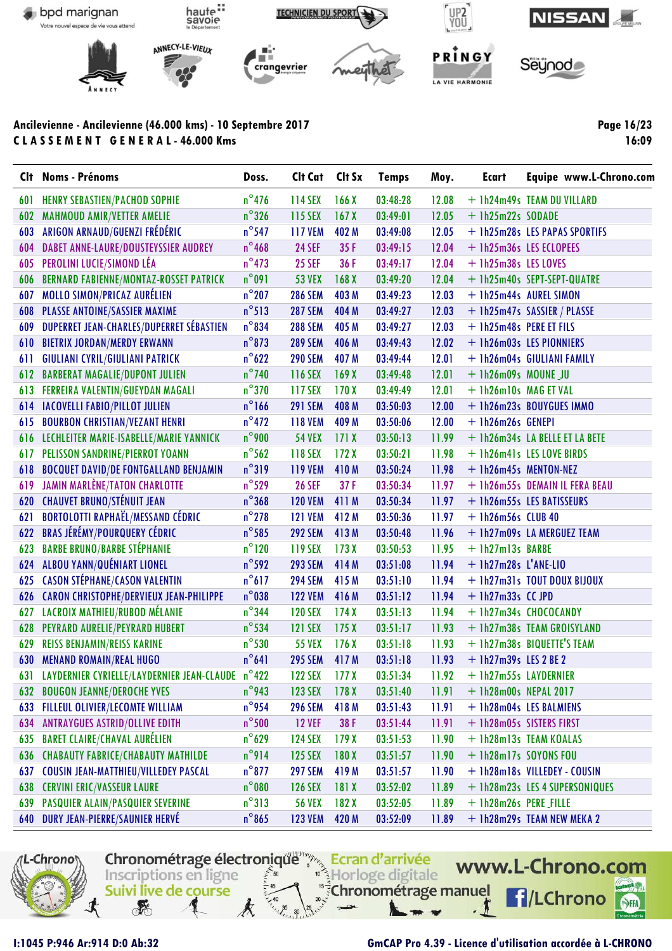

**Page 16/23 16:09**

| <b>C</b> It | <b>Noms - Prénoms</b>                            | Doss.           | Cit Cat Cit Sx |                  | <b>Temps</b> | Moy.  | <b>Ecart</b>            | Equipe www.L-Chrono.com        |
|-------------|--------------------------------------------------|-----------------|----------------|------------------|--------------|-------|-------------------------|--------------------------------|
| 601         | <b>HENRY SEBASTIEN/PACHOD SOPHIE</b>             | $n^{\circ}$ 476 | 114 SEX        | 166X             | 03:48:28     | 12.08 |                         | + 1h24m49s TEAM DU VILLARD     |
| 602         | <b>MAHMOUD AMIR/VETTER AMELIE</b>                | $n^{\circ}$ 326 | 115 SEX        | 167X             | 03:49:01     | 12.05 | $+$ 1h25m22s SODADE     |                                |
| 603         | ARIGON ARNAUD/GUENZI FRÉDÉRIC                    | $n^{\circ}$ 547 | <b>117 VEM</b> | 402 M            | 03:49:08     | 12.05 |                         | + 1h25m28s LES PAPAS SPORTIFS  |
| 604         | DABET ANNE-LAURE/DOUSTEYSSIER AUDREY             | $n^{\circ}$ 468 | <b>24 SEF</b>  | 35F              | 03:49:15     | 12.04 |                         | + 1h25m36s LES ECLOPEES        |
| 605         | PEROLINI LUCIE/SIMOND LÉA                        | $n^{\circ}$ 473 | <b>25 SEF</b>  | 36F              | 03:49:17     | 12.04 | + 1h25m38s LES LOVES    |                                |
| 606         | <b>BERNARD FABIENNE/MONTAZ-ROSSET PATRICK</b>    | $n^{\circ}091$  | <b>53 VEX</b>  | 168 <sub>X</sub> | 03:49:20     | 12.04 |                         | + 1h25m40s SEPT-SEPT-QUATRE    |
| 607         | <b>MOLLO SIMON/PRICAZ AURÉLIEN</b>               | $n^{\circ}$ 207 | <b>286 SEM</b> | 403 M            | 03:49:23     | 12.03 |                         | + 1h25m44s AUREL SIMON         |
| 608         | PLASSE ANTOINE/SASSIER MAXIME                    | $n^{\circ}513$  | <b>287 SEM</b> | 404 M            | 03:49:27     | 12.03 |                         | + 1h25m47s SASSIER / PLASSE    |
| 609         | DUPERRET JEAN-CHARLES/DUPERRET SÉBASTIEN         | $n^{\circ}$ 834 | <b>288 SEM</b> | 405 M            | 03:49:27     | 12.03 | + 1h25m48s PERE ET FILS |                                |
| 610         | <b>BIETRIX JORDAN/MERDY ERWANN</b>               | $n^{\circ}$ 873 | <b>289 SEM</b> | 406 M            | 03:49:43     | 12.02 |                         | + 1h26m03s LES PIONNIERS       |
| 611         | <b>GIULIANI CYRIL/GIULIANI PATRICK</b>           | $n^{\circ}$ 622 | <b>290 SEM</b> | 407 M            | 03:49:44     | 12.01 |                         | + 1h26m04s GIULIANI FAMILY     |
| 612         | <b>BARBERAT MAGALIE/DUPONT JULIEN</b>            | $n^{\circ}$ 740 | 116 SEX        | 169X             | 03:49:48     | 12.01 | $+$ 1h26m09s MOUNE JU   |                                |
| 613         | FERREIRA VALENTIN/GUEYDAN MAGALI                 | $n^{\circ}$ 370 | 117 SEX        | 170X             | 03:49:49     | 12.01 | + 1h26m10s MAG ET VAL   |                                |
| 614         | <b>IACOVELLI FABIO/PILLOT JULIEN</b>             | $n^{\circ}$ 166 | <b>291 SEM</b> | 408 M            | 03:50:03     | 12.00 |                         | + 1h26m23s BOUYGUES IMMO       |
| 615         | <b>BOURBON CHRISTIAN/VEZANT HENRI</b>            | $n^{\circ}472$  | <b>118 VEM</b> | 409 M            | 03:50:06     | 12.00 | + 1h26m26s GENEPI       |                                |
| 616         | LECHLEITER MARIE-ISABELLE/MARIE YANNICK          | $n^{\circ}$ 900 | <b>54 VEX</b>  | 171X             | 03:50:13     | 11.99 |                         | + 1h26m34s LA BELLE ET LA BETE |
| 617         | PELISSON SANDRINE/PIERROT YOANN                  | $n^{\circ}$ 562 | 118 SEX        | 172X             | 03:50:21     | 11.98 |                         | + 1h26m41s LES LOVE BIRDS      |
| 618         | <b>BOCQUET DAVID/DE FONTGALLAND BENJAMIN</b>     | $n^{\circ}319$  | <b>119 VEM</b> | 410 M            | 03:50:24     | 11.98 | + 1h26m45s MENTON-NEZ   |                                |
| 619         | <b>JAMIN MARLÈNE/TATON CHARLOTTE</b>             | $n^{\circ}$ 529 | <b>26 SEF</b>  | 37F              | 03:50:34     | 11.97 |                         | + 1h26m55s DEMAIN IL FERA BEAU |
| 620         | <b>CHAUVET BRUNO/STÉNUIT JEAN</b>                | $n^{\circ}368$  | <b>120 VEM</b> | 411 M            | 03:50:34     | 11.97 |                         | + 1h26m55s LES BATISSEURS      |
| 621         | <b>BORTOLOTTI RAPHAËL/MESSAND CÉDRIC</b>         | $n^{\circ}$ 278 | <b>121 VEM</b> | 412 M            | 03:50:36     | 11.97 | $+$ 1h26m56s CLUB 40    |                                |
| 622         | <b>BRAS JÉRÉMY/POURQUERY CÉDRIC</b>              | $n^{\circ}$ 585 | <b>292 SEM</b> | 413 M            | 03:50:48     | 11.96 |                         | + 1h27m09s LA MERGUEZ TEAM     |
| 623         | <b>BARBE BRUNO/BARBE STÉPHANIE</b>               | $n^{\circ}120$  | <b>119 SEX</b> | 173X             | 03:50:53     | 11.95 | + 1h27m13s BARBE        |                                |
| 624         | ALBOU YANN/QUÉNIART LIONEL                       | $n^{\circ}$ 592 | <b>293 SEM</b> | 414 M            | 03:51:08     | 11.94 | $+$ 1h27m28s L'ANE-LIO  |                                |
| 625         | <b>CASON STÉPHANE/CASON VALENTIN</b>             | $n^{\circ}617$  | <b>294 SEM</b> | 415 M            | 03:51:10     | 11.94 |                         | + 1h27m31s TOUT DOUX BIJOUX    |
|             | 626 CARON CHRISTOPHE/DERVIEUX JEAN-PHILIPPE      | $n^{\circ}$ 038 | <b>122 VEM</b> | 416 M            | 03:51:12     | 11.94 | $+$ 1h27m33s $CC$ JPD   |                                |
| 627         | <b>LACROIX MATHIEU/RUBOD MÉLANIE</b>             | $n^{\circ}$ 344 | <b>120 SEX</b> | 174X             | 03:51:13     | 11.94 |                         | + 1h27m34s CHOCOCANDY          |
| 628         | PEYRARD AURELIE/PEYRARD HUBERT                   | $n^{\circ}$ 534 | <b>121 SEX</b> | 175X             | 03:51:17     | 11.93 |                         | + 1h27m38s TEAM GROISYLAND     |
| 629         | <b>REISS BENJAMIN/REISS KARINE</b>               | $n^{\circ}$ 530 | <b>55 VEX</b>  | 176X             | 03:51:18     | 11.93 |                         | + 1h27m38s BIQUETTE'S TEAM     |
| 630         | <b>MENAND ROMAIN/REAL HUGO</b>                   | $n^{\circ}641$  | <b>295 SEM</b> | 417 M            | 03:51:18     | 11.93 | $+$ 1h27m39s LES 2 BE 2 |                                |
| 631         | LAYDERNIER CYRIELLE/LAYDERNIER JEAN-CLAUDE n°422 |                 | <b>122 SEX</b> | 177 <sub>X</sub> | 03:51:34     | 11.92 | + 1h27m55s LAYDERNIER   |                                |
| 632         | <b>BOUGON JEANNE/DEROCHE YVES</b>                | $n^{\circ}$ 943 | <b>123 SEX</b> | 178 <sub>X</sub> | 03:51:40     | 11.91 | + 1h28m00s NEPAL 2017   |                                |
| 633         | FILLEUL OLIVIER/LECOMTE WILLIAM                  | $n^{\circ}$ 954 | <b>296 SEM</b> | 418 M            | 03:51:43     | 11.91 |                         | + 1h28m04s LES BALMIENS        |
| 634         | <b>ANTRAYGUES ASTRID/OLLIVE EDITH</b>            | $n^{\circ}$ 500 | <b>12 VEF</b>  | 38 F             | 03:51:44     | 11.91 |                         | + 1h28m05s SISTERS FIRST       |
| 635         | <b>BARET CLAIRE/CHAVAL AURÉLIEN</b>              | $n^{\circ}$ 629 | <b>124 SEX</b> | 179X             | 03:51:53     | 11.90 |                         | + 1h28m13s TEAM KOALAS         |
| 636         | <b>CHABAUTY FABRICE/CHABAUTY MATHILDE</b>        | $n^{\circ}$ 914 | <b>125 SEX</b> | 180X             | 03:51:57     | 11.90 | + 1h28m17s SOYONS FOU   |                                |
| 637         | <b>COUSIN JEAN-MATTHIEU/VILLEDEY PASCAL</b>      | $n^{\circ}$ 877 | <b>297 SEM</b> | 419 M            | 03:51:57     | 11.90 |                         | + 1h28m18s VILLEDEY - COUSIN   |
| 638         | <b>CERVINI ERIC/VASSEUR LAURE</b>                | $n^{\circ}$ 080 | <b>126 SEX</b> | 181X             | 03:52:02     | 11.89 |                         | + 1h28m23s LES 4 SUPERSONIQUES |
| 639         | PASQUIER ALAIN/PASQUIER SEVERINE                 | $n^{\circ}313$  | <b>56 VEX</b>  | 182X             | 03:52:05     | 11.89 | + 1h28m26s PERE_FILLE   |                                |
| 640         | DURY JEAN-PIERRE/SAUNIER HERVÉ                   | $n^{\circ}865$  | <b>123 VEM</b> | 420 M            | 03:52:09     | 11.89 |                         | + 1h28m29s TEAM NEW MEKA 2     |
|             |                                                  |                 |                |                  |              |       |                         |                                |

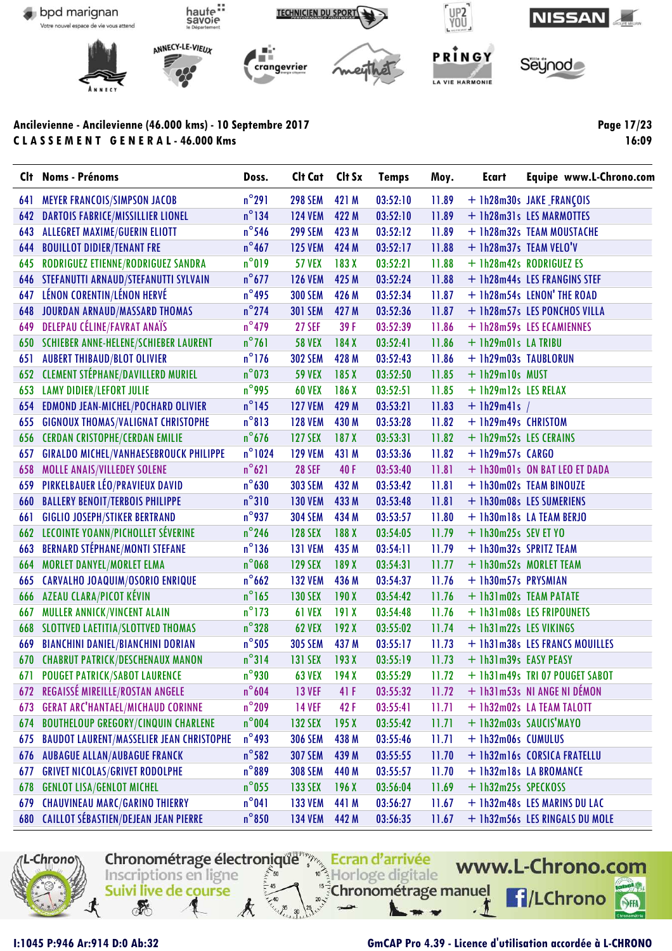

**Page 17/23 16:09**

| Clt | <b>Noms - Prénoms</b>                           | Doss.            | Clt Cat        | Clt Sx | <b>Temps</b> | Moy.  | <b>Ecart</b>           | Equipe www.L-Chrono.com        |
|-----|-------------------------------------------------|------------------|----------------|--------|--------------|-------|------------------------|--------------------------------|
| 641 | <b>MEYER FRANCOIS/SIMPSON JACOB</b>             | $n^{\circ}291$   | <b>298 SEM</b> | 421 M  | 03:52:10     | 11.89 |                        | + 1h28m30s JAKE_FRANÇOIS       |
| 642 | <b>DARTOIS FABRICE/MISSILLIER LIONEL</b>        | $n^{\circ}$ 134  | <b>124 VEM</b> | 422 M  | 03:52:10     | 11.89 |                        | + 1h28m31s LES MARMOTTES       |
| 643 | <b>ALLEGRET MAXIME/GUERIN ELIOTT</b>            | $n^{\circ}$ 546  | <b>299 SEM</b> | 423 M  | 03:52:12     | 11.89 |                        | + 1h28m32s TEAM MOUSTACHE      |
| 644 | <b>BOUILLOT DIDIER/TENANT FRE</b>               | $n^{\circ}$ 467  | <b>125 VEM</b> | 424 M  | 03:52:17     | 11.88 |                        | + 1h28m37s TEAM VELO'V         |
| 645 | RODRIGUEZ ETIENNE/RODRIGUEZ SANDRA              | $n^{\circ}019$   | <b>57 VEX</b>  | 183X   | 03:52:21     | 11.88 |                        | + 1h28m42s RODRIGUEZ ES        |
|     | <b>646 STEFANUTTI ARNAUD/STEFANUTTI SYLVAIN</b> | $n^{\circ}$ 677  | <b>126 VEM</b> | 425 M  | 03:52:24     | 11.88 |                        | + 1h28m44s LES FRANGINS STEF   |
| 647 | LÉNON CORENTIN/LÉNON HERVÉ                      | $n^{\circ}$ 495  | <b>300 SEM</b> | 426 M  | 03:52:34     | 11.87 |                        | + 1h28m54s LENON' THE ROAD     |
| 648 | JOURDAN ARNAUD/MASSARD THOMAS                   | $n^{\circ}$ 274  | <b>301 SEM</b> | 427 M  | 03:52:36     | 11.87 |                        | + 1h28m57s LES PONCHOS VILLA   |
| 649 | DELEPAU CÉLINE/FAVRAT ANAÏS                     | $n^{\circ}479$   | <b>27 SEF</b>  | 39 F   | 03:52:39     | 11.86 |                        | + 1h28m59s LES ECAMIENNES      |
|     | 650 SCHIEBER ANNE-HELENE/SCHIEBER LAURENT       | $n^{\circ}761$   | <b>58 VEX</b>  | 184X   | 03:52:41     | 11.86 | + 1h29m01s LA TRIBU    |                                |
| 651 | <b>AUBERT THIBAUD/BLOT OLIVIER</b>              | $n^{\circ}$ 176  | <b>302 SEM</b> | 428 M  | 03:52:43     | 11.86 | + 1h29m03s TAUBLORUN   |                                |
|     | 652 CLEMENT STÉPHANE/DAVILLERD MURIEL           | $n^{\circ}$ 073  | <b>59 VEX</b>  | 185X   | 03:52:50     | 11.85 | + 1h29m10s MUST        |                                |
| 653 | <b>LAMY DIDIER/LEFORT JULIE</b>                 | $n^{\circ}$ 995  | <b>60 VEX</b>  | 186 X  | 03:52:51     | 11.85 | + 1h29m12s LES RELAX   |                                |
| 654 | <b>EDMOND JEAN-MICHEL/POCHARD OLIVIER</b>       | $n^{\circ}$ 145  | <b>127 VEM</b> | 429 M  | 03:53:21     | 11.83 | $+$ 1h29m41s /         |                                |
| 655 | <b>GIGNOUX THOMAS/VALIGNAT CHRISTOPHE</b>       | $n^{\circ}813$   | <b>128 VEM</b> | 430 M  | 03:53:28     | 11.82 | + 1h29m49s CHRISTOM    |                                |
| 656 | <b>CERDAN CRISTOPHE/CERDAN EMILIE</b>           | $n^{\circ}$ 676  | <b>127 SEX</b> | 187X   | 03:53:31     | 11.82 | + 1h29m52s LES CERAINS |                                |
| 657 | <b>GIRALDO MICHEL/VANHAESEBROUCK PHILIPPE</b>   | $n^{\circ}$ 1024 | <b>129 VEM</b> | 431 M  | 03:53:36     | 11.82 | $+$ 1h29m57s $CARGO$   |                                |
| 658 | MOLLE ANAIS/VILLEDEY SOLENE                     | $n^{\circ}621$   | <b>28 SEF</b>  | 40 F   | 03:53:40     | 11.81 |                        | + 1h30m01s ON BAT LEO ET DADA  |
| 659 | PIRKELBAUER LÉO/PRAVIEUX DAVID                  | $n^{\circ}$ 630  | <b>303 SEM</b> | 432 M  | 03:53:42     | 11.81 |                        | + 1h30m02s TEAM BINOUZE        |
| 660 | <b>BALLERY BENOIT/TERBOIS PHILIPPE</b>          | $n^{\circ}310$   | <b>130 VEM</b> | 433 M  | 03:53:48     | 11.81 |                        | + 1h30m08s LES SUMERIENS       |
| 661 | <b>GIGLIO JOSEPH/STIKER BERTRAND</b>            | $n^{\circ}$ 937  | <b>304 SEM</b> | 434 M  | 03:53:57     | 11.80 |                        | + 1h30m18s LA TEAM BERJO       |
|     | <b>662 LECOINTE YOANN/PICHOLLET SÉVERINE</b>    | $n^{\circ}$ 246  | <b>128 SEX</b> | 188 X  | 03:54:05     | 11.79 | $+$ 1h30m25s SEV ET YO |                                |
| 663 | <b>BERNARD STÉPHANE/MONTI STEFANE</b>           | $n^{\circ}$ 136  | <b>131 VEM</b> | 435 M  | 03:54:11     | 11.79 |                        | + 1h30m32s SPRITZ TEAM         |
| 664 | <b>MORLET DANYEL/MORLET ELMA</b>                | $n^{\circ}$ 068  | <b>129 SEX</b> | 189 X  | 03:54:31     | 11.77 |                        | + 1h30m52s MORLET TEAM         |
| 665 | CARVALHO JOAQUIM/OSORIO ENRIQUE                 | $n^{\circ}$ 662  | <b>132 VEM</b> | 436 M  | 03:54:37     | 11.76 | + 1h30m57s PRYSMIAN    |                                |
| 666 | AZEAU CLARA/PICOT KÉVIN                         | $n^{\circ}$ 165  | <b>130 SEX</b> | 190X   | 03:54:42     | 11.76 |                        | + 1h31m02s TEAM PATATE         |
| 667 | MULLER ANNICK/VINCENT ALAIN                     | $n^{\circ}$ 173  | <b>61 VEX</b>  | 191X   | 03:54:48     | 11.76 |                        | + 1h31m08s LES FRIPOUNETS      |
| 668 | SLOTTVED LAETITIA/SLOTTVED THOMAS               | $n^{\circ}328$   | <b>62 VEX</b>  | 192X   | 03:55:02     | 11.74 | + 1h31m22s LES VIKINGS |                                |
| 669 | <b>BIANCHINI DANIEL/BIANCHINI DORIAN</b>        | $n^{\circ}$ 505  | <b>305 SEM</b> | 437 M  | 03:55:17     | 11.73 |                        | + 1h31m38s LES FRANCS MOUILLES |
| 670 | <b>CHABRUT PATRICK/DESCHENAUX MANON</b>         | $n^{\circ}314$   | 131 SEX        | 193X   | 03:55:19     | 11.73 | + 1h31m39s EASY PEASY  |                                |
|     | 671 POUGET PATRICK/SABOT LAURENCE               | $n^{\circ}$ 930  | <b>63 VEX</b>  | 194X   | 03:55:29     | 11.72 |                        | + 1h31m49s TRI 07 POUGET SABOT |
| 672 | REGAISSÉ MIREILLE/ROSTAN ANGELE                 | $n^{\circ}$ 604  | <b>13 VEF</b>  | 41 F   | 03:55:32     | 11.72 |                        | + 1h31m53s NI ANGE NI DÉMON    |
| 673 | <b>GERAT ARC'HANTAEL/MICHAUD CORINNE</b>        | $n^{\circ}$ 209  | <b>14 VEF</b>  | 42F    | 03:55:41     | 11.71 |                        | + 1h32m02s LA TEAM TALOTT      |
| 674 | <b>BOUTHELOUP GREGORY/CINQUIN CHARLENE</b>      | $n^{\circ}$ 004  | <b>132 SEX</b> | 195X   | 03:55:42     | 11.71 |                        | + 1h32m03s SAUCIS'MAYO         |
| 675 | <b>BAUDOT LAURENT/MASSELIER JEAN CHRISTOPHE</b> | $n^{\circ}$ 493  | <b>306 SEM</b> | 438 M  | 03:55:46     | 11.71 | + 1h32m06s CUMULUS     |                                |
| 676 | <b>AUBAGUE ALLAN/AUBAGUE FRANCK</b>             | $n^{\circ}$ 582  | <b>307 SEM</b> | 439 M  | 03:55:55     | 11.70 |                        | + 1h32m16s CORSICA FRATELLU    |
| 677 | <b>GRIVET NICOLAS/GRIVET RODOLPHE</b>           | $n^{\circ}889$   | <b>308 SEM</b> | 440 M  | 03:55:57     | 11.70 |                        | + 1h32m18s LA BROMANCE         |
| 678 | <b>GENLOT LISA/GENLOT MICHEL</b>                | $n^{\circ}$ 055  | <b>133 SEX</b> | 196X   | 03:56:04     | 11.69 | + 1h32m25s SPECKOSS    |                                |
| 679 | <b>CHAUVINEAU MARC/GARINO THIERRY</b>           | $n^{\circ}041$   | <b>133 VEM</b> | 441 M  | 03:56:27     | 11.67 |                        | + 1h32m48s LES MARINS DU LAC   |
| 680 | <b>CAILLOT SÉBASTIEN/DEJEAN JEAN PIERRE</b>     | $n^{\circ}850$   | <b>134 VEM</b> | 442 M  | 03:56:35     | 11.67 |                        | + 1h32m56s LES RINGALS DU MOLE |
|     |                                                 |                  |                |        |              |       |                        |                                |

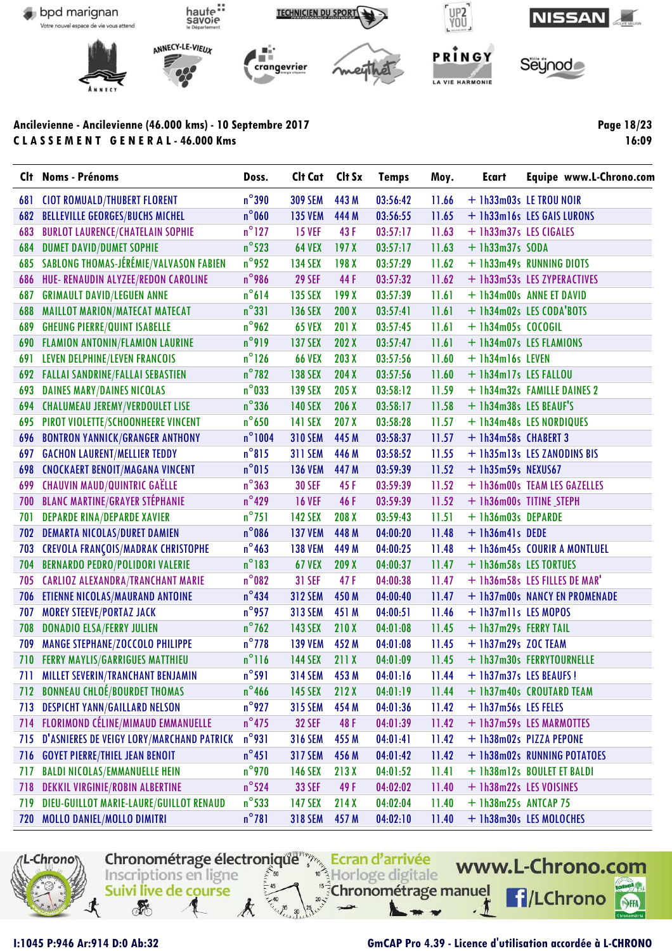

Page 18/23 16:09

|     | Clt Noms - Prénoms                         | Doss.            | Clt Cat        | Clt Sx           | <b>Temps</b> | Moy.  | Ecart                  | Equipe www.L-Chrono.com       |
|-----|--------------------------------------------|------------------|----------------|------------------|--------------|-------|------------------------|-------------------------------|
| 681 | <b>CIOT ROMUALD/THUBERT FLORENT</b>        | $n^{\circ}$ 390  | <b>309 SEM</b> | 443 M            | 03:56:42     | 11.66 |                        | + 1h33m03s LE TROU NOIR       |
| 682 | <b>BELLEVILLE GEORGES/BUCHS MICHEL</b>     | $n^{\circ}$ 060  | <b>135 VEM</b> | 444 M            | 03:56:55     | 11.65 |                        | + 1h33m16s LES GAIS LURONS    |
| 683 | <b>BURLOT LAURENCE/CHATELAIN SOPHIE</b>    | $n^{\circ}$ 127  | <b>15 VEF</b>  | 43 F             | 03:57:17     | 11.63 | + 1h33m37s LES CIGALES |                               |
| 684 | <b>DUMET DAVID/DUMET SOPHIE</b>            | $n^{\circ}$ 523  | <b>64 VEX</b>  | 197X             | 03:57:17     | 11.63 | $+$ 1h33m37s SODA      |                               |
| 685 | SABLONG THOMAS-JÉRÉMIE/VALVASON FABIEN     | $n^{\circ}$ 952  | <b>134 SEX</b> | 198 X            | 03:57:29     | 11.62 |                        | + 1h33m49s RUNNING DIOTS      |
| 686 | HUE- RENAUDIN ALYZEE/REDON CAROLINE        | $n^{\circ}$ 986  | <b>29 SEF</b>  | 44 F             | 03:57:32     | 11.62 |                        | + 1h33m53s LES ZYPERACTIVES   |
| 687 | <b>GRIMAULT DAVID/LEGUEN ANNE</b>          | $n^{\circ}614$   | <b>135 SEX</b> | 199 X            | 03:57:39     | 11.61 |                        | + 1h34m00s ANNE ET DAVID      |
| 688 | MAILLOT MARION/MATECAT MATECAT             | $n^{\circ}331$   | 136 SEX        | 200X             | 03:57:41     | 11.61 |                        | + 1h34m02s LES CODA'BOTS      |
| 689 | <b>GHEUNG PIERRE/QUINT ISABELLE</b>        | $n^{\circ}$ 962  | <b>65 VEX</b>  | 201 X            | 03:57:45     | 11.61 | $+$ 1h34m05s COCOGIL   |                               |
|     | <b>690 FLAMION ANTONIN/FLAMION LAURINE</b> | $n^{\circ}$ 919  | <b>137 SEX</b> | 202 X            | 03:57:47     | 11.61 |                        | + 1h34m07s LES FLAMIONS       |
| 691 | LEVEN DELPHINE/LEVEN FRANCOIS              | $n^{\circ}$ 126  | <b>66 VEX</b>  | 203X             | 03:57:56     | 11.60 | + 1h34m16s LEVEN       |                               |
| 692 | <b>FALLAI SANDRINE/FALLAI SEBASTIEN</b>    | $n^{\circ}$ 782  | 138 SEX        | 204X             | 03:57:56     | 11.60 | + 1h34m17s LES FALLOU  |                               |
| 693 | <b>DAINES MARY/DAINES NICOLAS</b>          | $n^{\circ}$ 033  | <b>139 SEX</b> | 205X             | 03:58:12     | 11.59 |                        | + 1h34m32s FAMILLE DAINES 2   |
| 694 | <b>CHALUMEAU JEREMY/VERDOULET LISE</b>     | $n^{\circ}$ 336  | <b>140 SEX</b> | 206 X            | 03:58:17     | 11.58 | + 1h34m38s LES BEAUF'S |                               |
| 695 | PIROT VIOLETTE/SCHOONHEERE VINCENT         | $n^{\circ}$ 650  | <b>141 SEX</b> | 207 <sub>X</sub> | 03:58:28     | 11.57 |                        | + 1h34m48s LES NORDIQUES      |
| 696 | <b>BONTRON YANNICK/GRANGER ANTHONY</b>     | $n^{\circ}$ 1004 | <b>310 SEM</b> | 445 M            | 03:58:37     | 11.57 | + 1h34m58s CHABERT 3   |                               |
| 697 | <b>GACHON LAURENT/MELLIER TEDDY</b>        | $n^{\circ}815$   | <b>311 SEM</b> | 446 M            | 03:58:52     | 11.55 |                        | + 1h35m13s LES ZANODINS BIS   |
| 698 | <b>CNOCKAERT BENOIT/MAGANA VINCENT</b>     | $n^{\circ}$ 015  | <b>136 VEM</b> | 447 M            | 03:59:39     | 11.52 | $+$ 1h35m59s NEXUS67   |                               |
| 699 | <b>CHAUVIN MAUD/QUINTRIC GAËLLE</b>        | $n^{\circ}363$   | <b>30 SEF</b>  | 45 F             | 03:59:39     | 11.52 |                        | + 1h36m00s TEAM LES GAZELLES  |
| 700 | <b>BLANC MARTINE/GRAYER STÉPHANIE</b>      | $n^{\circ}$ 429  | <b>16 VEF</b>  | 46 F             | 03:59:39     | 11.52 |                        | + 1h36m00s TITINE STEPH       |
| 701 | <b>DEPARDE RINA/DEPARDE XAVIER</b>         | $n^{\circ}$ 751  | <b>142 SEX</b> | 208 X            | 03:59:43     | 11.51 | + 1h36m03s DEPARDE     |                               |
| 702 | <b>DEMARTA NICOLAS/DURET DAMIEN</b>        | $n^{\circ}$ 086  | <b>137 VEM</b> | 448 M            | 04:00:20     | 11.48 | $+$ 1h36m41s DEDE      |                               |
| 703 | <b>CREVOLA FRANÇOIS/MADRAK CHRISTOPHE</b>  | $n^{\circ}$ 463  | <b>138 VEM</b> | 449 M            | 04:00:25     | 11.48 |                        | + 1h36m45s COURIR A MONTLUEL  |
| 704 | <b>BERNARDO PEDRO/POLIDORI VALERIE</b>     | $n^{\circ}$ 183  | <b>67 VEX</b>  | 209X             | 04:00:37     | 11.47 | + 1h36m58s LES TORTUES |                               |
| 705 | <b>CARLIOZ ALEXANDRA/TRANCHANT MARIE</b>   | $n^{\circ}082$   | <b>31 SEF</b>  | 47F              | 04:00:38     | 11.47 |                        | + 1h36m58s LES FILLES DE MAR' |
| 706 | <b>ETIENNE NICOLAS/MAURAND ANTOINE</b>     | $n^{\circ}$ 434  | <b>312 SEM</b> | 450 M            | 04:00:40     | 11.47 |                        | + 1h37m00s NANCY EN PROMENADE |
| 707 | <b>MOREY STEEVE/PORTAZ JACK</b>            | $n^{\circ}$ 957  | <b>313 SEM</b> | 451 M            | 04:00:51     | 11.46 | + 1h37m11s LES MOPOS   |                               |
| 708 | <b>DONADIO ELSA/FERRY JULIEN</b>           | $n^{\circ}$ 762  | 143 SEX        | 210X             | 04:01:08     | 11.45 | + 1h37m29s FERRY TAIL  |                               |
| 709 | MANGE STEPHANE/ZOCCOLO PHILIPPE            | $n^{\circ}$ 778  | <b>139 VEM</b> | 452 M            | 04:01:08     | 11.45 | $+$ 1h37m29s ZOC TEAM  |                               |
| 710 | <b>FERRY MAYLIS/GARRIGUES MATTHIEU</b>     | $n^{\circ}$ 116  | <b>144 SEX</b> | 211X             | 04:01:09     | 11.45 |                        | + 1h37m30s FERRYTOURNELLE     |
|     | <b>MILLET SEVERIN/TRANCHANT BENJAMIN</b>   | $n^{\circ}$ 591  | <b>314 SEM</b> | 453 M            | 04:01:16     | 11.44 |                        | + 1h37m37s LES BEAUFS!        |
|     | 712 BONNEAU CHLOÉ/BOURDET THOMAS           | $n^{\circ}$ 466  | <b>145 SEX</b> | 212X             | 04:01:19     | 11.44 |                        | + 1h37m40s CROUTARD TEAM      |
| 713 | <b>DESPICHT YANN/GAILLARD NELSON</b>       | $n^{\circ}$ 927  | <b>315 SEM</b> | 454 M            | 04:01:36     | 11.42 | + 1h37m56s LES FELES   |                               |
| 714 | <b>FLORIMOND CÉLINE/MIMAUD EMMANUELLE</b>  | $n^{\circ}$ 475  | <b>32 SEF</b>  | 48F              | 04:01:39     | 11.42 |                        | + 1h37m59s LES MARMOTTES      |
| 715 | D'ASNIERES DE VEIGY LORY/MARCHAND PATRICK  | $n^{\circ}$ 931  | <b>316 SEM</b> | 455 M            | 04:01:41     | 11.42 |                        | + 1h38m02s PIZZA PEPONE       |
| 716 | <b>GOYET PIERRE/THIEL JEAN BENOIT</b>      | $n^{\circ}451$   | <b>317 SEM</b> | 456 M            | 04:01:42     | 11.42 |                        | + 1h38m02s RUNNING POTATOES   |
| 717 | <b>BALDI NICOLAS/EMMANUELLE HEIN</b>       | $n^{\circ}$ 970  | <b>146 SEX</b> | 213X             | 04:01:52     | 11.41 |                        | + 1h38m12s BOULET ET BALDI    |
| 718 | DEKKIL VIRGINIE/ROBIN ALBERTINE            | $n^{\circ}$ 524  | <b>33 SEF</b>  | 49 F             | 04:02:02     | 11.40 |                        | + 1h38m22s LES VOISINES       |
| 719 | DIEU-GUILLOT MARIE-LAURE/GUILLOT RENAUD    | $n^{\circ}$ 533  | <b>147 SEX</b> | 214X             | 04:02:04     | 11.40 | $+ 1h38m25s$ ANTCAP 75 |                               |
|     | 720 MOLLO DANIEL/MOLLO DIMITRI             | $n^{\circ}781$   | <b>318 SEM</b> | 457 M            | 04:02:10     | 11.40 |                        | + 1h38m30s LES MOLOCHES       |
|     |                                            |                  |                |                  |              |       |                        |                               |



I:1045 P:946 Ar:914 D:0 Ab:32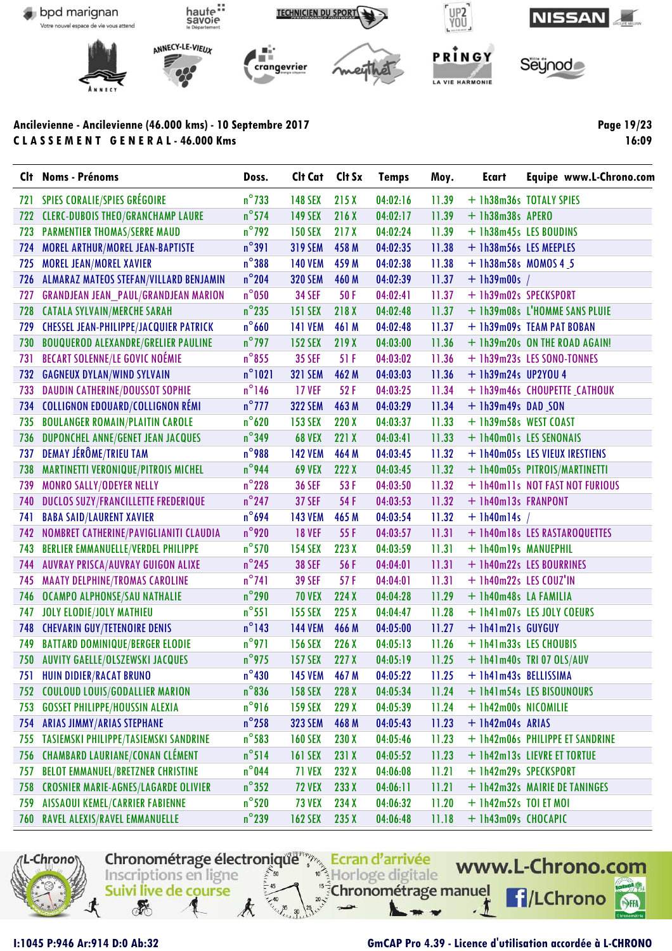

Page 19/23 16:09

|     | Clt Noms - Prénoms                            | Doss.           | Cit Cat Cit Sx |       | <b>Temps</b> | Moy.  | <b>Ecart</b>            | Equipe www.L-Chrono.com         |
|-----|-----------------------------------------------|-----------------|----------------|-------|--------------|-------|-------------------------|---------------------------------|
| 721 | <b>SPIES CORALIE/SPIES GRÉGOIRE</b>           | $n^{\circ}$ 733 | <b>148 SEX</b> | 215X  | 04:02:16     | 11.39 |                         | + 1h38m36s TOTALY SPIES         |
| 722 | <b>CLERC-DUBOIS THEO/GRANCHAMP LAURE</b>      | $n^{\circ}$ 574 | <b>149 SEX</b> | 216X  | 04:02:17     | 11.39 | + 1h38m38s APERO        |                                 |
| 723 | <b>PARMENTIER THOMAS/SERRE MAUD</b>           | $n^{\circ}$ 792 | <b>150 SEX</b> | 217X  | 04:02:24     | 11.39 |                         | + 1h38m45s LES BOUDINS          |
| 724 | MOREL ARTHUR/MOREL JEAN-BAPTISTE              | $n^{\circ}391$  | <b>319 SEM</b> | 458 M | 04:02:35     | 11.38 | + 1h38m56s LES MEEPLES  |                                 |
| 725 | <b>MOREL JEAN/MOREL XAVIER</b>                | $n^{\circ}$ 388 | <b>140 VEM</b> | 459 M | 04:02:38     | 11.38 | $+$ 1h38m58s MOMOS 4_5  |                                 |
| 726 | ALMARAZ MATEOS STEFAN/VILLARD BENJAMIN        | $n^{\circ}$ 204 | <b>320 SEM</b> | 460 M | 04:02:39     | 11.37 | $+$ 1h39m00s /          |                                 |
| 727 | <b>GRANDJEAN JEAN_PAUL/GRANDJEAN MARION</b>   | $n^{\circ}$ 050 | <b>34 SEF</b>  | 50F   | 04:02:41     | 11.37 | + 1h39m02s SPECKSPORT   |                                 |
| 728 | <b>CATALA SYLVAIN/MERCHE SARAH</b>            | $n^{\circ}$ 235 | 151 SEX        | 218 X | 04:02:48     | 11.37 |                         | + 1h39m08s L'HOMME SANS PLUIE   |
| 729 | <b>CHESSEL JEAN-PHILIPPE/JACQUIER PATRICK</b> | $n^{\circ}$ 660 | <b>141 VEM</b> | 461 M | 04:02:48     | 11.37 |                         | + 1h39m09s TEAM PAT BOBAN       |
| 730 | <b>BOUQUEROD ALEXANDRE/GRELIER PAULINE</b>    | $n^{\circ}$ 797 | <b>152 SEX</b> | 219X  | 04:03:00     | 11.36 |                         | + 1h39m20s ON THE ROAD AGAIN!   |
| 731 | <b>BECART SOLENNE/LE GOVIC NOÉMIE</b>         | $n^{\circ}$ 855 | <b>35 SEF</b>  | 51 F  | 04:03:02     | 11.36 |                         | + 1h39m23s LES SONO-TONNES      |
| 732 | <b>GAGNEUX DYLAN/WIND SYLVAIN</b>             | $n^{\circ}1021$ | <b>321 SEM</b> | 462 M | 04:03:03     | 11.36 | $+$ 1h39m24s UP2YOU 4   |                                 |
| 733 | <b>DAUDIN CATHERINE/DOUSSOT SOPHIE</b>        | $n^{\circ}$ 146 | <b>17 VEF</b>  | 52F   | 04:03:25     | 11.34 |                         | + 1h39m46s CHOUPETTE CATHOUK    |
| 734 | <b>COLLIGNON EDOUARD/COLLIGNON RÉMI</b>       | $n^{\circ}$ 777 | <b>322 SEM</b> | 463 M | 04:03:29     | 11.34 | $+$ 1h39m49s DAD SON    |                                 |
| 735 | <b>BOULANGER ROMAIN/PLAITIN CAROLE</b>        | $n^{\circ}$ 620 | <b>153 SEX</b> | 220 X | 04:03:37     | 11.33 | + 1h39m58s WEST COAST   |                                 |
| 736 | DUPONCHEL ANNE/GENET JEAN JACQUES             | $n^{\circ}$ 349 | <b>68 VEX</b>  | 221 X | 04:03:41     | 11.33 |                         | + 1h40m01s LES SENONAIS         |
| 737 | DEMAY JÉRÔME/TRIEU TAM                        | $n^{\circ}$ 988 | <b>142 VEM</b> | 464 M | 04:03:45     | 11.32 |                         | + 1h40m05s LES VIEUX IRESTIENS  |
| 738 | MARTINETTI VERONIQUE/PITROIS MICHEL           | $n^{\circ}$ 944 | <b>69 VEX</b>  | 222X  | 04:03:45     | 11.32 |                         | + 1h40m05s PITROIS/MARTINETTI   |
| 739 | MONRO SALLY/ODEYER NELLY                      | $n^{\circ}$ 228 | <b>36 SEF</b>  | 53F   | 04:03:50     | 11.32 |                         | + Ih40ml1s NOT FAST NOT FURIOUS |
| 740 | <b>DUCLOS SUZY/FRANCILLETTE FREDERIQUE</b>    | $n^{\circ}$ 247 | <b>37 SEF</b>  | 54 F  | 04:03:53     | 11.32 | + 1h40m13s FRANPONT     |                                 |
| 741 | <b>BABA SAID/LAURENT XAVIER</b>               | $n^{\circ}694$  | <b>143 VEM</b> | 465 M | 04:03:54     | 11.32 | $+$ 1h40m14s /          |                                 |
| 742 | NOMBRET CATHERINE/PAVIGLIANITI CLAUDIA        | $n^{\circ}$ 920 | <b>18 VEF</b>  | 55 F  | 04:03:57     | 11.31 |                         | + 1h40m18s LES RASTAROQUETTES   |
| 743 | BERLIER EMMANUELLE/VERDEL PHILIPPE            | $n^{\circ}$ 570 | <b>154 SEX</b> | 223X  | 04:03:59     | 11.31 | + 1h40m19s MANUEPHIL    |                                 |
| 744 | AUVRAY PRISCA/AUVRAY GUIGON ALIXE             | $n^{\circ}$ 245 | <b>38 SEF</b>  | 56 F  | 04:04:01     | 11.31 |                         | + 1h40m22s LES BOURRINES        |
| 745 | <b>MAATY DELPHINE/TROMAS CAROLINE</b>         | $n^{\circ}741$  | <b>39 SEF</b>  | 57F   | 04:04:01     | 11.31 | + 1h40m22s LES COUZ'IN  |                                 |
| 746 | OCAMPO ALPHONSE/SAU NATHALIE                  | $n^{\circ}$ 290 | <b>70 VEX</b>  | 224X  | 04:04:28     | 11.29 | + 1h40m48s LA FAMILIA   |                                 |
| 747 | <b>JOLY ELODIE/JOLY MATHIEU</b>               | $n^{\circ}551$  | <b>155 SEX</b> | 225X  | 04:04:47     | 11.28 |                         | + 1h41m07s LES JOLY COEURS      |
| 748 | <b>CHEVARIN GUY/TETENOIRE DENIS</b>           | $n^{\circ}$ 143 | <b>144 VEM</b> | 466 M | 04:05:00     | 11.27 | + 1h41m21s GUYGUY       |                                 |
| 749 | <b>BATTARD DOMINIQUE/BERGER ELODIE</b>        | $n^{\circ}$ 971 | <b>156 SEX</b> | 226X  | 04:05:13     | 11.26 | + 1h41m33s LES CHOUBIS  |                                 |
| 750 | AUVITY GAELLE/OLSZEWSKI JACQUES               | $n^{\circ}$ 975 | <b>157 SEX</b> | 227X  | 04:05:19     | 11.25 |                         | $+$ 1h41m40s TRI 07 OLS/AUV     |
|     | 751 HUIN DIDIER/RACAT BRUNO                   | $n^{\circ}430$  | <b>145 VEM</b> | 467 M | 04:05:22     | 11.25 | + 1h41m43s BELLISSIMA   |                                 |
|     | 752 COULOUD LOUIS/GODALLIER MARION            | $n^{\circ}$ 836 | <b>158 SEX</b> | 228 X | 04:05:34     | 11.24 |                         | + 1h41m54s LES BISOUNOURS       |
| 753 | <b>GOSSET PHILIPPE/HOUSSIN ALEXIA</b>         | $n^{\circ}$ 916 | <b>159 SEX</b> | 229X  | 04:05:39     | 11.24 | + 1h42m00s NICOMILIE    |                                 |
| 754 | <b>ARIAS JIMMY/ARIAS STEPHANE</b>             | $n^{\circ}$ 258 | <b>323 SEM</b> | 468 M | 04:05:43     | 11.23 | + 1h42m04s ARIAS        |                                 |
| 755 | TASIEMSKI PHILIPPE/TASIEMSKI SANDRINE         | $n^{\circ}$ 583 | <b>160 SEX</b> | 230 X | 04:05:46     | 11.23 |                         | + 1h42m06s PHILIPPE ET SANDRINE |
| 756 | <b>CHAMBARD LAURIANE/CONAN CLÉMENT</b>        | $n^{\circ}$ 514 | <b>161 SEX</b> | 231X  | 04:05:52     | 11.23 |                         | + 1h42m13s LIEVRE ET TORTUE     |
| 757 | <b>BELOT EMMANUEL/BRETZNER CHRISTINE</b>      | $n^{\circ}$ 044 | <b>71 VEX</b>  | 232 X | 04:06:08     | 11.21 | + 1h42m29s SPECKSPORT   |                                 |
| 758 | <b>CROSNIER MARIE-AGNES/LAGARDE OLIVIER</b>   | $n^{\circ}352$  | <b>72 VEX</b>  | 233X  | 04:06:11     | 11.21 |                         | + 1h42m32s MAIRIE DE TANINGES   |
| 759 | <b>AISSAOUI KEMEL/CARRIER FABIENNE</b>        | $n^{\circ}$ 520 | <b>73 VEX</b>  | 234 X | 04:06:32     | 11.20 | $+$ 1h42m52s TOI ET MOI |                                 |
|     | 760 RAVEL ALEXIS/RAVEL EMMANUELLE             | $n^{\circ}$ 239 | <b>162 SEX</b> | 235X  | 04:06:48     | 11.18 | + 1h43m09s CHOCAPIC     |                                 |



I:1045 P:946 Ar:914 D:0 Ab:32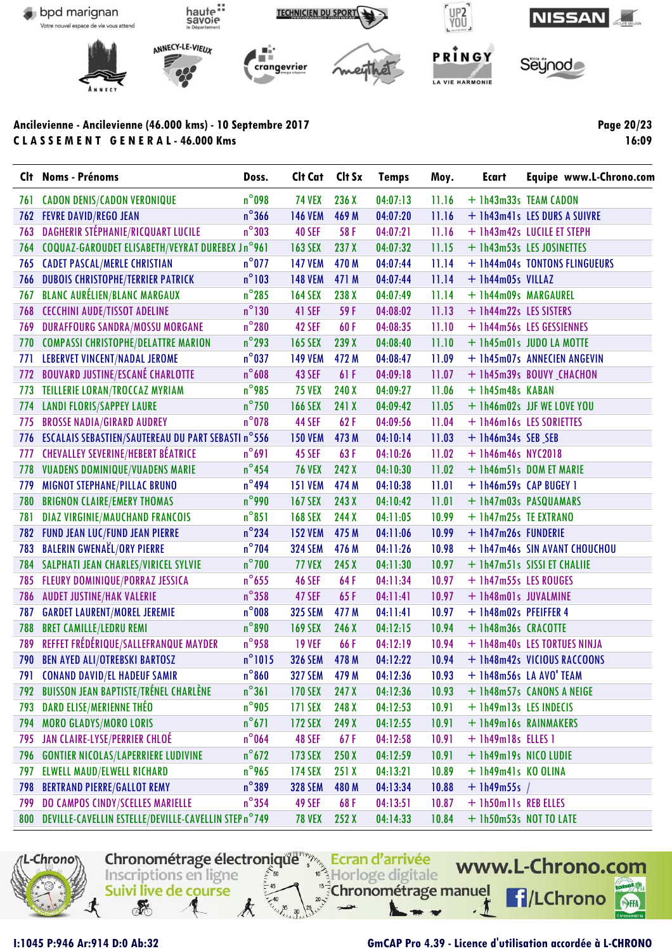

Page 20/23 16:09

| $n^{\circ}$ 098<br><b>CADON DENIS/CADON VERONIQUE</b><br><b>74 VEX</b><br>236 X<br>04:07:13<br>11.16<br>+ 1h43m33s TEAM CADON<br>761<br>$n^{\circ}$ 366<br>762 FEVRE DAVID/REGO JEAN<br><b>146 VEM</b><br>469 M<br>04:07:20<br>11.16<br>+ 1h43m41s LES DURS A SUIVRE<br><b>DAGHERIR STÉPHANIE/RICQUART LUCILE</b><br>$n^{\circ}303$<br>763<br><b>40 SEF</b><br>04:07:21<br>11.16<br>58 F<br>+ 1h43m42s LUCILE ET STEPH<br>COQUAZ-GAROUDET ELISABETH/VEYRAT DUREBEX Jn°961<br>237 X<br>11.15<br><b>163 SEX</b><br>04:07:32<br>+ 1h43m53s LES JOSINETTES<br>764<br><b>CADET PASCAL/MERLE CHRISTIAN</b><br>$n^{\circ}$ 077<br>11.14<br><b>147 VEM</b><br>470 M<br>04:07:44<br>+ 1h44m04s TONTONS FLINGUEURS<br>765<br>$n^{\circ}103$<br><b>DUBOIS CHRISTOPHE/TERRIER PATRICK</b><br>04:07:44<br>11.14<br><b>148 VEM</b><br>471 M<br>+ 1h44m05s VILLAZ<br>766<br><b>BLANC AURÉLIEN/BLANC MARGAUX</b><br>$n^{\circ}$ 285<br>238 X<br>11.14<br>767<br><b>164 SEX</b><br>04:07:49<br>+ 1h44m09s MARGAUREL<br>$n^{\circ}$ 130<br><b>CECCHINI AUDE/TISSOT ADELINE</b><br>768<br>41 SEF<br>59 F<br>04:08:02<br>11.13<br>+ 1h44m22s LES SISTERS<br>$n^{\circ}$ 280<br>769<br><b>DURAFFOURG SANDRA/MOSSU MORGANE</b><br>42 SEF<br>60F<br>04:08:35<br>11.10<br>+ 1h44m56s LES GESSIENNES<br>$n^{\circ}$ 293<br><b>COMPASSI CHRISTOPHE/DELATTRE MARION</b><br>11.10<br>239 X<br>04:08:40<br>+ 1h45m01s JUDO LA MOTTE<br>770<br><b>165 SEX</b><br>$n^{\circ}$ 037<br>LEBERVET VINCENT/NADAL JEROME<br>11.09<br><b>149 VEM</b><br>472 M<br>04:08:47<br>+ 1h45m07s ANNECIEN ANGEVIN<br>771<br>$n^{\circ}608$<br><b>BOUVARD JUSTINE/ESCANÉ CHARLOTTE</b><br>11.07<br>772<br><b>43 SEF</b><br>61 F<br>04:09:18<br>+ 1h45m39s BOUVY CHACHON<br>$n^{\circ}$ 985<br>TEILLERIE LORAN/TROCCAZ MYRIAM<br><b>75 VEX</b><br>240X<br>04:09:27<br>11.06<br>+ 1h45m48s KABAN<br>773<br>$n^{\circ}$ 750<br><b>LANDI FLORIS/SAPPEY LAURE</b><br><b>166 SEX</b><br>241 X<br>04:09:42<br>11.05<br>+ 1h46m02s JJF WE LOVE YOU<br>774<br>$n^{\circ}$ 078<br><b>BROSSE NADIA/GIRARD AUDREY</b><br>44 SEF<br>62F<br>04:09:56<br>11.04<br>775<br>+ 1h46m16s LES SORIETTES<br>ESCALAIS SEBASTIEN/SAUTEREAU DU PART SEBASTI n°556<br>11.03<br>473 M<br>04:10:14<br>+ 1h46m34s SEB SEB<br>776<br><b>150 VEM</b><br><b>CHEVALLEY SEVERINE/HEBERT BÉATRICE</b><br>$n^{\circ}691$<br>11.02<br>777<br><b>45 SEF</b><br>63F<br>04:10:26<br>$+$ 1h46m46s NYC2018<br>$n^{\circ}$ 454<br><b>VUADENS DOMINIQUE/VUADENS MARIE</b><br>242 X<br>04:10:30<br>11.02<br>778<br><b>76 VEX</b><br>+ 1h46m51s DOM ET MARIE<br>$n^{\circ}$ 494<br>MIGNOT STEPHANE/PILLAC BRUNO<br>474 M<br>04:10:38<br>11.01<br>779<br><b>151 VEM</b><br>+ 1h46m59s CAP BUGEY 1<br>$n^{\circ}$ 990<br><b>BRIGNON CLAIRE/EMERY THOMAS</b><br>04:10:42<br>780<br><b>167 SEX</b><br>243X<br>11.01<br>+ 1h47m03s PASQUAMARS<br>$n^{\circ}851$<br><b>DIAZ VIRGINIE/MAUCHAND FRANCOIS</b><br><b>168 SEX</b><br>244 X<br>04:11:05<br>10.99<br>+ 1h47m25s TE EXTRANO<br>781<br>$n^{\circ}$ 234<br><b>FUND JEAN LUC/FUND JEAN PIERRE</b><br>475 M<br>04:11:06<br>10.99<br>+ 1h47m26s FUNDERIE<br>782<br><b>152 VEM</b><br><b>BALERIN GWENAEL/ORY PIERRE</b><br>$n^{\circ}$ 704<br>10.98<br>783<br><b>324 SEM</b><br>476 M<br>04:11:26<br>+ 1h47m46s SIN AVANT CHOUCHOU<br>$n^{\circ}$ 700<br>SALPHATI JEAN CHARLES/VIRICEL SYLVIE<br>10.97<br><b>77 VEX</b><br>245X<br>04:11:30<br>+ 1h47m51s SISSI ET CHALIIE<br>784<br>$n^{\circ}$ 655<br>FLEURY DOMINIQUE/PORRAZ JESSICA<br>10.97<br>785<br><b>46 SEF</b><br>64 F<br>04:11:34<br>+ 1h47m55s LES ROUGES<br>$n^{\circ}$ 358<br><b>AUDET JUSTINE/HAK VALERIE</b><br><b>47 SEF</b><br>65F<br>04:11:41<br>10.97<br>+ 1h48m01s JUVALMINE<br>786<br>$n^{\circ}$ 008<br><b>GARDET LAURENT/MOREL JEREMIE</b><br>477 M<br>10.97<br>787<br><b>325 SEM</b><br>04:11:41<br>+ 1h48m02s PFEIFFER 4<br>$n^{\circ}890$<br><b>BRET CAMILLE/LEDRU REMI</b><br>788<br><b>169 SEX</b><br>246 X<br>04:12:15<br>10.94<br>+ 1h48m36s CRACOTTE<br>REFFET FRÉDÉRIQUE/SALLEFRANQUE MAYDER<br>$n^{\circ}$ 958<br>789<br>10.94<br><b>19 VEF</b><br>66 F<br>04:12:19<br>+ 1h48m40s LES TORTUES NINJA<br>$n^{\circ}1015$<br><b>BEN AYED ALI/OTREBSKI BARTOSZ</b><br><b>326 SEM</b><br>478 M<br>04:12:22<br>10.94<br>790<br>+ 1h48m42s VICIOUS RACCOONS<br>$n^{\circ}860$<br>791 CONAND DAVID/EL HADEUF SAMIR<br>327 SEM 479 M 04:12:36<br>10.93 + 1h48m56s LA AVO' TEAM<br>$n^{\circ}361$<br><b>BUISSON JEAN BAPTISTE/TRÉNEL CHARLÈNE</b><br>04:12:36<br>10.93<br>+ 1h48m57s CANONS A NEIGE<br><b>170 SEX</b><br>247 X<br>792<br>DARD ELISE/MERIENNE THÉO<br>$n^{\circ}$ 905<br>248 X<br>10.91<br>793<br>171 SEX<br>04:12:53<br>+ 1h49m13s LES INDECIS<br>$n^{\circ}671$<br><b>MORO GLADYS/MORO LORIS</b><br>04:12:55<br>10.91<br>+ 1h49m16s RAINMAKERS<br><b>172 SEX</b><br>249 X<br>794<br>JAN CLAIRE-LYSE/PERRIER CHLOÉ<br>$n^{\circ}$ 064<br>48 SEF<br>04:12:58<br>10.91<br>+ 1h49m18s ELLES 1<br>795<br>67 F<br>$n^{\circ}$ 672<br>04:12:59<br>10.91<br><b>GONTIER NICOLAS/LAPERRIERE LUDIVINE</b><br>173 SEX<br>250X<br>+ 1h49m19s NICO LUDIE<br>796<br>$n^{\circ}$ 965<br>04:13:21<br>10.89<br>+ 1h49m41s KO OLINA<br>797<br><b>ELWELL MAUD/ELWELL RICHARD</b><br><b>174 SEX</b><br>251X<br>$n^{\circ}$ 389<br><b>BERTRAND PIERRE/GALLOT REMY</b><br><b>328 SEM</b><br>04:13:34<br>10.88<br>798<br>480 M<br>$+$ 1h49m55s /<br>DO CAMPOS CINDY/SCELLES MARIELLE<br>$n^{\circ}$ 354<br>49 SEF<br>10.87<br>68F<br>04:13:51<br>+ 1h50ml1s REB ELLES<br>799<br>800 DEVILLE-CAVELLIN ESTELLE/DEVILLE-CAVELLIN STEP n°749<br>04:14:33<br>10.84<br>+ 1h50m53s NOT TO LATE<br><b>78 VEX</b><br>252X | Clt Noms - Prénoms | Doss. | Cit Cat Cit Sx | <b>Temps</b> | Moy. | Ecart | Equipe www.L-Chrono.com |
|---------------------------------------------------------------------------------------------------------------------------------------------------------------------------------------------------------------------------------------------------------------------------------------------------------------------------------------------------------------------------------------------------------------------------------------------------------------------------------------------------------------------------------------------------------------------------------------------------------------------------------------------------------------------------------------------------------------------------------------------------------------------------------------------------------------------------------------------------------------------------------------------------------------------------------------------------------------------------------------------------------------------------------------------------------------------------------------------------------------------------------------------------------------------------------------------------------------------------------------------------------------------------------------------------------------------------------------------------------------------------------------------------------------------------------------------------------------------------------------------------------------------------------------------------------------------------------------------------------------------------------------------------------------------------------------------------------------------------------------------------------------------------------------------------------------------------------------------------------------------------------------------------------------------------------------------------------------------------------------------------------------------------------------------------------------------------------------------------------------------------------------------------------------------------------------------------------------------------------------------------------------------------------------------------------------------------------------------------------------------------------------------------------------------------------------------------------------------------------------------------------------------------------------------------------------------------------------------------------------------------------------------------------------------------------------------------------------------------------------------------------------------------------------------------------------------------------------------------------------------------------------------------------------------------------------------------------------------------------------------------------------------------------------------------------------------------------------------------------------------------------------------------------------------------------------------------------------------------------------------------------------------------------------------------------------------------------------------------------------------------------------------------------------------------------------------------------------------------------------------------------------------------------------------------------------------------------------------------------------------------------------------------------------------------------------------------------------------------------------------------------------------------------------------------------------------------------------------------------------------------------------------------------------------------------------------------------------------------------------------------------------------------------------------------------------------------------------------------------------------------------------------------------------------------------------------------------------------------------------------------------------------------------------------------------------------------------------------------------------------------------------------------------------------------------------------------------------------------------------------------------------------------------------------------------------------------------------------------------------------------------------------------------------------------------------------------------------------------------------------------------------------------------------------------------------------------------------------------------------------------------------------------------------------------------------------------------------------------------------------------------------------------------------------------------------------------------------------------------------------------------------------------------------------------------------------------------------------------------------------------------------------------------------------------------------------------------------------------------------------------------------------------------------------------------------------------------------------------------------------------------------------------------------------------------------------------------------------------------------------------------|--------------------|-------|----------------|--------------|------|-------|-------------------------|
|                                                                                                                                                                                                                                                                                                                                                                                                                                                                                                                                                                                                                                                                                                                                                                                                                                                                                                                                                                                                                                                                                                                                                                                                                                                                                                                                                                                                                                                                                                                                                                                                                                                                                                                                                                                                                                                                                                                                                                                                                                                                                                                                                                                                                                                                                                                                                                                                                                                                                                                                                                                                                                                                                                                                                                                                                                                                                                                                                                                                                                                                                                                                                                                                                                                                                                                                                                                                                                                                                                                                                                                                                                                                                                                                                                                                                                                                                                                                                                                                                                                                                                                                                                                                                                                                                                                                                                                                                                                                                                                                                                                                                                                                                                                                                                                                                                                                                                                                                                                                                                                                                                                                                                                                                                                                                                                                                                                                                                                                                                                                                                                                                                 |                    |       |                |              |      |       |                         |
|                                                                                                                                                                                                                                                                                                                                                                                                                                                                                                                                                                                                                                                                                                                                                                                                                                                                                                                                                                                                                                                                                                                                                                                                                                                                                                                                                                                                                                                                                                                                                                                                                                                                                                                                                                                                                                                                                                                                                                                                                                                                                                                                                                                                                                                                                                                                                                                                                                                                                                                                                                                                                                                                                                                                                                                                                                                                                                                                                                                                                                                                                                                                                                                                                                                                                                                                                                                                                                                                                                                                                                                                                                                                                                                                                                                                                                                                                                                                                                                                                                                                                                                                                                                                                                                                                                                                                                                                                                                                                                                                                                                                                                                                                                                                                                                                                                                                                                                                                                                                                                                                                                                                                                                                                                                                                                                                                                                                                                                                                                                                                                                                                                 |                    |       |                |              |      |       |                         |
|                                                                                                                                                                                                                                                                                                                                                                                                                                                                                                                                                                                                                                                                                                                                                                                                                                                                                                                                                                                                                                                                                                                                                                                                                                                                                                                                                                                                                                                                                                                                                                                                                                                                                                                                                                                                                                                                                                                                                                                                                                                                                                                                                                                                                                                                                                                                                                                                                                                                                                                                                                                                                                                                                                                                                                                                                                                                                                                                                                                                                                                                                                                                                                                                                                                                                                                                                                                                                                                                                                                                                                                                                                                                                                                                                                                                                                                                                                                                                                                                                                                                                                                                                                                                                                                                                                                                                                                                                                                                                                                                                                                                                                                                                                                                                                                                                                                                                                                                                                                                                                                                                                                                                                                                                                                                                                                                                                                                                                                                                                                                                                                                                                 |                    |       |                |              |      |       |                         |
|                                                                                                                                                                                                                                                                                                                                                                                                                                                                                                                                                                                                                                                                                                                                                                                                                                                                                                                                                                                                                                                                                                                                                                                                                                                                                                                                                                                                                                                                                                                                                                                                                                                                                                                                                                                                                                                                                                                                                                                                                                                                                                                                                                                                                                                                                                                                                                                                                                                                                                                                                                                                                                                                                                                                                                                                                                                                                                                                                                                                                                                                                                                                                                                                                                                                                                                                                                                                                                                                                                                                                                                                                                                                                                                                                                                                                                                                                                                                                                                                                                                                                                                                                                                                                                                                                                                                                                                                                                                                                                                                                                                                                                                                                                                                                                                                                                                                                                                                                                                                                                                                                                                                                                                                                                                                                                                                                                                                                                                                                                                                                                                                                                 |                    |       |                |              |      |       |                         |
|                                                                                                                                                                                                                                                                                                                                                                                                                                                                                                                                                                                                                                                                                                                                                                                                                                                                                                                                                                                                                                                                                                                                                                                                                                                                                                                                                                                                                                                                                                                                                                                                                                                                                                                                                                                                                                                                                                                                                                                                                                                                                                                                                                                                                                                                                                                                                                                                                                                                                                                                                                                                                                                                                                                                                                                                                                                                                                                                                                                                                                                                                                                                                                                                                                                                                                                                                                                                                                                                                                                                                                                                                                                                                                                                                                                                                                                                                                                                                                                                                                                                                                                                                                                                                                                                                                                                                                                                                                                                                                                                                                                                                                                                                                                                                                                                                                                                                                                                                                                                                                                                                                                                                                                                                                                                                                                                                                                                                                                                                                                                                                                                                                 |                    |       |                |              |      |       |                         |
|                                                                                                                                                                                                                                                                                                                                                                                                                                                                                                                                                                                                                                                                                                                                                                                                                                                                                                                                                                                                                                                                                                                                                                                                                                                                                                                                                                                                                                                                                                                                                                                                                                                                                                                                                                                                                                                                                                                                                                                                                                                                                                                                                                                                                                                                                                                                                                                                                                                                                                                                                                                                                                                                                                                                                                                                                                                                                                                                                                                                                                                                                                                                                                                                                                                                                                                                                                                                                                                                                                                                                                                                                                                                                                                                                                                                                                                                                                                                                                                                                                                                                                                                                                                                                                                                                                                                                                                                                                                                                                                                                                                                                                                                                                                                                                                                                                                                                                                                                                                                                                                                                                                                                                                                                                                                                                                                                                                                                                                                                                                                                                                                                                 |                    |       |                |              |      |       |                         |
|                                                                                                                                                                                                                                                                                                                                                                                                                                                                                                                                                                                                                                                                                                                                                                                                                                                                                                                                                                                                                                                                                                                                                                                                                                                                                                                                                                                                                                                                                                                                                                                                                                                                                                                                                                                                                                                                                                                                                                                                                                                                                                                                                                                                                                                                                                                                                                                                                                                                                                                                                                                                                                                                                                                                                                                                                                                                                                                                                                                                                                                                                                                                                                                                                                                                                                                                                                                                                                                                                                                                                                                                                                                                                                                                                                                                                                                                                                                                                                                                                                                                                                                                                                                                                                                                                                                                                                                                                                                                                                                                                                                                                                                                                                                                                                                                                                                                                                                                                                                                                                                                                                                                                                                                                                                                                                                                                                                                                                                                                                                                                                                                                                 |                    |       |                |              |      |       |                         |
|                                                                                                                                                                                                                                                                                                                                                                                                                                                                                                                                                                                                                                                                                                                                                                                                                                                                                                                                                                                                                                                                                                                                                                                                                                                                                                                                                                                                                                                                                                                                                                                                                                                                                                                                                                                                                                                                                                                                                                                                                                                                                                                                                                                                                                                                                                                                                                                                                                                                                                                                                                                                                                                                                                                                                                                                                                                                                                                                                                                                                                                                                                                                                                                                                                                                                                                                                                                                                                                                                                                                                                                                                                                                                                                                                                                                                                                                                                                                                                                                                                                                                                                                                                                                                                                                                                                                                                                                                                                                                                                                                                                                                                                                                                                                                                                                                                                                                                                                                                                                                                                                                                                                                                                                                                                                                                                                                                                                                                                                                                                                                                                                                                 |                    |       |                |              |      |       |                         |
|                                                                                                                                                                                                                                                                                                                                                                                                                                                                                                                                                                                                                                                                                                                                                                                                                                                                                                                                                                                                                                                                                                                                                                                                                                                                                                                                                                                                                                                                                                                                                                                                                                                                                                                                                                                                                                                                                                                                                                                                                                                                                                                                                                                                                                                                                                                                                                                                                                                                                                                                                                                                                                                                                                                                                                                                                                                                                                                                                                                                                                                                                                                                                                                                                                                                                                                                                                                                                                                                                                                                                                                                                                                                                                                                                                                                                                                                                                                                                                                                                                                                                                                                                                                                                                                                                                                                                                                                                                                                                                                                                                                                                                                                                                                                                                                                                                                                                                                                                                                                                                                                                                                                                                                                                                                                                                                                                                                                                                                                                                                                                                                                                                 |                    |       |                |              |      |       |                         |
|                                                                                                                                                                                                                                                                                                                                                                                                                                                                                                                                                                                                                                                                                                                                                                                                                                                                                                                                                                                                                                                                                                                                                                                                                                                                                                                                                                                                                                                                                                                                                                                                                                                                                                                                                                                                                                                                                                                                                                                                                                                                                                                                                                                                                                                                                                                                                                                                                                                                                                                                                                                                                                                                                                                                                                                                                                                                                                                                                                                                                                                                                                                                                                                                                                                                                                                                                                                                                                                                                                                                                                                                                                                                                                                                                                                                                                                                                                                                                                                                                                                                                                                                                                                                                                                                                                                                                                                                                                                                                                                                                                                                                                                                                                                                                                                                                                                                                                                                                                                                                                                                                                                                                                                                                                                                                                                                                                                                                                                                                                                                                                                                                                 |                    |       |                |              |      |       |                         |
|                                                                                                                                                                                                                                                                                                                                                                                                                                                                                                                                                                                                                                                                                                                                                                                                                                                                                                                                                                                                                                                                                                                                                                                                                                                                                                                                                                                                                                                                                                                                                                                                                                                                                                                                                                                                                                                                                                                                                                                                                                                                                                                                                                                                                                                                                                                                                                                                                                                                                                                                                                                                                                                                                                                                                                                                                                                                                                                                                                                                                                                                                                                                                                                                                                                                                                                                                                                                                                                                                                                                                                                                                                                                                                                                                                                                                                                                                                                                                                                                                                                                                                                                                                                                                                                                                                                                                                                                                                                                                                                                                                                                                                                                                                                                                                                                                                                                                                                                                                                                                                                                                                                                                                                                                                                                                                                                                                                                                                                                                                                                                                                                                                 |                    |       |                |              |      |       |                         |
|                                                                                                                                                                                                                                                                                                                                                                                                                                                                                                                                                                                                                                                                                                                                                                                                                                                                                                                                                                                                                                                                                                                                                                                                                                                                                                                                                                                                                                                                                                                                                                                                                                                                                                                                                                                                                                                                                                                                                                                                                                                                                                                                                                                                                                                                                                                                                                                                                                                                                                                                                                                                                                                                                                                                                                                                                                                                                                                                                                                                                                                                                                                                                                                                                                                                                                                                                                                                                                                                                                                                                                                                                                                                                                                                                                                                                                                                                                                                                                                                                                                                                                                                                                                                                                                                                                                                                                                                                                                                                                                                                                                                                                                                                                                                                                                                                                                                                                                                                                                                                                                                                                                                                                                                                                                                                                                                                                                                                                                                                                                                                                                                                                 |                    |       |                |              |      |       |                         |
|                                                                                                                                                                                                                                                                                                                                                                                                                                                                                                                                                                                                                                                                                                                                                                                                                                                                                                                                                                                                                                                                                                                                                                                                                                                                                                                                                                                                                                                                                                                                                                                                                                                                                                                                                                                                                                                                                                                                                                                                                                                                                                                                                                                                                                                                                                                                                                                                                                                                                                                                                                                                                                                                                                                                                                                                                                                                                                                                                                                                                                                                                                                                                                                                                                                                                                                                                                                                                                                                                                                                                                                                                                                                                                                                                                                                                                                                                                                                                                                                                                                                                                                                                                                                                                                                                                                                                                                                                                                                                                                                                                                                                                                                                                                                                                                                                                                                                                                                                                                                                                                                                                                                                                                                                                                                                                                                                                                                                                                                                                                                                                                                                                 |                    |       |                |              |      |       |                         |
|                                                                                                                                                                                                                                                                                                                                                                                                                                                                                                                                                                                                                                                                                                                                                                                                                                                                                                                                                                                                                                                                                                                                                                                                                                                                                                                                                                                                                                                                                                                                                                                                                                                                                                                                                                                                                                                                                                                                                                                                                                                                                                                                                                                                                                                                                                                                                                                                                                                                                                                                                                                                                                                                                                                                                                                                                                                                                                                                                                                                                                                                                                                                                                                                                                                                                                                                                                                                                                                                                                                                                                                                                                                                                                                                                                                                                                                                                                                                                                                                                                                                                                                                                                                                                                                                                                                                                                                                                                                                                                                                                                                                                                                                                                                                                                                                                                                                                                                                                                                                                                                                                                                                                                                                                                                                                                                                                                                                                                                                                                                                                                                                                                 |                    |       |                |              |      |       |                         |
|                                                                                                                                                                                                                                                                                                                                                                                                                                                                                                                                                                                                                                                                                                                                                                                                                                                                                                                                                                                                                                                                                                                                                                                                                                                                                                                                                                                                                                                                                                                                                                                                                                                                                                                                                                                                                                                                                                                                                                                                                                                                                                                                                                                                                                                                                                                                                                                                                                                                                                                                                                                                                                                                                                                                                                                                                                                                                                                                                                                                                                                                                                                                                                                                                                                                                                                                                                                                                                                                                                                                                                                                                                                                                                                                                                                                                                                                                                                                                                                                                                                                                                                                                                                                                                                                                                                                                                                                                                                                                                                                                                                                                                                                                                                                                                                                                                                                                                                                                                                                                                                                                                                                                                                                                                                                                                                                                                                                                                                                                                                                                                                                                                 |                    |       |                |              |      |       |                         |
|                                                                                                                                                                                                                                                                                                                                                                                                                                                                                                                                                                                                                                                                                                                                                                                                                                                                                                                                                                                                                                                                                                                                                                                                                                                                                                                                                                                                                                                                                                                                                                                                                                                                                                                                                                                                                                                                                                                                                                                                                                                                                                                                                                                                                                                                                                                                                                                                                                                                                                                                                                                                                                                                                                                                                                                                                                                                                                                                                                                                                                                                                                                                                                                                                                                                                                                                                                                                                                                                                                                                                                                                                                                                                                                                                                                                                                                                                                                                                                                                                                                                                                                                                                                                                                                                                                                                                                                                                                                                                                                                                                                                                                                                                                                                                                                                                                                                                                                                                                                                                                                                                                                                                                                                                                                                                                                                                                                                                                                                                                                                                                                                                                 |                    |       |                |              |      |       |                         |
|                                                                                                                                                                                                                                                                                                                                                                                                                                                                                                                                                                                                                                                                                                                                                                                                                                                                                                                                                                                                                                                                                                                                                                                                                                                                                                                                                                                                                                                                                                                                                                                                                                                                                                                                                                                                                                                                                                                                                                                                                                                                                                                                                                                                                                                                                                                                                                                                                                                                                                                                                                                                                                                                                                                                                                                                                                                                                                                                                                                                                                                                                                                                                                                                                                                                                                                                                                                                                                                                                                                                                                                                                                                                                                                                                                                                                                                                                                                                                                                                                                                                                                                                                                                                                                                                                                                                                                                                                                                                                                                                                                                                                                                                                                                                                                                                                                                                                                                                                                                                                                                                                                                                                                                                                                                                                                                                                                                                                                                                                                                                                                                                                                 |                    |       |                |              |      |       |                         |
|                                                                                                                                                                                                                                                                                                                                                                                                                                                                                                                                                                                                                                                                                                                                                                                                                                                                                                                                                                                                                                                                                                                                                                                                                                                                                                                                                                                                                                                                                                                                                                                                                                                                                                                                                                                                                                                                                                                                                                                                                                                                                                                                                                                                                                                                                                                                                                                                                                                                                                                                                                                                                                                                                                                                                                                                                                                                                                                                                                                                                                                                                                                                                                                                                                                                                                                                                                                                                                                                                                                                                                                                                                                                                                                                                                                                                                                                                                                                                                                                                                                                                                                                                                                                                                                                                                                                                                                                                                                                                                                                                                                                                                                                                                                                                                                                                                                                                                                                                                                                                                                                                                                                                                                                                                                                                                                                                                                                                                                                                                                                                                                                                                 |                    |       |                |              |      |       |                         |
|                                                                                                                                                                                                                                                                                                                                                                                                                                                                                                                                                                                                                                                                                                                                                                                                                                                                                                                                                                                                                                                                                                                                                                                                                                                                                                                                                                                                                                                                                                                                                                                                                                                                                                                                                                                                                                                                                                                                                                                                                                                                                                                                                                                                                                                                                                                                                                                                                                                                                                                                                                                                                                                                                                                                                                                                                                                                                                                                                                                                                                                                                                                                                                                                                                                                                                                                                                                                                                                                                                                                                                                                                                                                                                                                                                                                                                                                                                                                                                                                                                                                                                                                                                                                                                                                                                                                                                                                                                                                                                                                                                                                                                                                                                                                                                                                                                                                                                                                                                                                                                                                                                                                                                                                                                                                                                                                                                                                                                                                                                                                                                                                                                 |                    |       |                |              |      |       |                         |
|                                                                                                                                                                                                                                                                                                                                                                                                                                                                                                                                                                                                                                                                                                                                                                                                                                                                                                                                                                                                                                                                                                                                                                                                                                                                                                                                                                                                                                                                                                                                                                                                                                                                                                                                                                                                                                                                                                                                                                                                                                                                                                                                                                                                                                                                                                                                                                                                                                                                                                                                                                                                                                                                                                                                                                                                                                                                                                                                                                                                                                                                                                                                                                                                                                                                                                                                                                                                                                                                                                                                                                                                                                                                                                                                                                                                                                                                                                                                                                                                                                                                                                                                                                                                                                                                                                                                                                                                                                                                                                                                                                                                                                                                                                                                                                                                                                                                                                                                                                                                                                                                                                                                                                                                                                                                                                                                                                                                                                                                                                                                                                                                                                 |                    |       |                |              |      |       |                         |
|                                                                                                                                                                                                                                                                                                                                                                                                                                                                                                                                                                                                                                                                                                                                                                                                                                                                                                                                                                                                                                                                                                                                                                                                                                                                                                                                                                                                                                                                                                                                                                                                                                                                                                                                                                                                                                                                                                                                                                                                                                                                                                                                                                                                                                                                                                                                                                                                                                                                                                                                                                                                                                                                                                                                                                                                                                                                                                                                                                                                                                                                                                                                                                                                                                                                                                                                                                                                                                                                                                                                                                                                                                                                                                                                                                                                                                                                                                                                                                                                                                                                                                                                                                                                                                                                                                                                                                                                                                                                                                                                                                                                                                                                                                                                                                                                                                                                                                                                                                                                                                                                                                                                                                                                                                                                                                                                                                                                                                                                                                                                                                                                                                 |                    |       |                |              |      |       |                         |
|                                                                                                                                                                                                                                                                                                                                                                                                                                                                                                                                                                                                                                                                                                                                                                                                                                                                                                                                                                                                                                                                                                                                                                                                                                                                                                                                                                                                                                                                                                                                                                                                                                                                                                                                                                                                                                                                                                                                                                                                                                                                                                                                                                                                                                                                                                                                                                                                                                                                                                                                                                                                                                                                                                                                                                                                                                                                                                                                                                                                                                                                                                                                                                                                                                                                                                                                                                                                                                                                                                                                                                                                                                                                                                                                                                                                                                                                                                                                                                                                                                                                                                                                                                                                                                                                                                                                                                                                                                                                                                                                                                                                                                                                                                                                                                                                                                                                                                                                                                                                                                                                                                                                                                                                                                                                                                                                                                                                                                                                                                                                                                                                                                 |                    |       |                |              |      |       |                         |
|                                                                                                                                                                                                                                                                                                                                                                                                                                                                                                                                                                                                                                                                                                                                                                                                                                                                                                                                                                                                                                                                                                                                                                                                                                                                                                                                                                                                                                                                                                                                                                                                                                                                                                                                                                                                                                                                                                                                                                                                                                                                                                                                                                                                                                                                                                                                                                                                                                                                                                                                                                                                                                                                                                                                                                                                                                                                                                                                                                                                                                                                                                                                                                                                                                                                                                                                                                                                                                                                                                                                                                                                                                                                                                                                                                                                                                                                                                                                                                                                                                                                                                                                                                                                                                                                                                                                                                                                                                                                                                                                                                                                                                                                                                                                                                                                                                                                                                                                                                                                                                                                                                                                                                                                                                                                                                                                                                                                                                                                                                                                                                                                                                 |                    |       |                |              |      |       |                         |
|                                                                                                                                                                                                                                                                                                                                                                                                                                                                                                                                                                                                                                                                                                                                                                                                                                                                                                                                                                                                                                                                                                                                                                                                                                                                                                                                                                                                                                                                                                                                                                                                                                                                                                                                                                                                                                                                                                                                                                                                                                                                                                                                                                                                                                                                                                                                                                                                                                                                                                                                                                                                                                                                                                                                                                                                                                                                                                                                                                                                                                                                                                                                                                                                                                                                                                                                                                                                                                                                                                                                                                                                                                                                                                                                                                                                                                                                                                                                                                                                                                                                                                                                                                                                                                                                                                                                                                                                                                                                                                                                                                                                                                                                                                                                                                                                                                                                                                                                                                                                                                                                                                                                                                                                                                                                                                                                                                                                                                                                                                                                                                                                                                 |                    |       |                |              |      |       |                         |
|                                                                                                                                                                                                                                                                                                                                                                                                                                                                                                                                                                                                                                                                                                                                                                                                                                                                                                                                                                                                                                                                                                                                                                                                                                                                                                                                                                                                                                                                                                                                                                                                                                                                                                                                                                                                                                                                                                                                                                                                                                                                                                                                                                                                                                                                                                                                                                                                                                                                                                                                                                                                                                                                                                                                                                                                                                                                                                                                                                                                                                                                                                                                                                                                                                                                                                                                                                                                                                                                                                                                                                                                                                                                                                                                                                                                                                                                                                                                                                                                                                                                                                                                                                                                                                                                                                                                                                                                                                                                                                                                                                                                                                                                                                                                                                                                                                                                                                                                                                                                                                                                                                                                                                                                                                                                                                                                                                                                                                                                                                                                                                                                                                 |                    |       |                |              |      |       |                         |
|                                                                                                                                                                                                                                                                                                                                                                                                                                                                                                                                                                                                                                                                                                                                                                                                                                                                                                                                                                                                                                                                                                                                                                                                                                                                                                                                                                                                                                                                                                                                                                                                                                                                                                                                                                                                                                                                                                                                                                                                                                                                                                                                                                                                                                                                                                                                                                                                                                                                                                                                                                                                                                                                                                                                                                                                                                                                                                                                                                                                                                                                                                                                                                                                                                                                                                                                                                                                                                                                                                                                                                                                                                                                                                                                                                                                                                                                                                                                                                                                                                                                                                                                                                                                                                                                                                                                                                                                                                                                                                                                                                                                                                                                                                                                                                                                                                                                                                                                                                                                                                                                                                                                                                                                                                                                                                                                                                                                                                                                                                                                                                                                                                 |                    |       |                |              |      |       |                         |
|                                                                                                                                                                                                                                                                                                                                                                                                                                                                                                                                                                                                                                                                                                                                                                                                                                                                                                                                                                                                                                                                                                                                                                                                                                                                                                                                                                                                                                                                                                                                                                                                                                                                                                                                                                                                                                                                                                                                                                                                                                                                                                                                                                                                                                                                                                                                                                                                                                                                                                                                                                                                                                                                                                                                                                                                                                                                                                                                                                                                                                                                                                                                                                                                                                                                                                                                                                                                                                                                                                                                                                                                                                                                                                                                                                                                                                                                                                                                                                                                                                                                                                                                                                                                                                                                                                                                                                                                                                                                                                                                                                                                                                                                                                                                                                                                                                                                                                                                                                                                                                                                                                                                                                                                                                                                                                                                                                                                                                                                                                                                                                                                                                 |                    |       |                |              |      |       |                         |
|                                                                                                                                                                                                                                                                                                                                                                                                                                                                                                                                                                                                                                                                                                                                                                                                                                                                                                                                                                                                                                                                                                                                                                                                                                                                                                                                                                                                                                                                                                                                                                                                                                                                                                                                                                                                                                                                                                                                                                                                                                                                                                                                                                                                                                                                                                                                                                                                                                                                                                                                                                                                                                                                                                                                                                                                                                                                                                                                                                                                                                                                                                                                                                                                                                                                                                                                                                                                                                                                                                                                                                                                                                                                                                                                                                                                                                                                                                                                                                                                                                                                                                                                                                                                                                                                                                                                                                                                                                                                                                                                                                                                                                                                                                                                                                                                                                                                                                                                                                                                                                                                                                                                                                                                                                                                                                                                                                                                                                                                                                                                                                                                                                 |                    |       |                |              |      |       |                         |
|                                                                                                                                                                                                                                                                                                                                                                                                                                                                                                                                                                                                                                                                                                                                                                                                                                                                                                                                                                                                                                                                                                                                                                                                                                                                                                                                                                                                                                                                                                                                                                                                                                                                                                                                                                                                                                                                                                                                                                                                                                                                                                                                                                                                                                                                                                                                                                                                                                                                                                                                                                                                                                                                                                                                                                                                                                                                                                                                                                                                                                                                                                                                                                                                                                                                                                                                                                                                                                                                                                                                                                                                                                                                                                                                                                                                                                                                                                                                                                                                                                                                                                                                                                                                                                                                                                                                                                                                                                                                                                                                                                                                                                                                                                                                                                                                                                                                                                                                                                                                                                                                                                                                                                                                                                                                                                                                                                                                                                                                                                                                                                                                                                 |                    |       |                |              |      |       |                         |
|                                                                                                                                                                                                                                                                                                                                                                                                                                                                                                                                                                                                                                                                                                                                                                                                                                                                                                                                                                                                                                                                                                                                                                                                                                                                                                                                                                                                                                                                                                                                                                                                                                                                                                                                                                                                                                                                                                                                                                                                                                                                                                                                                                                                                                                                                                                                                                                                                                                                                                                                                                                                                                                                                                                                                                                                                                                                                                                                                                                                                                                                                                                                                                                                                                                                                                                                                                                                                                                                                                                                                                                                                                                                                                                                                                                                                                                                                                                                                                                                                                                                                                                                                                                                                                                                                                                                                                                                                                                                                                                                                                                                                                                                                                                                                                                                                                                                                                                                                                                                                                                                                                                                                                                                                                                                                                                                                                                                                                                                                                                                                                                                                                 |                    |       |                |              |      |       |                         |
|                                                                                                                                                                                                                                                                                                                                                                                                                                                                                                                                                                                                                                                                                                                                                                                                                                                                                                                                                                                                                                                                                                                                                                                                                                                                                                                                                                                                                                                                                                                                                                                                                                                                                                                                                                                                                                                                                                                                                                                                                                                                                                                                                                                                                                                                                                                                                                                                                                                                                                                                                                                                                                                                                                                                                                                                                                                                                                                                                                                                                                                                                                                                                                                                                                                                                                                                                                                                                                                                                                                                                                                                                                                                                                                                                                                                                                                                                                                                                                                                                                                                                                                                                                                                                                                                                                                                                                                                                                                                                                                                                                                                                                                                                                                                                                                                                                                                                                                                                                                                                                                                                                                                                                                                                                                                                                                                                                                                                                                                                                                                                                                                                                 |                    |       |                |              |      |       |                         |
|                                                                                                                                                                                                                                                                                                                                                                                                                                                                                                                                                                                                                                                                                                                                                                                                                                                                                                                                                                                                                                                                                                                                                                                                                                                                                                                                                                                                                                                                                                                                                                                                                                                                                                                                                                                                                                                                                                                                                                                                                                                                                                                                                                                                                                                                                                                                                                                                                                                                                                                                                                                                                                                                                                                                                                                                                                                                                                                                                                                                                                                                                                                                                                                                                                                                                                                                                                                                                                                                                                                                                                                                                                                                                                                                                                                                                                                                                                                                                                                                                                                                                                                                                                                                                                                                                                                                                                                                                                                                                                                                                                                                                                                                                                                                                                                                                                                                                                                                                                                                                                                                                                                                                                                                                                                                                                                                                                                                                                                                                                                                                                                                                                 |                    |       |                |              |      |       |                         |
|                                                                                                                                                                                                                                                                                                                                                                                                                                                                                                                                                                                                                                                                                                                                                                                                                                                                                                                                                                                                                                                                                                                                                                                                                                                                                                                                                                                                                                                                                                                                                                                                                                                                                                                                                                                                                                                                                                                                                                                                                                                                                                                                                                                                                                                                                                                                                                                                                                                                                                                                                                                                                                                                                                                                                                                                                                                                                                                                                                                                                                                                                                                                                                                                                                                                                                                                                                                                                                                                                                                                                                                                                                                                                                                                                                                                                                                                                                                                                                                                                                                                                                                                                                                                                                                                                                                                                                                                                                                                                                                                                                                                                                                                                                                                                                                                                                                                                                                                                                                                                                                                                                                                                                                                                                                                                                                                                                                                                                                                                                                                                                                                                                 |                    |       |                |              |      |       |                         |
|                                                                                                                                                                                                                                                                                                                                                                                                                                                                                                                                                                                                                                                                                                                                                                                                                                                                                                                                                                                                                                                                                                                                                                                                                                                                                                                                                                                                                                                                                                                                                                                                                                                                                                                                                                                                                                                                                                                                                                                                                                                                                                                                                                                                                                                                                                                                                                                                                                                                                                                                                                                                                                                                                                                                                                                                                                                                                                                                                                                                                                                                                                                                                                                                                                                                                                                                                                                                                                                                                                                                                                                                                                                                                                                                                                                                                                                                                                                                                                                                                                                                                                                                                                                                                                                                                                                                                                                                                                                                                                                                                                                                                                                                                                                                                                                                                                                                                                                                                                                                                                                                                                                                                                                                                                                                                                                                                                                                                                                                                                                                                                                                                                 |                    |       |                |              |      |       |                         |
|                                                                                                                                                                                                                                                                                                                                                                                                                                                                                                                                                                                                                                                                                                                                                                                                                                                                                                                                                                                                                                                                                                                                                                                                                                                                                                                                                                                                                                                                                                                                                                                                                                                                                                                                                                                                                                                                                                                                                                                                                                                                                                                                                                                                                                                                                                                                                                                                                                                                                                                                                                                                                                                                                                                                                                                                                                                                                                                                                                                                                                                                                                                                                                                                                                                                                                                                                                                                                                                                                                                                                                                                                                                                                                                                                                                                                                                                                                                                                                                                                                                                                                                                                                                                                                                                                                                                                                                                                                                                                                                                                                                                                                                                                                                                                                                                                                                                                                                                                                                                                                                                                                                                                                                                                                                                                                                                                                                                                                                                                                                                                                                                                                 |                    |       |                |              |      |       |                         |
|                                                                                                                                                                                                                                                                                                                                                                                                                                                                                                                                                                                                                                                                                                                                                                                                                                                                                                                                                                                                                                                                                                                                                                                                                                                                                                                                                                                                                                                                                                                                                                                                                                                                                                                                                                                                                                                                                                                                                                                                                                                                                                                                                                                                                                                                                                                                                                                                                                                                                                                                                                                                                                                                                                                                                                                                                                                                                                                                                                                                                                                                                                                                                                                                                                                                                                                                                                                                                                                                                                                                                                                                                                                                                                                                                                                                                                                                                                                                                                                                                                                                                                                                                                                                                                                                                                                                                                                                                                                                                                                                                                                                                                                                                                                                                                                                                                                                                                                                                                                                                                                                                                                                                                                                                                                                                                                                                                                                                                                                                                                                                                                                                                 |                    |       |                |              |      |       |                         |
|                                                                                                                                                                                                                                                                                                                                                                                                                                                                                                                                                                                                                                                                                                                                                                                                                                                                                                                                                                                                                                                                                                                                                                                                                                                                                                                                                                                                                                                                                                                                                                                                                                                                                                                                                                                                                                                                                                                                                                                                                                                                                                                                                                                                                                                                                                                                                                                                                                                                                                                                                                                                                                                                                                                                                                                                                                                                                                                                                                                                                                                                                                                                                                                                                                                                                                                                                                                                                                                                                                                                                                                                                                                                                                                                                                                                                                                                                                                                                                                                                                                                                                                                                                                                                                                                                                                                                                                                                                                                                                                                                                                                                                                                                                                                                                                                                                                                                                                                                                                                                                                                                                                                                                                                                                                                                                                                                                                                                                                                                                                                                                                                                                 |                    |       |                |              |      |       |                         |
|                                                                                                                                                                                                                                                                                                                                                                                                                                                                                                                                                                                                                                                                                                                                                                                                                                                                                                                                                                                                                                                                                                                                                                                                                                                                                                                                                                                                                                                                                                                                                                                                                                                                                                                                                                                                                                                                                                                                                                                                                                                                                                                                                                                                                                                                                                                                                                                                                                                                                                                                                                                                                                                                                                                                                                                                                                                                                                                                                                                                                                                                                                                                                                                                                                                                                                                                                                                                                                                                                                                                                                                                                                                                                                                                                                                                                                                                                                                                                                                                                                                                                                                                                                                                                                                                                                                                                                                                                                                                                                                                                                                                                                                                                                                                                                                                                                                                                                                                                                                                                                                                                                                                                                                                                                                                                                                                                                                                                                                                                                                                                                                                                                 |                    |       |                |              |      |       |                         |
|                                                                                                                                                                                                                                                                                                                                                                                                                                                                                                                                                                                                                                                                                                                                                                                                                                                                                                                                                                                                                                                                                                                                                                                                                                                                                                                                                                                                                                                                                                                                                                                                                                                                                                                                                                                                                                                                                                                                                                                                                                                                                                                                                                                                                                                                                                                                                                                                                                                                                                                                                                                                                                                                                                                                                                                                                                                                                                                                                                                                                                                                                                                                                                                                                                                                                                                                                                                                                                                                                                                                                                                                                                                                                                                                                                                                                                                                                                                                                                                                                                                                                                                                                                                                                                                                                                                                                                                                                                                                                                                                                                                                                                                                                                                                                                                                                                                                                                                                                                                                                                                                                                                                                                                                                                                                                                                                                                                                                                                                                                                                                                                                                                 |                    |       |                |              |      |       |                         |
|                                                                                                                                                                                                                                                                                                                                                                                                                                                                                                                                                                                                                                                                                                                                                                                                                                                                                                                                                                                                                                                                                                                                                                                                                                                                                                                                                                                                                                                                                                                                                                                                                                                                                                                                                                                                                                                                                                                                                                                                                                                                                                                                                                                                                                                                                                                                                                                                                                                                                                                                                                                                                                                                                                                                                                                                                                                                                                                                                                                                                                                                                                                                                                                                                                                                                                                                                                                                                                                                                                                                                                                                                                                                                                                                                                                                                                                                                                                                                                                                                                                                                                                                                                                                                                                                                                                                                                                                                                                                                                                                                                                                                                                                                                                                                                                                                                                                                                                                                                                                                                                                                                                                                                                                                                                                                                                                                                                                                                                                                                                                                                                                                                 |                    |       |                |              |      |       |                         |



I:1045 P:946 Ar:914 D:0 Ab:32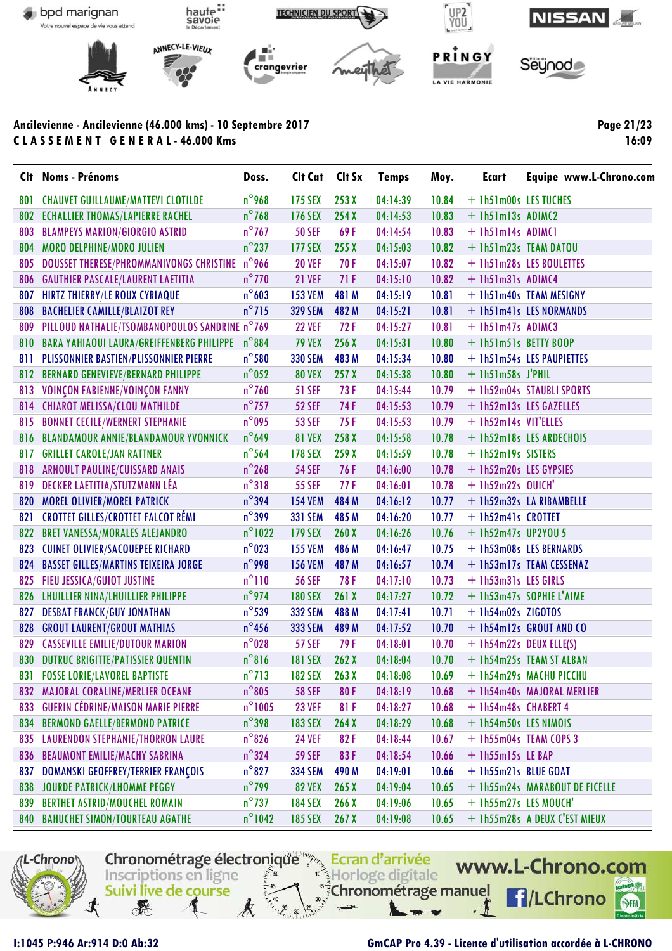

Page 21/23 16:09

|     | Clt Noms - Prénoms                               | Doss.            | Clt Cat        | Clt Sx | <b>Temps</b> | Moy.  | Ecart                  | Equipe www.L-Chrono.com        |
|-----|--------------------------------------------------|------------------|----------------|--------|--------------|-------|------------------------|--------------------------------|
| 801 | <b>CHAUVET GUILLAUME/MATTEVI CLOTILDE</b>        | $n^{\circ}$ 968  | <b>175 SEX</b> | 253X   | 04:14:39     | 10.84 | + 1h51m00s LES TUCHES  |                                |
| 802 | <b>ECHALLIER THOMAS/LAPIERRE RACHEL</b>          | $n^{\circ}$ 768  | <b>176 SEX</b> | 254X   | 04:14:53     | 10.83 | $+$ lh51m13s ADIMC2    |                                |
| 803 | <b>BLAMPEYS MARION/GIORGIO ASTRID</b>            | $n^{\circ}$ 767  | <b>50 SEF</b>  | 69F    | 04:14:54     | 10.83 | + lh51m14s ADIMC1      |                                |
| 804 | <b>MORO DELPHINE/MORO JULIEN</b>                 | $n^{\circ}$ 237  | <b>177 SEX</b> | 255X   | 04:15:03     | 10.82 |                        | + 1h51m23s TEAM DATOU          |
| 805 | <b>DOUSSET THERESE/PHROMMANIVONGS CHRISTINE</b>  | $n^{\circ}$ 966  | <b>20 VEF</b>  | 70 F   | 04:15:07     | 10.82 |                        | + 1h51m28s LES BOULETTES       |
| 806 | <b>GAUTHIER PASCALE/LAURENT LAETITIA</b>         | $n^{\circ}$ 770  | <b>21 VEF</b>  | 71F    | 04:15:10     | 10.82 | + lh51m31s ADIMC4      |                                |
| 807 | <b>HIRTZ THIERRY/LE ROUX CYRIAQUE</b>            | $n^{\circ}603$   | <b>153 VEM</b> | 481 M  | 04:15:19     | 10.81 |                        | + 1h51m40s TEAM MESIGNY        |
| 808 | <b>BACHELIER CAMILLE/BLAIZOT REY</b>             | $n^{\circ}$ 715  | <b>329 SEM</b> | 482 M  | 04:15:21     | 10.81 |                        | + 1h51m41s LES NORMANDS        |
| 809 | PILLOUD NATHALIE/TSOMBANOPOULOS SANDRINE n°769   |                  | <b>22 VEF</b>  | 72F    | 04:15:27     | 10.81 | + 1h51m47s ADIMC3      |                                |
| 810 | <b>BARA YAHIAOUI LAURA/GREIFFENBERG PHILIPPE</b> | $n^{\circ}884$   | <b>79 VEX</b>  | 256X   | 04:15:31     | 10.80 | + 1h51m51s BETTY BOOP  |                                |
| 811 | PLISSONNIER BASTIEN/PLISSONNIER PIERRE           | $n^{\circ}$ 580  | <b>330 SEM</b> | 483 M  | 04:15:34     | 10.80 |                        | + 1h51m54s LES PAUPIETTES      |
| 812 | <b>BERNARD GENEVIEVE/BERNARD PHILIPPE</b>        | $n^{\circ}$ 052  | <b>80 VEX</b>  | 257X   | 04:15:38     | 10.80 | $+$ 1h51m58s J'PHIL    |                                |
| 813 | VOINÇON FABIENNE/VOINÇON FANNY                   | $n^{\circ}$ 760  | <b>51 SEF</b>  | 73 F   | 04:15:44     | 10.79 |                        | + 1h52m04s STAUBLI SPORTS      |
|     | 814 CHIAROT MELISSA/CLOU MATHILDE                | $n^{\circ}$ 757  | <b>52 SEF</b>  | 74 F   | 04:15:53     | 10.79 |                        | + 1h52m13s LES GAZELLES        |
| 815 | <b>BONNET CECILE/WERNERT STEPHANIE</b>           | $n^{\circ}$ 095  | <b>53 SEF</b>  | 75 F   | 04:15:53     | 10.79 | + 1h52m14s VIT'ELLES   |                                |
| 816 | <b>BLANDAMOUR ANNIE/BLANDAMOUR YVONNICK</b>      | $n^{\circ}$ 649  | <b>81 VEX</b>  | 258 X  | 04:15:58     | 10.78 |                        | + 1h52m18s LES ARDECHOIS       |
| 817 | <b>GRILLET CAROLE/JAN RATTNER</b>                | $n^{\circ}$ 564  | <b>178 SEX</b> | 259 X  | 04:15:59     | 10.78 | + 1h52m19s SISTERS     |                                |
| 818 | ARNOULT PAULINE/CUISSARD ANAIS                   | $n^{\circ}$ 268  | <b>54 SEF</b>  | 76 F   | 04:16:00     | 10.78 | + 1h52m20s LES GYPSIES |                                |
| 819 | <b>DECKER LAETITIA/STUTZMANN LÉA</b>             | $n^{\circ}318$   | <b>55 SEF</b>  | 77 F   | 04:16:01     | 10.78 | $+$ 1h52m22s OUICH'    |                                |
| 820 | <b>MOREL OLIVIER/MOREL PATRICK</b>               | $n^{\circ}$ 394  | <b>154 VEM</b> | 484 M  | 04:16:12     | 10.77 |                        | + 1h52m32s LA RIBAMBELLE       |
| 821 | <b>CROTTET GILLES/CROTTET FALCOT RÉMI</b>        | $n^{\circ}$ 399  | <b>331 SEM</b> | 485 M  | 04:16:20     | 10.77 | + 1h52m41s CROTTET     |                                |
| 822 | <b>BRET VANESSA/MORALES ALEJANDRO</b>            | $n^{\circ}$ 1022 | <b>179 SEX</b> | 260X   | 04:16:26     | 10.76 | $+$ 1h52m47s UP2YOU 5  |                                |
| 823 | <b>CUINET OLIVIER/SACQUEPEE RICHARD</b>          | $n^{\circ}$ 023  | <b>155 VEM</b> | 486 M  | 04:16:47     | 10.75 |                        | + 1h53m08s LES BERNARDS        |
| 824 | <b>BASSET GILLES/MARTINS TEIXEIRA JORGE</b>      | $n^{\circ}$ 998  | <b>156 VEM</b> | 487 M  | 04:16:57     | 10.74 |                        | + 1h53m17s TEAM CESSENAZ       |
| 825 | FIEU JESSICA/GUIOT JUSTINE                       | $n^{\circ}110$   | <b>56 SEF</b>  | 78 F   | 04:17:10     | 10.73 | + 1h53m31s LES GIRLS   |                                |
|     | 826 LHUILLIER NINA/LHUILLIER PHILIPPE            | $n^{\circ}$ 974  | <b>180 SEX</b> | 261X   | 04:17:27     | 10.72 |                        | + 1h53m47s SOPHIE L'AIME       |
| 827 | <b>DESBAT FRANCK/GUY JONATHAN</b>                | $n^{\circ}$ 539  | <b>332 SEM</b> | 488 M  | 04:17:41     | 10.71 | $+$ 1h54m02s ZIGOTOS   |                                |
| 828 | <b>GROUT LAURENT/GROUT MATHIAS</b>               | $n^{\circ}$ 456  | <b>333 SEM</b> | 489 M  | 04:17:52     | 10.70 |                        | + 1h54m12s GROUT AND CO        |
| 829 | <b>CASSEVILLE EMILIE/DUTOUR MARION</b>           | $n^{\circ}028$   | <b>57 SEF</b>  | 79 F   | 04:18:01     | 10.70 |                        | + 1h54m22s DEUX ELLE(S)        |
| 830 | <b>DUTRUC BRIGITTE/PATISSIER QUENTIN</b>         | $n^{\circ}816$   | <b>181 SEX</b> | 262X   | 04:18:04     | 10.70 |                        | + 1h54m25s TEAM ST ALBAN       |
|     | <b>831 FOSSE LORIE/LAVOREL BAPTISTE</b>          | $n^{\circ}713$   | <b>182 SEX</b> | 263X   | 04:18:08     | 10.69 |                        | + 1h54m29s MACHU PICCHU        |
| 832 | MAJORAL CORALINE/MERLIER OCEANE                  | $n^{\circ}805$   | <b>58 SEF</b>  | 80F    | 04:18:19     | 10.68 |                        | + 1h54m40s MAJORAL MERLIER     |
| 833 | <b>GUERIN CÉDRINE/MAISON MARIE PIERRE</b>        | $n^{\circ}$ 1005 | <b>23 VEF</b>  | 81F    | 04:18:27     | 10.68 | + 1h54m48s CHABERT 4   |                                |
| 834 | <b>BERMOND GAELLE/BERMOND PATRICE</b>            | $n^{\circ}$ 398  | <b>183 SEX</b> | 264X   | 04:18:29     | 10.68 | + 1h54m50s LES NIMOIS  |                                |
| 835 | <b>LAURENDON STEPHANIE/THORRON LAURE</b>         | $n^{\circ}$ 826  | <b>24 VEF</b>  | 82F    | 04:18:44     | 10.67 |                        | + 1h55m04s TEAM COPS 3         |
| 836 | <b>BEAUMONT EMILIE/MACHY SABRINA</b>             | $n^{\circ}$ 324  | <b>59 SEF</b>  | 83F    | 04:18:54     | 10.66 | + 1h55m15s LE BAP      |                                |
| 837 | DOMANSKI GEOFFREY/TERRIER FRANÇOIS               | $n^{\circ}827$   | <b>334 SEM</b> | 490 M  | 04:19:01     | 10.66 | + 1h55m21s BLUE GOAT   |                                |
| 838 | <b>JOURDE PATRICK/LHOMME PEGGY</b>               | $n^{\circ}$ 799  | <b>82 VEX</b>  | 265X   | 04:19:04     | 10.65 |                        | + 1h55m24s MARABOUT DE FICELLE |
| 839 | <b>BERTHET ASTRID/MOUCHEL ROMAIN</b>             | $n^{\circ}$ 737  | <b>184 SEX</b> | 266X   | 04:19:06     | 10.65 | + 1h55m27s LES MOUCH'  |                                |
|     | 840 BAHUCHET SIMON/TOURTEAU AGATHE               | $n^{\circ}$ 1042 | <b>185 SEX</b> | 267X   | 04:19:08     | 10.65 |                        | + 1h55m28s A DEUX C'EST MIEUX  |
|     |                                                  |                  |                |        |              |       |                        |                                |



I:1045 P:946 Ar:914 D:0 Ab:32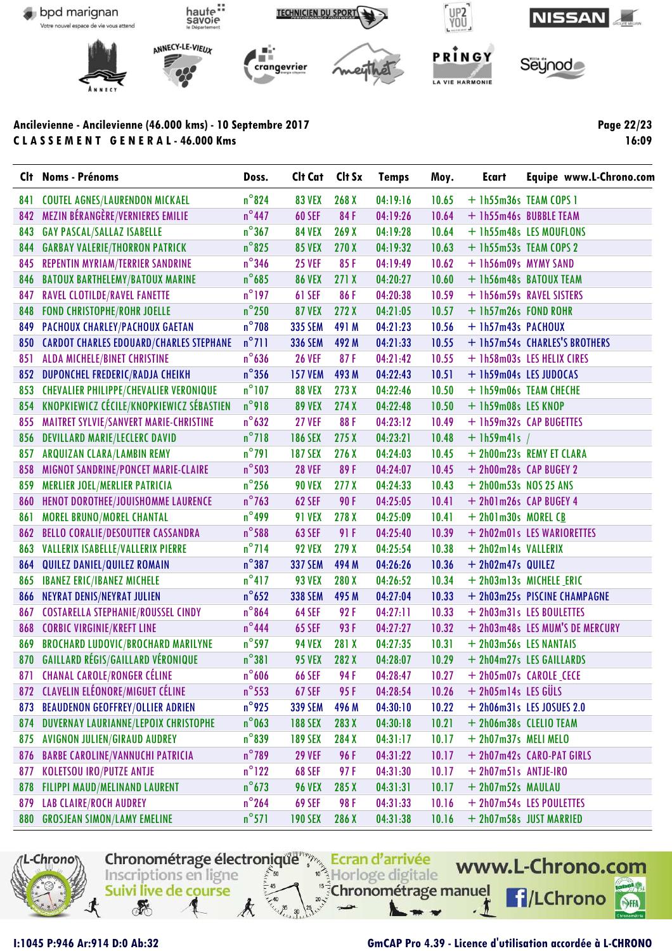

**Page 22/23 16:09**

|     | Clt Noms - Prénoms                             | Doss.           | Clt Cat Clt Sx        |                  | <b>Temps</b> | Moy.  | Ecart                   | Equipe www.L-Chrono.com         |
|-----|------------------------------------------------|-----------------|-----------------------|------------------|--------------|-------|-------------------------|---------------------------------|
| 841 | <b>COUTEL AGNES/LAURENDON MICKAEL</b>          | $n^{\circ}824$  | <b>83 VEX</b>         | 268 <sub>X</sub> | 04:19:16     | 10.65 |                         | $+$ 1h55m36s TEAM COPS 1        |
| 842 | MEZIN BÉRANGÈRE/VERNIERES EMILIE               | $n^{\circ}$ 447 | <b>60 SEF</b>         | 84F              | 04:19:26     | 10.64 |                         | + 1h55m46s BUBBLE TEAM          |
| 843 | <b>GAY PASCAL/SALLAZ ISABELLE</b>              | $n^{\circ}367$  | <b>84 VEX</b>         | 269X             | 04:19:28     | 10.64 |                         | + 1h55m48s LES MOUFLONS         |
| 844 | <b>GARBAY VALERIE/THORRON PATRICK</b>          | $n^{\circ}$ 825 | <b>85 VEX</b>         | 270X             | 04:19:32     | 10.63 |                         | + 1h55m53s TEAM COPS 2          |
| 845 | REPENTIN MYRIAM/TERRIER SANDRINE               | $n^{\circ}$ 346 | <b>25 VEF</b>         | 85F              | 04:19:49     | 10.62 | + 1h56m09s MYMY SAND    |                                 |
| 846 | <b>BATOUX BARTHELEMY/BATOUX MARINE</b>         | $n^{\circ}$ 685 | <b>86 VEX</b>         | 271X             | 04:20:27     | 10.60 |                         | + 1h56m48s BATOUX TEAM          |
| 847 | <b>RAVEL CLOTILDE/RAVEL FANETTE</b>            | $n^{\circ}$ 197 | <b>61 SEF</b>         | 86F              | 04:20:38     | 10.59 |                         | + 1h56m59s RAVEL SISTERS        |
| 848 | <b>FOND CHRISTOPHE/ROHR JOELLE</b>             | $n^{\circ}$ 250 | <b>87 VEX</b>         | 272X             | 04:21:05     | 10.57 | + 1h57m26s FOND ROHR    |                                 |
| 849 | PACHOUX CHARLEY/PACHOUX GAETAN                 | $n^{\circ}$ 708 | <b>335 SEM</b>        | 491 M            | 04:21:23     | 10.56 | + 1h57m43s PACHOUX      |                                 |
| 850 | <b>CARDOT CHARLES EDOUARD/CHARLES STEPHANE</b> | $n^{\circ}$ 711 | <b>336 SEM</b>        | 492 M            | 04:21:33     | 10.55 |                         | + 1h57m54s CHARLES'S BROTHERS   |
| 851 | ALDA MICHELE/BINET CHRISTINE                   | $n^{\circ}$ 636 | <b>26 VEF</b>         | 87F              | 04:21:42     | 10.55 |                         | + 1h58m03s LES HELIX CIRES      |
| 852 | DUPONCHEL FREDERIC/RADJA CHEIKH                | $n^{\circ}$ 356 | <b>157 VEM</b>        | 493 M            | 04:22:43     | 10.51 |                         | + 1h59m04s LES JUDOCAS          |
| 853 | <b>CHEVALIER PHILIPPE/CHEVALIER VERONIQUE</b>  | $n^{\circ}$ 107 | <b>88 VEX</b>         | 273X             | 04:22:46     | 10.50 |                         | + 1h59m06s TEAM CHECHE          |
|     | 854 KNOPKIEWICZ CÉCILE/KNOPKIEWICZ SÉBASTIEN   | n°918           | <b>89 VEX</b>         | 274X             | 04:22:48     | 10.50 | + 1h59m08s LES KNOP     |                                 |
| 855 | MAITRET SYLVIE/SANVERT MARIE-CHRISTINE         | $n^{\circ}$ 632 | <b>27 VEF</b>         | 88F              | 04:23:12     | 10.49 |                         | + 1h59m32s CAP BUGETTES         |
| 856 | <b>DEVILLARD MARIE/LECLERC DAVID</b>           | $n^{\circ}718$  | <b>186 SEX</b>        | 275X             | 04:23:21     | 10.48 | $+$ 1h59m41s            |                                 |
| 857 | ARQUIZAN CLARA/LAMBIN REMY                     | $n^{\circ}791$  | <b>187 SEX</b>        | 276X             | 04:24:03     | 10.45 |                         | + 2h00m23s REMY ET CLARA        |
| 858 | MIGNOT SANDRINE/PONCET MARIE-CLAIRE            | $n^{\circ}$ 503 | <b>28 VEF</b>         | 89F              | 04:24:07     | 10.45 |                         | + 2h00m28s CAP BUGEY 2          |
| 859 | <b>MERLIER JOEL/MERLIER PATRICIA</b>           | $n^{\circ}$ 256 | <b>90 VEX</b>         | 277 <sub>X</sub> | 04:24:33     | 10.43 | $+$ 2h00m53s NOS 25 ANS |                                 |
| 860 | HENOT DOROTHEE/JOUISHOMME LAURENCE             | $n^{\circ}$ 763 | <b>62 SEF</b>         | <b>90F</b>       | 04:25:05     | 10.41 |                         | + 2h01m26s CAP BUGEY 4          |
| 861 | <b>MOREL BRUNO/MOREL CHANTAL</b>               | $n^{\circ}$ 499 | <b>91 VEX</b>         | 278 X            | 04:25:09     | 10.41 | $+$ 2h01m30s MOREL CB   |                                 |
| 862 | <b>BELLO CORALIE/DESOUTTER CASSANDRA</b>       | $n^{\circ}$ 588 | <b>63 SEF</b>         | 91 F             | 04:25:40     | 10.39 |                         | + 2h02m01s LES WARIORETTES      |
| 863 | VALLERIX ISABELLE/VALLERIX PIERRE              | $n^{\circ}$ 714 | <b>92 VEX</b>         | 279 X            | 04:25:54     | 10.38 | + 2h02m14s VALLERIX     |                                 |
| 864 | QUILEZ DANIEL/QUILEZ ROMAIN                    | $n^{\circ}387$  | <b>337 SEM</b>        | 494 M            | 04:26:26     | 10.36 | + 2h02m47s QUILEZ       |                                 |
| 865 | <b>IBANEZ ERIC/IBANEZ MICHELE</b>              | $n^{\circ}417$  | <b>93 VEX</b>         | 280X             | 04:26:52     | 10.34 |                         | + 2h03m13s MICHELE ERIC         |
| 866 | NEYRAT DENIS/NEYRAT JULIEN                     | $n^{\circ}$ 652 | <b>338 SEM</b>        | 495 M            | 04:27:04     | 10.33 |                         | + 2h03m25s PISCINE CHAMPAGNE    |
| 867 | <b>COSTARELLA STEPHANIE/ROUSSEL CINDY</b>      | $n^{\circ}864$  | <b>64 SEF</b>         | 92F              | 04:27:11     | 10.33 |                         | + 2h03m31s LES BOULETTES        |
| 868 | <b>CORBIC VIRGINIE/KREFT LINE</b>              | $n^{\circ}$ 444 | <b>65 SEF</b>         | 93F              | 04:27:27     | 10.32 |                         | + 2h03m48s LES MUM'S DE MERCURY |
| 869 | <b>BROCHARD LUDOVIC/BROCHARD MARILYNE</b>      | $n^{\circ}$ 597 | <b>94 VEX</b>         | 281 X            | 04:27:35     | 10.31 | + 2h03m56s LES NANTAIS  |                                 |
|     | 870 GAILLARD RÉGIS/GAILLARD VÉRONIQUE          | $n^{\circ}381$  | <b>95 VEX</b>         | 282 X            | 04:28:07     | 10.29 |                         | + 2h04m27s LES GAILLARDS        |
|     | 871 CHANAL CAROLE/RONGER CÉLINE                |                 | $n^{\circ}606$ 66 SEF | 94 F             |              |       |                         |                                 |
| 872 | <b>CLAVELIN ELÉONORE/MIGUET CÉLINE</b>         | $n^{\circ}$ 553 | <b>67 SEF</b>         | 95F              | 04:28:54     | 10.26 | + 2h05m14s LES GÜLS     |                                 |
| 873 | <b>BEAUDENON GEOFFREY/OLLIER ADRIEN</b>        | $n^{\circ}$ 925 | <b>339 SEM</b>        | 496 M            | 04:30:10     | 10.22 |                         | $+$ 2h06m31s LES JOSUES 2.0     |
| 874 | DUVERNAY LAURIANNE/LEPOIX CHRISTOPHE           | $n^{\circ}$ 063 | <b>188 SEX</b>        | 283 X            | 04:30:18     | 10.21 |                         | + 2h06m38s CLELIO TEAM          |
| 875 | <b>AVIGNON JULIEN/GIRAUD AUDREY</b>            | $n^{\circ}839$  | <b>189 SEX</b>        | 284 X            | 04:31:17     | 10.17 | + 2h07m37s MELI MELO    |                                 |
| 876 | <b>BARBE CAROLINE/VANNUCHI PATRICIA</b>        | $n^{\circ}$ 789 | <b>29 VEF</b>         | 96 F             | 04:31:22     | 10.17 |                         | + 2h07m42s CARO-PAT GIRLS       |
| 877 | <b>KOLETSOU IRO/PUTZE ANTJE</b>                | $n^{\circ}$ 122 | <b>68 SEF</b>         | 97F              | 04:31:30     | 10.17 | + 2h07m51s ANTJE-IRO    |                                 |
| 878 | <b>FILIPPI MAUD/MELINAND LAURENT</b>           | $n^{\circ}$ 673 | <b>96 VEX</b>         | 285 X            | 04:31:31     | 10.17 | + 2h07m52s MAULAU       |                                 |
| 879 | <b>LAB CLAIRE/ROCH AUDREY</b>                  | $n^{\circ}$ 264 | <b>69 SEF</b>         | 98 F             | 04:31:33     | 10.16 |                         | + 2h07m54s LES POULETTES        |
| 880 | <b>GROSJEAN SIMON/LAMY EMELINE</b>             | $n^{\circ}571$  | <b>190 SEX</b>        | 286 X            | 04:31:38     | 10.16 |                         | + 2h07m58s JUST MARRIED         |
|     |                                                |                 |                       |                  |              |       |                         |                                 |